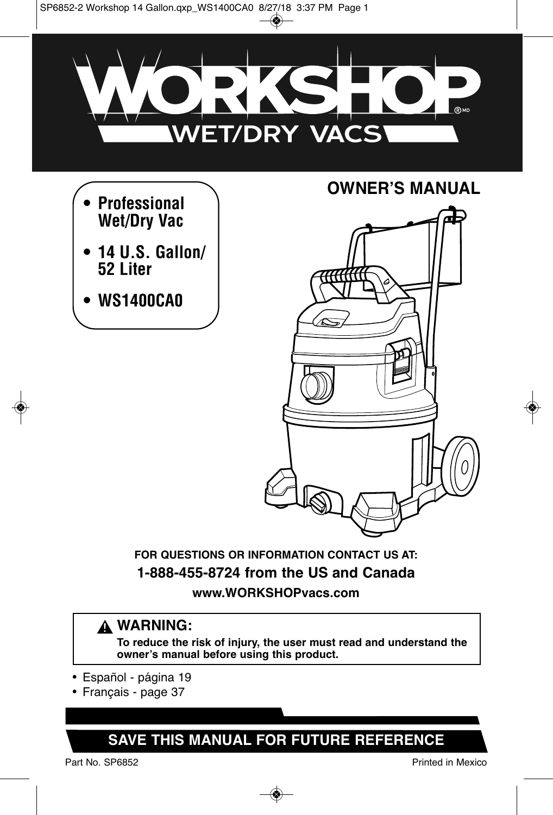



- **• Professional Wet/Dry Vac**
- **• 14 U.S. Gallon/ 52 Liter**
- **• WS1400CA0**

### **oWNeR's mANuAl**



**foR QuesTIoNs oR INfoRmATIoN coNTAcT us AT: 1-888-455-8724 from the us and canada www.WoRKshoPvacs.com**

### **WARNING: !**

**To reduce the risk of injury, the user must read and understand the owner's manual before using this product.**

- Español página 19
- Français page 37

### **sAve ThIs mANuAl foR fuTuRe RefeReNce**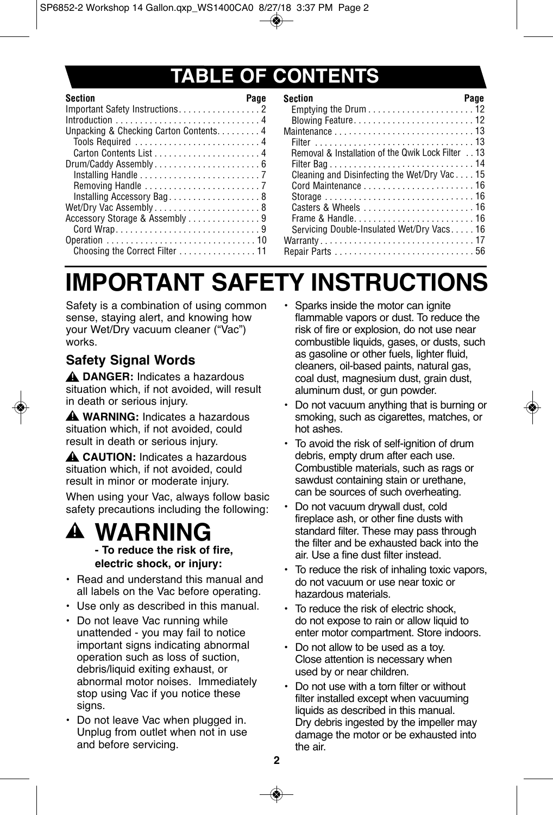### **TAble of coNTeNTs**

| <b>Section</b>                        | Page |
|---------------------------------------|------|
|                                       |      |
|                                       |      |
| Unpacking & Checking Carton Contents4 |      |
| Tools Required 4                      |      |
| Carton Contents List  4               |      |
|                                       |      |
|                                       |      |
|                                       |      |
| Installing Accessory Bag 8            |      |
|                                       |      |
| Accessory Storage & Assembly 9        |      |
| Cord Wrap9                            |      |
|                                       |      |
| Choosing the Correct Filter 11        |      |

| <b>Section</b>                                                                            | Page |
|-------------------------------------------------------------------------------------------|------|
|                                                                                           |      |
|                                                                                           |      |
| Maintenance $\ldots \ldots \ldots \ldots \ldots \ldots \ldots \ldots \ldots$ 13           |      |
|                                                                                           |      |
| Removal & Installation of the Qwik Lock Filter 13                                         |      |
| Filter Bag14                                                                              |      |
| Cleaning and Disinfecting the Wet/Dry Vac15                                               |      |
|                                                                                           |      |
| Storage $\ldots \ldots \ldots \ldots \ldots \ldots \ldots \ldots \ldots \ldots \ldots 16$ |      |
|                                                                                           |      |
|                                                                                           |      |
| Servicing Double-Insulated Wet/Dry Vacs16                                                 |      |
|                                                                                           |      |
|                                                                                           |      |

# **ImPoRTANT sAfeTY INsTRucTIoNs**

Safety is a combination of using common sense, staying alert, and knowing how your Wet/Dry vacuum cleaner ("Vac") works.

### **safety signal Words**

**DANGeR:** Indicates a hazardous **!** situation which, if not avoided, will result in death or serious injury.

**WARNING:** Indicates a hazardous **!** situation which, if not avoided, could result in death or serious injury.

**cAuTIoN:** Indicates a hazardous **!** situation which, if not avoided, could result in minor or moderate injury.

When using your Vac, always follow basic safety precautions including the following:

# **WARNING - To reduce the risk of fire, ! electric shock, or injury:**

- Read and understand this manual and all labels on the Vac before operating.
- Use only as described in this manual.
- Do not leave Vac running while unattended - you may fail to notice important signs indicating abnormal operation such as loss of suction, debris/liquid exiting exhaust, or abnormal motor noises. Immediately stop using Vac if you notice these signs.
- Do not leave Vac when plugged in. Unplug from outlet when not in use and before servicing.
- Sparks inside the motor can ignite flammable vapors or dust. To reduce the risk of fire or explosion, do not use near combustible liquids, gases, or dusts, such as gasoline or other fuels, lighter fluid, cleaners, oil-based paints, natural gas, coal dust, magnesium dust, grain dust, aluminum dust, or gun powder.
- Do not vacuum anything that is burning or smoking, such as cigarettes, matches, or hot ashes.
- To avoid the risk of self-ignition of drum debris, empty drum after each use. Combustible materials, such as rags or sawdust containing stain or urethane, can be sources of such overheating.
- Do not vacuum drywall dust, cold fireplace ash, or other fine dusts with standard filter. These may pass through the filter and be exhausted back into the air. Use a fine dust filter instead.
- To reduce the risk of inhaling toxic vapors, do not vacuum or use near toxic or hazardous materials.
- To reduce the risk of electric shock, do not expose to rain or allow liquid to enter motor compartment. Store indoors.
- Do not allow to be used as a toy. Close attention is necessary when used by or near children.
- Do not use with a torn filter or without filter installed except when vacuuming liquids as described in this manual. Dry debris ingested by the impeller may damage the motor or be exhausted into the air.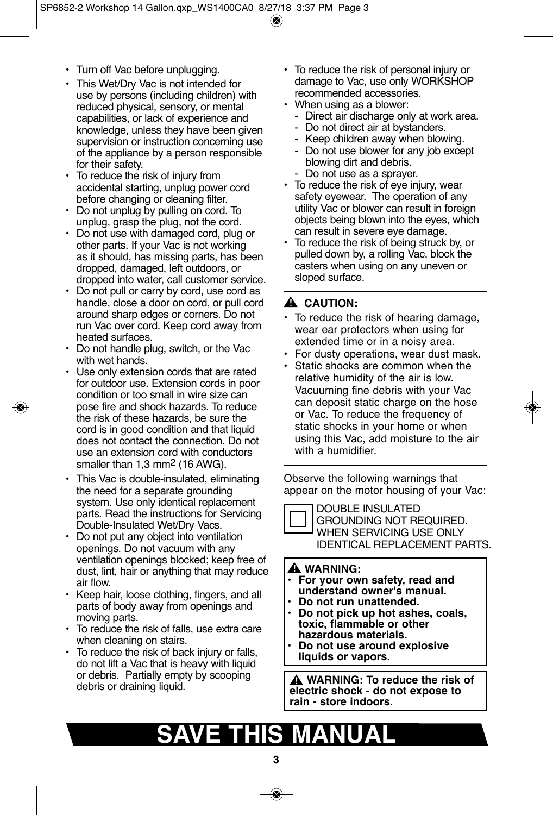- Turn off Vac before unplugging.
- This Wet/Dry Vac is not intended for use by persons (including children) with reduced physical, sensory, or mental capabilities, or lack of experience and knowledge, unless they have been given supervision or instruction concerning use of the appliance by a person responsible for their safety.
- To reduce the risk of injury from accidental starting, unplug power cord before changing or cleaning filter.
- Do not unplug by pulling on cord. To unplug, grasp the plug, not the cord.
- Do not use with damaged cord, plug or other parts. If your Vac is not working as it should, has missing parts, has been dropped, damaged, left outdoors, or dropped into water, call customer service.
- Do not pull or carry by cord, use cord as handle, close a door on cord, or pull cord around sharp edges or corners. Do not run Vac over cord. Keep cord away from heated surfaces.
- Do not handle plug, switch, or the Vac with wet hands.
- Use only extension cords that are rated for outdoor use. Extension cords in poor condition or too small in wire size can pose fire and shock hazards. To reduce the risk of these hazards, be sure the cord is in good condition and that liquid does not contact the connection. Do not use an extension cord with conductors smaller than 1,3 mm2 (16 AWG).
- This Vac is double-insulated, eliminating the need for a separate grounding system. Use only identical replacement parts. Read the instructions for Servicing Double-Insulated Wet/Dry Vacs.
- Do not put any object into ventilation openings. Do not vacuum with any ventilation openings blocked; keep free of dust, lint, hair or anything that may reduce air flow.
- Keep hair, loose clothing, fingers, and all parts of body away from openings and moving parts.
- To reduce the risk of falls, use extra care when cleaning on stairs.
- To reduce the risk of back injury or falls, do not lift a Vac that is heavy with liquid or debris. Partially empty by scooping debris or draining liquid.
- To reduce the risk of personal injury or damage to Vac, use only WORKSHOP recommended accessories.
- When using as a blower:
	- Direct air discharge only at work area.
	- Do not direct air at bystanders.
	- Keep children away when blowing.
	- Do not use blower for any job except blowing dirt and debris.
	- Do not use as a sprayer.
- To reduce the risk of eye injury, wear safety eyewear. The operation of any utility Vac or blower can result in foreign objects being blown into the eyes, which can result in severe eye damage.
- To reduce the risk of being struck by, or pulled down by, a rolling Vac, block the casters when using on any uneven or sloped surface.

### **cAuTIoN: !**

- To reduce the risk of hearing damage, wear ear protectors when using for extended time or in a noisy area.
- For dusty operations, wear dust mask.
- Static shocks are common when the relative humidity of the air is low. Vacuuming fine debris with your Vac can deposit static charge on the hose or Vac. To reduce the frequency of static shocks in your home or when using this Vac, add moisture to the air with a humidifier.

Observe the following warnings that appear on the motor housing of your Vac:

> DOUBLE INSULATED GROUNDING NOT REQUIRED. WHEN SERVICING USE ONLY IDENTICAL REPLACEMENT PARTS.

#### **WARNING: !**

- **• For your own safety, read and understand owner's manual.**
- **• Do not run unattended.**
- **• Do not pick up hot ashes, coals, toxic, flammable or other hazardous materials.**
- **• Do not use around explosive liquids or vapors.**

**WARNING: To reduce the risk of ! electric shock - do not expose to rain - store indoors.**

# **SAVE THIS M**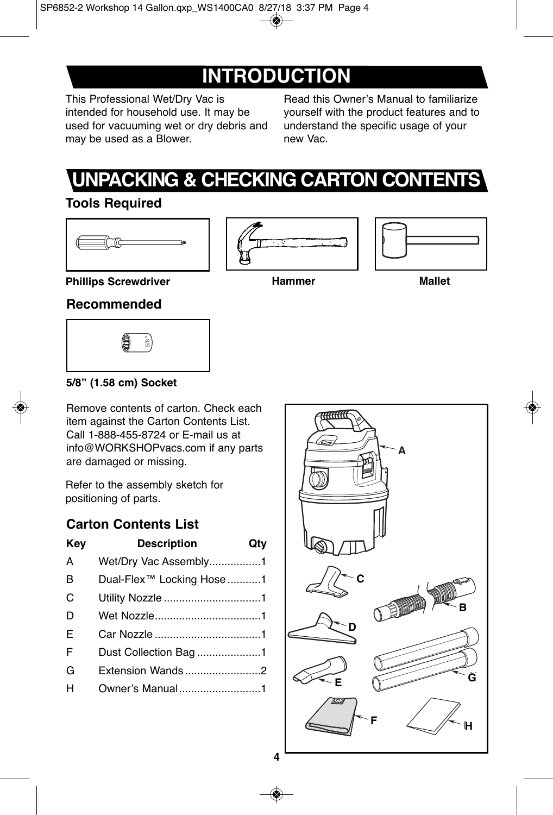# **INTRoDucTIoN**

This Professional Wet/Dry Vac is intended for household use. It may be used for vacuuming wet or dry debris and may be used as a Blower.

Read this Owner's Manual to familiarize yourself with the product features and to understand the specific usage of your new Vac.

**hammer mallet**

# **uNPAcKING & checKING cARToN coNTeNTs**

### **Tools Required**







**Phillips screwdriver**

**Recommended**



### **5/8" (1.58 cm) socket**

Remove contents of carton. Check each item against the Carton Contents List. Call 1-888-455-8724 or E-mail us at info@WORKSHOPvacs.com if any parts are damaged or missing.

Refer to the assembly sketch for positioning of parts.

### **carton contents list**

| Key | <b>Description</b>                    | Qty |
|-----|---------------------------------------|-----|
| A   | Wet/Dry Vac Assembly1                 |     |
| B   | Dual-Flex <sup>™</sup> Locking Hose 1 |     |
| C   |                                       |     |
| D   |                                       |     |
| E   |                                       |     |
| F   | Dust Collection Bag 1                 |     |
| G   | Extension Wands2                      |     |
| н   | Owner's Manual1                       |     |
|     |                                       |     |

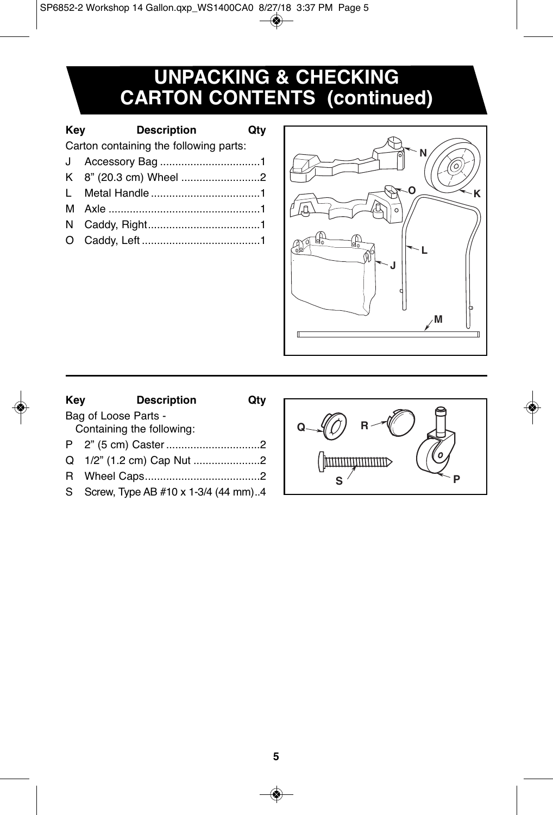# **uNPAcKING & checKING cARToN coNTeNTs (continued)**

### **Key Description Qty**

Carton containing the following parts:

J Accessory Bag .................................1 K 8" (20.3 cm) Wheel ..........................2 L Metal Handle ....................................1 M Axle ..................................................1 N Caddy, Right.....................................1 O Caddy, Left .......................................1



| Key | <b>Description</b>        | Qtv |
|-----|---------------------------|-----|
|     | Bag of Loose Parts -      |     |
|     | Containing the following: |     |
|     |                           |     |
|     |                           |     |
|     |                           |     |

S Screw, Type AB #10 x 1-3/4 (44 mm)..4

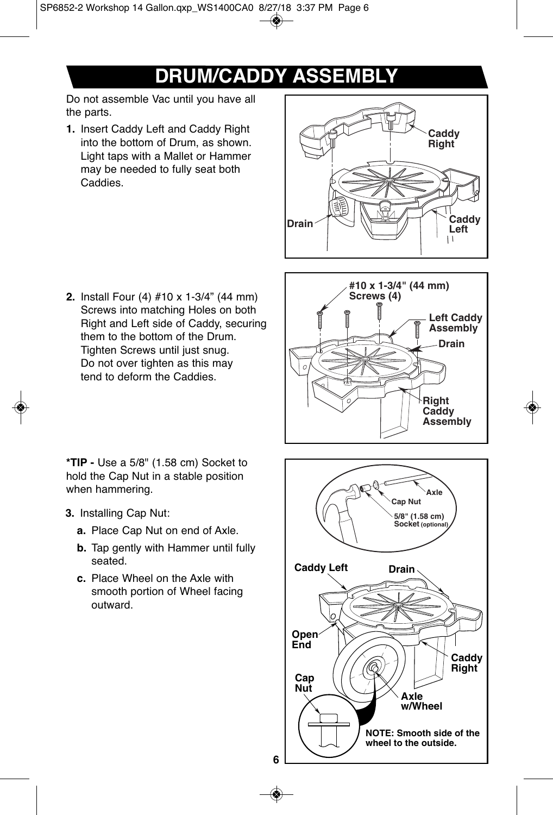### **DRUM/CADDY ASSEMBL**

Do not assemble Vac until you have all the parts.

**1.** Insert Caddy Left and Caddy Right into the bottom of Drum, as shown. Light taps with a Mallet or Hammer may be needed to fully seat both Caddies.

**2.** Install Four (4) #10 x 1-3/4" (44 mm) Screws into matching Holes on both Right and Left side of Caddy, securing them to the bottom of the Drum. Tighten Screws until just snug. Do not over tighten as this may tend to deform the Caddies.





**\*TIP -** Use a 5/8" (1.58 cm) Socket to hold the Cap Nut in a stable position when hammering.

- **3.** Installing Cap Nut:
	- **a.** Place Cap Nut on end of Axle.
	- **b.** Tap gently with Hammer until fully seated.
	- **c.** Place Wheel on the Axle with smooth portion of Wheel facing outward.

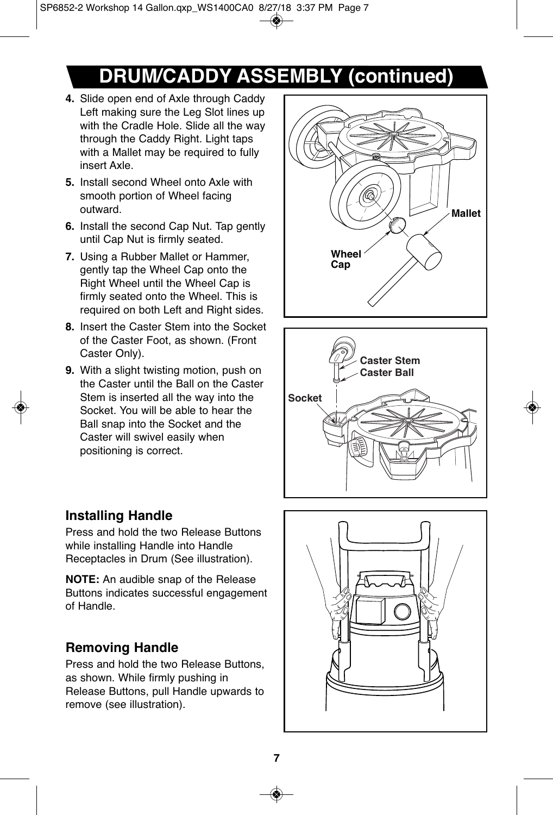### **DRum/cADDY AssemblY (continued)**

- **4.** Slide open end of Axle through Caddy Left making sure the Leg Slot lines up with the Cradle Hole. Slide all the way through the Caddy Right. Light taps with a Mallet may be required to fully insert Axle.
- **5.** Install second Wheel onto Axle with smooth portion of Wheel facing outward.
- **6.** Install the second Cap Nut. Tap gently until Cap Nut is firmly seated.
- **7.** Using a Rubber Mallet or Hammer, gently tap the Wheel Cap onto the Right Wheel until the Wheel Cap is firmly seated onto the Wheel. This is required on both Left and Right sides.
- **8.** Insert the Caster Stem into the Socket of the Caster Foot, as shown. (Front Caster Only).
- **9.** With a slight twisting motion, push on the Caster until the Ball on the Caster Stem is inserted all the way into the Socket. You will be able to hear the Ball snap into the Socket and the Caster will swivel easily when positioning is correct.





### **Installing handle**

Press and hold the two Release Buttons while installing Handle into Handle Receptacles in Drum (See illustration).

**NoTe:** An audible snap of the Release Buttons indicates successful engagement of Handle.

### **Removing handle**

Press and hold the two Release Buttons, as shown. While firmly pushing in Release Buttons, pull Handle upwards to remove (see illustration).

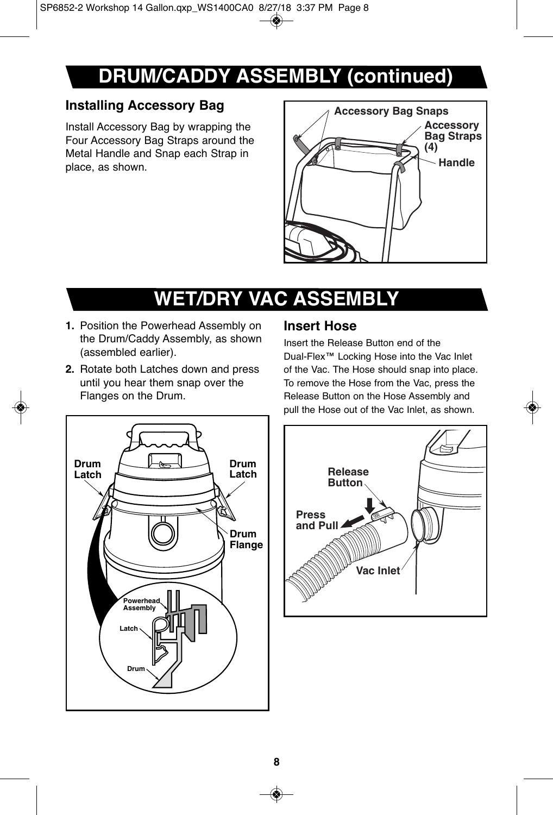# **DRum/cADDY AssemblY (continued)**

### **Installing Accessory bag**

Install Accessory Bag by wrapping the Four Accessory Bag Straps around the Metal Handle and Snap each Strap in place, as shown.



# **WeT/DRY vAc AssemblY**

- **1.** Position the Powerhead Assembly on the Drum/Caddy Assembly, as shown (assembled earlier).
- **2.** Rotate both Latches down and press until you hear them snap over the Flanges on the Drum.

### **Insert hose**

Insert the Release Button end of the Dual-Flex™ Locking Hose into the Vac Inlet of the Vac. The Hose should snap into place. To remove the Hose from the Vac, press the Release Button on the Hose Assembly and pull the Hose out of the Vac Inlet, as shown.



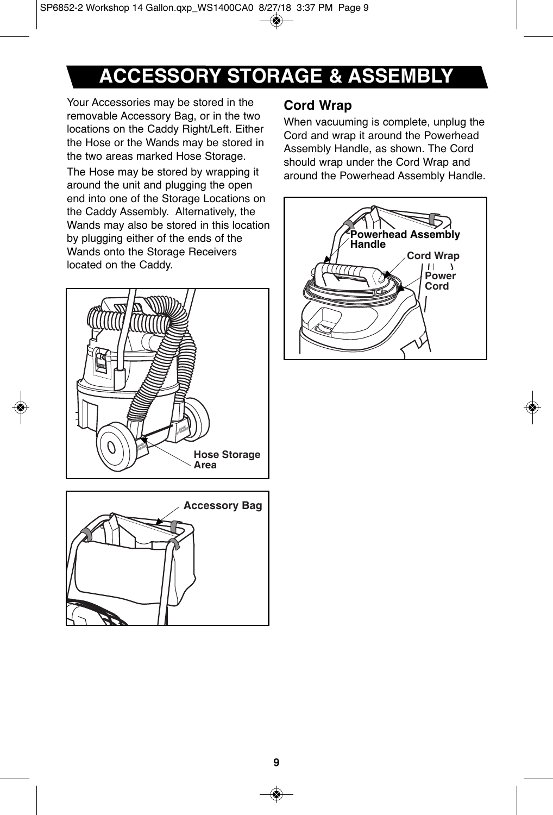### **AccessoRY sToRAGe & AssemblY**

Your Accessories may be stored in the removable Accessory Bag, or in the two locations on the Caddy Right/Left. Either the Hose or the Wands may be stored in the two areas marked Hose Storage. The Hose may be stored by wrapping it around the unit and plugging the open end into one of the Storage Locations on the Caddy Assembly. Alternatively, the Wands may also be stored in this location by plugging either of the ends of the Wands onto the Storage Receivers located on the Caddy.





### **cord Wrap**

When vacuuming is complete, unplug the Cord and wrap it around the Powerhead Assembly Handle, as shown. The Cord should wrap under the Cord Wrap and around the Powerhead Assembly Handle.

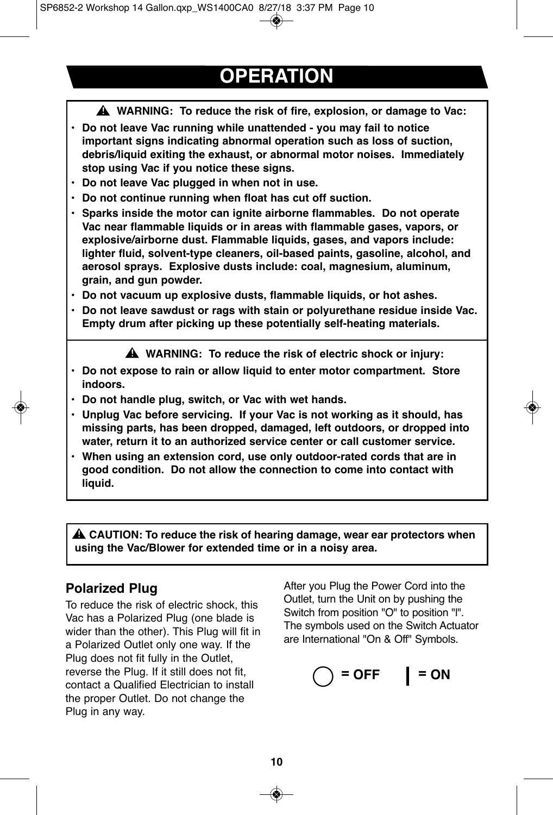SP6852-2 Workshop 14 Gallon.qxp\_WS1400CA0 8/27/18 3:37 PM Page 10

### **oPeRATIoN**

**WARNING: To reduce the risk of fire, explosion, or damage to vac: !**

- **• Do not leave vac running while unattended - you may fail to notice important signs indicating abnormal operation such as loss of suction, debris/liquid exiting the exhaust, or abnormal motor noises. Immediately stop using vac if you notice these signs.**
- **• Do not leave vac plugged in when not in use.**
- **• Do not continue running when float has cut off suction.**
- **• sparks inside the motor can ignite airborne flammables. Do not operate vac near flammable liquids or in areas with flammable gases, vapors, or explosive/airborne dust. flammable liquids, gases, and vapors include: lighter fluid, solvent-type cleaners, oil-based paints, gasoline, alcohol, and aerosol sprays. explosive dusts include: coal, magnesium, aluminum, grain, and gun powder.**
- **• Do not vacuum up explosive dusts, flammable liquids, or hot ashes.**
- **• Do not leave sawdust or rags with stain or polyurethane residue inside vac. empty drum after picking up these potentially self-heating materials.**

**WARNING: To reduce the risk of electric shock or injury: !**

- **• Do not expose to rain or allow liquid to enter motor compartment. store indoors.**
- **• Do not handle plug, switch, or vac with wet hands.**
- **• unplug vac before servicing. If your vac is not working as it should, has missing parts, has been dropped, damaged, left outdoors, or dropped into water, return it to an authorized service center or call customer service.**
- **• When using an extension cord, use only outdoor-rated cords that are in good condition. Do not allow the connection to come into contact with liquid.**

**CAUTION: To reduce the risk of hearing damage, wear ear protectors when ! using the Vac/Blower for extended time or in a noisy area.**

### **Polarized Plug**

To reduce the risk of electric shock, this Vac has a Polarized Plug (one blade is wider than the other). This Plug will fit in a Polarized Outlet only one way. If the Plug does not fit fully in the Outlet, reverse the Plug. If it still does not fit, contact a Qualified Electrician to install the proper Outlet. Do not change the Plug in any way.

After you Plug the Power Cord into the Outlet, turn the Unit on by pushing the Switch from position "O" to position "l". The symbols used on the Switch Actuator are International "On & Off" Symbols.

$$
\bigcirc = \mathsf{OFF} \qquad \big| = \mathsf{ON}
$$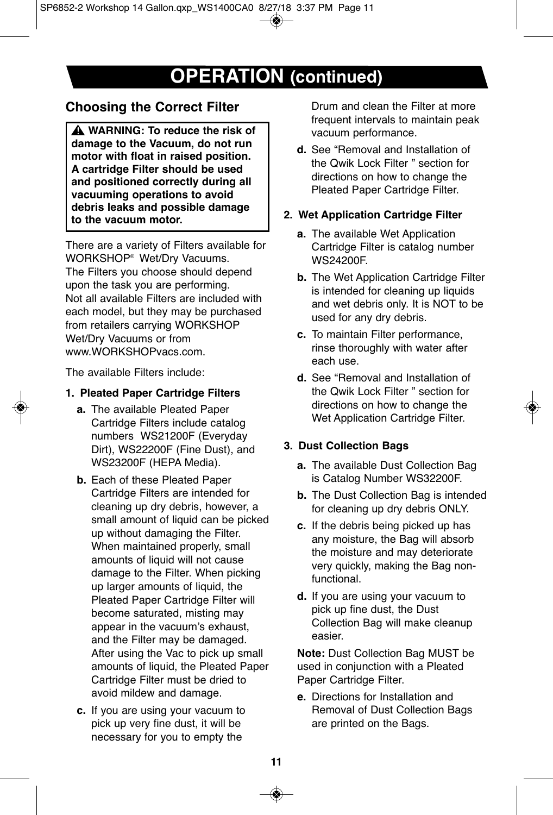### **oPeRATIoN (continued)**

### **choosing the correct filter**

**WARNING: To reduce the risk of ! damage to the vacuum, do not run motor with float in raised position. A cartridge filter should be used and positioned correctly during all vacuuming operations to avoid debris leaks and possible damage to the vacuum motor.**

There are a variety of Filters available for WORKSHOP® Wet/Dry Vacuums. The Filters you choose should depend upon the task you are performing. Not all available Filters are included with each model, but they may be purchased from retailers carrying WORKSHOP Wet/Dry Vacuums or from www.WORKSHOPvacs.com.

The available Filters include:

### **1. Pleated Paper Cartridge Filters**

- **a.** The available Pleated Paper Cartridge Filters include catalog numbers WS21200F (Everyday Dirt), WS22200F (Fine Dust), and WS23200F (HEPA Media).
- **b.** Each of these Pleated Paper Cartridge Filters are intended for cleaning up dry debris, however, a small amount of liquid can be picked up without damaging the Filter. When maintained properly, small amounts of liquid will not cause damage to the Filter. When picking up larger amounts of liquid, the Pleated Paper Cartridge Filter will become saturated, misting may appear in the vacuum's exhaust, and the Filter may be damaged. After using the Vac to pick up small amounts of liquid, the Pleated Paper Cartridge Filter must be dried to avoid mildew and damage.
- **c.** If you are using your vacuum to pick up very fine dust, it will be necessary for you to empty the

Drum and clean the Filter at more frequent intervals to maintain peak vacuum performance.

**d.** See "Removal and Installation of the Qwik Lock Filter " section for directions on how to change the Pleated Paper Cartridge Filter.

### **2. Wet Application Cartridge Filter**

- **a.** The available Wet Application Cartridge Filter is catalog number WS24200F.
- **b.** The Wet Application Cartridge Filter is intended for cleaning up liquids and wet debris only. It is NOT to be used for any dry debris.
- **c.** To maintain Filter performance, rinse thoroughly with water after each use.
- **d.** See "Removal and Installation of the Qwik Lock Filter " section for directions on how to change the Wet Application Cartridge Filter.

#### **3. Dust collection bags**

- **a.** The available Dust Collection Bag is Catalog Number WS32200F.
- **b.** The Dust Collection Bag is intended for cleaning up dry debris ONLY.
- **c.** If the debris being picked up has any moisture, the Bag will absorb the moisture and may deteriorate very quickly, making the Bag nonfunctional.
- **d.** If you are using your vacuum to pick up fine dust, the Dust Collection Bag will make cleanup easier.

**Note:** Dust Collection Bag MUST be used in conjunction with a Pleated Paper Cartridge Filter.

**e.** Directions for Installation and Removal of Dust Collection Bags are printed on the Bags.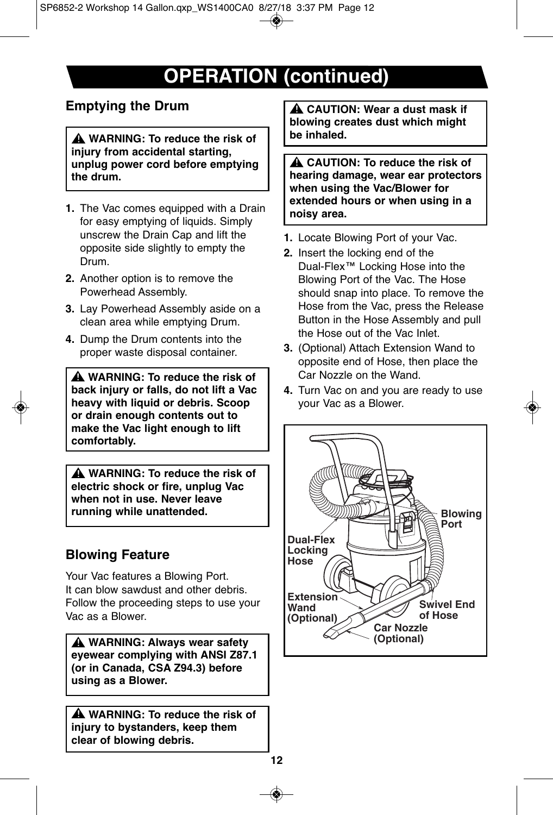# **oPeRATIoN (continued)**

### **emptying the Drum**

**WARNING: To reduce the risk of ! injury from accidental starting, unplug power cord before emptying the drum.**

- **1.** The Vac comes equipped with a Drain for easy emptying of liquids. Simply unscrew the Drain Cap and lift the opposite side slightly to empty the Drum.
- **2.** Another option is to remove the Powerhead Assembly.
- **3.** Lay Powerhead Assembly aside on a clean area while emptying Drum.
- **4.** Dump the Drum contents into the proper waste disposal container.

**WARNING: To reduce the risk of ! back injury or falls, do not lift a vac heavy with liquid or debris. scoop or drain enough contents out to make the vac light enough to lift comfortably.**

**WARNING: To reduce the risk of ! electric shock or fire, unplug vac when not in use. Never leave running while unattended.**

### **blowing feature**

Your Vac features a Blowing Port. It can blow sawdust and other debris. Follow the proceeding steps to use your Vac as a Blower.

**WARNING: Always wear safety ! eyewear complying with ANsI Z87.1 (or in canada, csA Z94.3) before using as a blower.**

**WARNING: To reduce the risk of ! injury to bystanders, keep them clear of blowing debris.**

**cAuTIoN: Wear a dust mask if ! blowing creates dust which might be inhaled.**

**cAuTIoN: To reduce the risk of ! hearing damage, wear ear protectors when using the vac/blower for extended hours or when using in a noisy area.**

- **1.** Locate Blowing Port of your Vac.
- **2.** Insert the locking end of the Dual-Flex™ Locking Hose into the Blowing Port of the Vac. The Hose should snap into place. To remove the Hose from the Vac, press the Release Button in the Hose Assembly and pull the Hose out of the Vac Inlet.
- **3.** (Optional) Attach Extension Wand to opposite end of Hose, then place the Car Nozzle on the Wand.
- **4.** Turn Vac on and you are ready to use your Vac as a Blower.

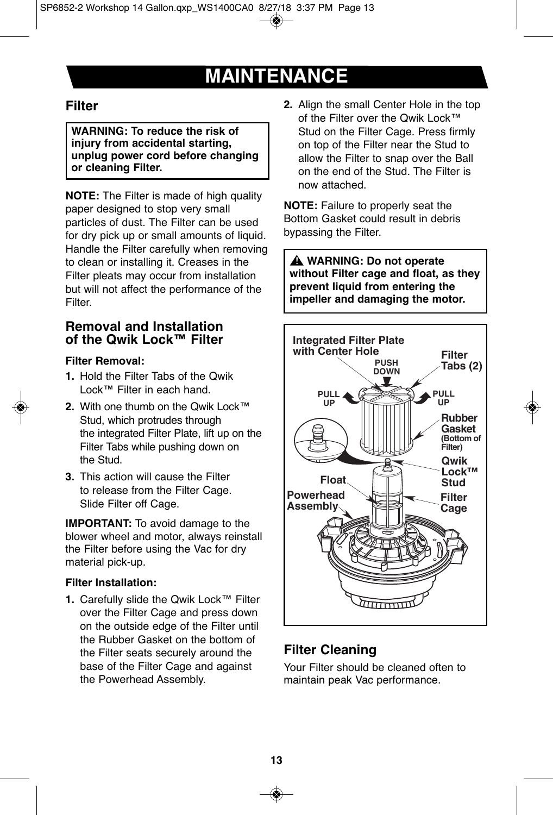# **mAINTeNANce**

### **filter**

**WARNING: To reduce the risk of injury from accidental starting, unplug power cord before changing or cleaning filter.**

**NoTe:** The Filter is made of high quality paper designed to stop very small particles of dust. The Filter can be used for dry pick up or small amounts of liquid. Handle the Filter carefully when removing to clean or installing it. Creases in the Filter pleats may occur from installation but will not affect the performance of the Filter.

### **Removal and Installation of the Qwik lock™ filter**

#### **filter Removal:**

- **1.** Hold the Filter Tabs of the Qwik Lock™ Filter in each hand.
- **2.** With one thumb on the Qwik Lock™ Stud, which protrudes through the integrated Filter Plate, lift up on the Filter Tabs while pushing down on the Stud.
- **3.** This action will cause the Filter to release from the Filter Cage. Slide Filter off Cage.

**IMPORTANT:** To avoid damage to the blower wheel and motor, always reinstall the Filter before using the Vac for dry material pick-up.

#### **filter Installation:**

**1.** Carefully slide the Qwik Lock™ Filter over the Filter Cage and press down on the outside edge of the Filter until the Rubber Gasket on the bottom of the Filter seats securely around the base of the Filter Cage and against the Powerhead Assembly.

**2.** Align the small Center Hole in the top of the Filter over the Qwik Lock™ Stud on the Filter Cage. Press firmly on top of the Filter near the Stud to allow the Filter to snap over the Ball on the end of the Stud. The Filter is now attached.

**NoTe:** Failure to properly seat the Bottom Gasket could result in debris bypassing the Filter.

**WARNING: Do not operate ! without filter cage and float, as they prevent liquid from entering the impeller and damaging the motor.**



### **Filter Cleaning**

Your Filter should be cleaned often to maintain peak Vac performance.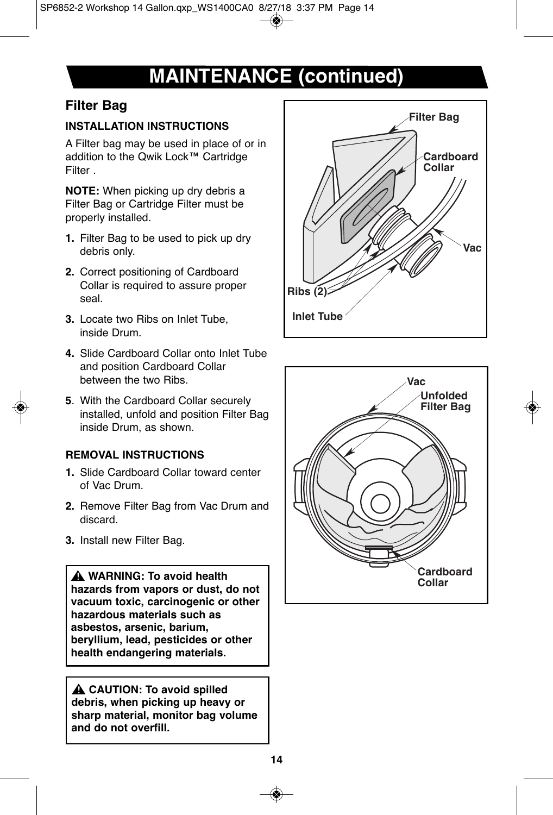### **mAINTeNANce (continued)**

### **Filter Bag**

### **INSTALLATION INSTRUCTIONS**

A Filter bag may be used in place of or in addition to the Qwik Lock™ Cartridge Filter .

**NOTE:** When picking up dry debris a Filter Bag or Cartridge Filter must be properly installed.

- **1.** Filter Bag to be used to pick up dry debris only.
- **2.** Correct positioning of Cardboard Collar is required to assure proper seal.
- **3.** Locate two Ribs on Inlet Tube, inside Drum.
- **4.** Slide Cardboard Collar onto Inlet Tube and position Cardboard Collar between the two Ribs.
- **5**. With the Cardboard Collar securely installed, unfold and position Filter Bag inside Drum, as shown.

### **REMOVAL INSTRUCTIONS**

- **1.** Slide Cardboard Collar toward center of Vac Drum.
- **2.** Remove Filter Bag from Vac Drum and discard.
- **3.** Install new Filter Bag.

**WARNING: To avoid health ! hazards from vapors or dust, do not vacuum toxic, carcinogenic or other hazardous materials such as asbestos, arsenic, barium, beryllium, lead, pesticides or other health endangering materials.**

**CAUTION: To avoid spilled ! debris, when picking up heavy or sharp material, monitor bag volume and do not overfill.**



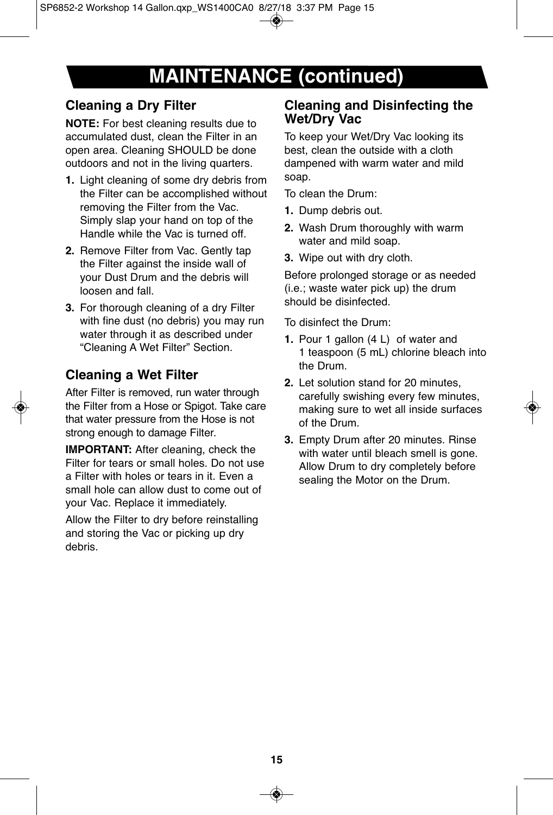### **mAINTeNANce (continued)**

### **cleaning a Dry filter**

**NoTe:** For best cleaning results due to accumulated dust, clean the Filter in an open area. Cleaning SHOULD be done outdoors and not in the living quarters.

- **1.** Light cleaning of some dry debris from the Filter can be accomplished without removing the Filter from the Vac. Simply slap your hand on top of the Handle while the Vac is turned off.
- **2.** Remove Filter from Vac. Gently tap the Filter against the inside wall of your Dust Drum and the debris will loosen and fall.
- **3.** For thorough cleaning of a dry Filter with fine dust (no debris) you may run water through it as described under "Cleaning A Wet Filter" Section.

### **cleaning a Wet filter**

After Filter is removed, run water through the Filter from a Hose or Spigot. Take care that water pressure from the Hose is not strong enough to damage Filter.

**IMPORTANT:** After cleaning, check the Filter for tears or small holes. Do not use a Filter with holes or tears in it. Even a small hole can allow dust to come out of your Vac. Replace it immediately.

Allow the Filter to dry before reinstalling and storing the Vac or picking up dry debris.

### **cleaning and Disinfecting the Wet/Dry vac**

To keep your Wet/Dry Vac looking its best, clean the outside with a cloth dampened with warm water and mild soap.

To clean the Drum:

- **1.** Dump debris out.
- **2.** Wash Drum thoroughly with warm water and mild soap.
- **3.** Wipe out with dry cloth.

Before prolonged storage or as needed (i.e.; waste water pick up) the drum should be disinfected.

To disinfect the Drum:

- **1.** Pour 1 gallon (4 L) of water and 1 teaspoon (5 mL) chlorine bleach into the Drum.
- **2.** Let solution stand for 20 minutes, carefully swishing every few minutes, making sure to wet all inside surfaces of the Drum.
- **3.** Empty Drum after 20 minutes. Rinse with water until bleach smell is gone. Allow Drum to dry completely before sealing the Motor on the Drum.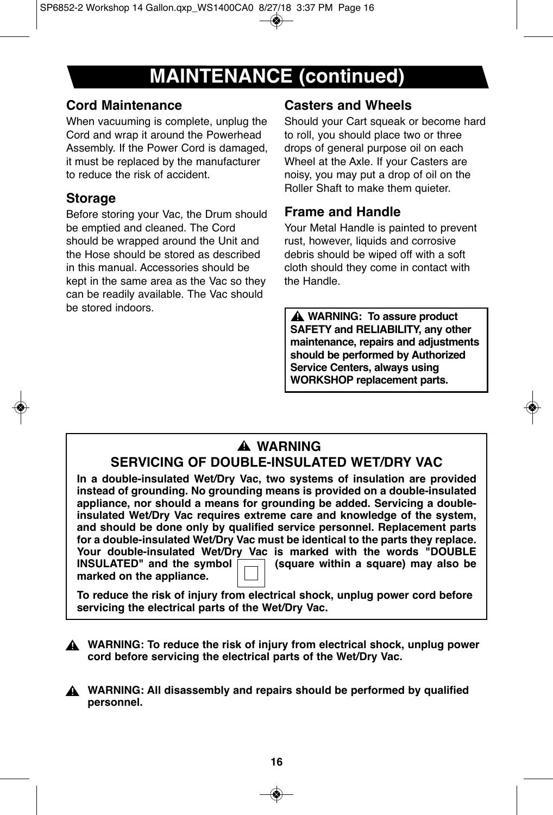### **mAINTeNANce (continued)**

### **cord maintenance**

When vacuuming is complete, unplug the Cord and wrap it around the Powerhead Assembly. If the Power Cord is damaged, it must be replaced by the manufacturer to reduce the risk of accident.

### **storage**

Before storing your Vac, the Drum should be emptied and cleaned. The Cord should be wrapped around the Unit and the Hose should be stored as described in this manual. Accessories should be kept in the same area as the Vac so they can be readily available. The Vac should be stored indoors.

### **casters and Wheels**

Should your Cart squeak or become hard to roll, you should place two or three drops of general purpose oil on each Wheel at the Axle. If your Casters are noisy, you may put a drop of oil on the Roller Shaft to make them quieter.

### **frame and handle**

Your Metal Handle is painted to prevent rust, however, liquids and corrosive debris should be wiped off with a soft cloth should they come in contact with the Handle.

**WARNING: To assure product ! sAfeTY and RelIAbIlITY, any other maintenance, repairs and adjustments should be performed by Authorized service centers, always using WoRKshoP replacement parts.**

### **WARNING ! seRvIcING of Double-INsulATeD WeT/DRY vAc**

**In a double-insulated Wet/Dry vac, two systems of insulation are provided instead of grounding. No grounding means is provided on a double-insulated appliance, nor should a means for grounding be added. servicing a doubleinsulated Wet/Dry vac requires extreme care and knowledge of the system, and should be done only by qualified service personnel. Replacement parts for a double-insulated Wet/Dry vac must be identical to the parts they replace. Your double-insulated Wet/Dry vac is marked with the words "Double INsulATeD" and the symbol (square within a square) may also be marked on the appliance.**

**To reduce the risk of injury from electrical shock, unplug power cord before servicing the electrical parts of the Wet/Dry vac.**

**! WARNING: To reduce the risk of injury from electrical shock, unplug power cord before servicing the electrical parts of the Wet/Dry vac.**

**! WARNING: All disassembly and repairs should be performed by qualified personnel.**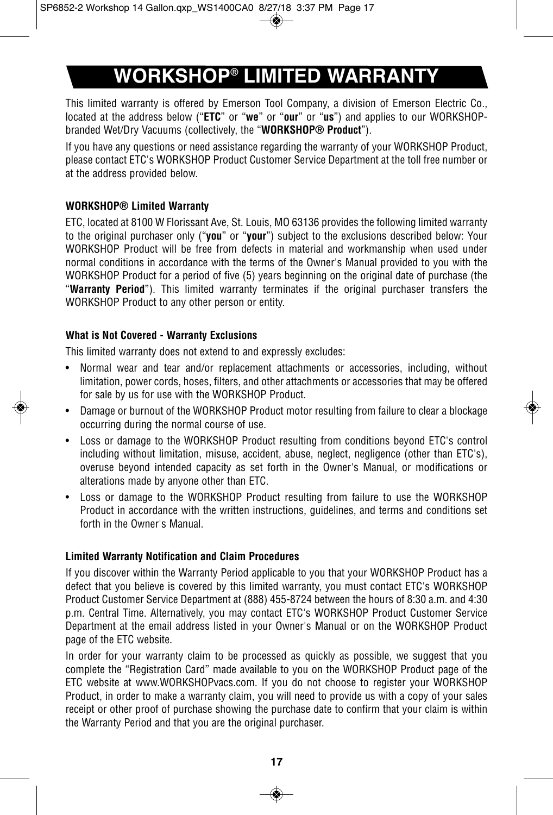# **WoRKshoP® lImITeD WARRANTY**

This limited warranty is offered by Emerson Tool Company, a division of Emerson Electric Co., located at the address below ("**ETC**" or "**we**" or "**our**" or "**us**") and applies to our WORKSHOPbranded Wet/Dry Vacuums (collectively, the "**WORKSHOP® Product**").

If you have any questions or need assistance regarding the warranty of your WORKSHOP Product, please contact ETC's WORKSHOP Product Customer Service Department at the toll free number or at the address provided below.

### **WORKSHOP® Limited Warranty**

ETC, located at 8100 W Florissant Ave, St. Louis, MO 63136 provides the following limited warranty to the original purchaser only ("**you**" or "**your**") subject to the exclusions described below: Your WORKSHOP Product will be free from defects in material and workmanship when used under normal conditions in accordance with the terms of the Owner's Manual provided to you with the WORKSHOP Product for a period of five (5) years beginning on the original date of purchase (the "**Warranty Period**"). This limited warranty terminates if the original purchaser transfers the WORKSHOP Product to any other person or entity.

### **What is Not Covered - Warranty Exclusions**

This limited warranty does not extend to and expressly excludes:

- Normal wear and tear and/or replacement attachments or accessories, including, without limitation, power cords, hoses, filters, and other attachments or accessories that may be offered for sale by us for use with the WORKSHOP Product.
- Damage or burnout of the WORKSHOP Product motor resulting from failure to clear a blockage occurring during the normal course of use.
- Loss or damage to the WORKSHOP Product resulting from conditions beyond ETC's control including without limitation, misuse, accident, abuse, neglect, negligence (other than ETC's), overuse beyond intended capacity as set forth in the Owner's Manual, or modifications or alterations made by anyone other than ETC.
- Loss or damage to the WORKSHOP Product resulting from failure to use the WORKSHOP Product in accordance with the written instructions, guidelines, and terms and conditions set forth in the Owner's Manual.

### **Limited Warranty Notification and Claim Procedures**

If you discover within the Warranty Period applicable to you that your WORKSHOP Product has a defect that you believe is covered by this limited warranty, you must contact ETC's WORKSHOP Product Customer Service Department at (888) 455-8724 between the hours of 8:30 a.m. and 4:30 p.m. Central Time. Alternatively, you may contact ETC's WORKSHOP Product Customer Service Department at the email address listed in your Owner's Manual or on the WORKSHOP Product page of the ETC website.

In order for your warranty claim to be processed as quickly as possible, we suggest that you complete the "Registration Card" made available to you on the WORKSHOP Product page of the ETC website at www.WORKSHOPvacs.com. If you do not choose to register your WORKSHOP Product, in order to make a warranty claim, you will need to provide us with a copy of your sales receipt or other proof of purchase showing the purchase date to confirm that your claim is within the Warranty Period and that you are the original purchaser.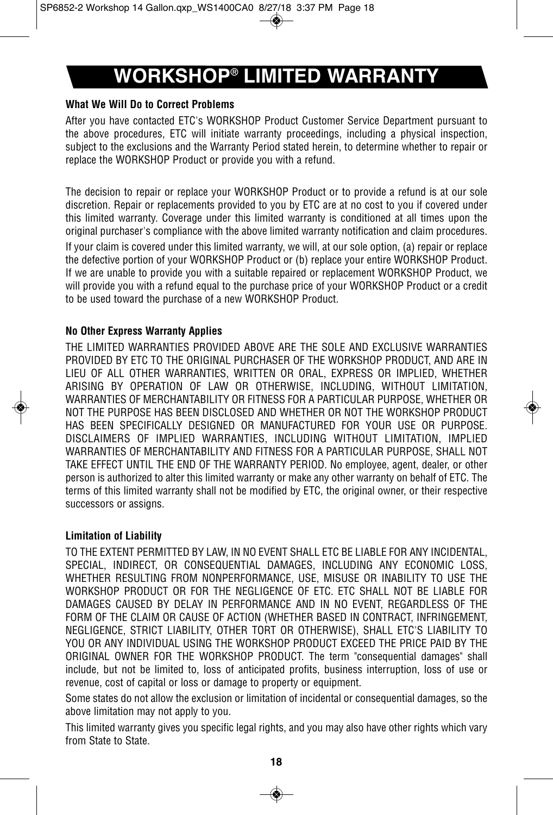# **WoRKshoP® lImITeD WARRANTY**

### **What We Will Do to Correct Problems**

After you have contacted ETC's WORKSHOP Product Customer Service Department pursuant to the above procedures, ETC will initiate warranty proceedings, including a physical inspection, subject to the exclusions and the Warranty Period stated herein, to determine whether to repair or replace the WORKSHOP Product or provide you with a refund.

The decision to repair or replace your WORKSHOP Product or to provide a refund is at our sole discretion. Repair or replacements provided to you by ETC are at no cost to you if covered under this limited warranty. Coverage under this limited warranty is conditioned at all times upon the original purchaser's compliance with the above limited warranty notification and claim procedures.

If your claim is covered under this limited warranty, we will, at our sole option, (a) repair or replace the defective portion of your WORKSHOP Product or (b) replace your entire WORKSHOP Product. If we are unable to provide you with a suitable repaired or replacement WORKSHOP Product, we will provide you with a refund equal to the purchase price of your WORKSHOP Product or a credit to be used toward the purchase of a new WORKSHOP Product.

### **No Other Express Warranty Applies**

THE LIMITED WARRANTIES PROVIDED ABOVE ARE THE SOLE AND EXCLUSIVE WARRANTIES PROVIDED BY ETC TO THE ORIGINAL PURCHASER OF THE WORKSHOP PRODUCT, AND ARE IN LIEU OF ALL OTHER WARRANTIES, WRITTEN OR ORAL, EXPRESS OR IMPLIED, WHETHER ARISING BY OPERATION OF LAW OR OTHERWISE, INCLUDING, WITHOUT LIMITATION, WARRANTIES OF MERCHANTABILITY OR FITNESS FOR A PARTICULAR PURPOSE, WHETHER OR NOT THE PURPOSE HAS BEEN DISCLOSED AND WHETHER OR NOT THE WORKSHOP PRODUCT HAS BEEN SPECIFICALLY DESIGNED OR MANUFACTURED FOR YOUR USE OR PURPOSE. DISCLAIMERS OF IMPLIED WARRANTIES, INCLUDING WITHOUT LIMITATION, IMPLIED WARRANTIES OF MERCHANTABILITY AND FITNESS FOR A PARTICULAR PURPOSE, SHALL NOT TAKE EFFECT UNTIL THE END OF THE WARRANTY PERIOD. No employee, agent, dealer, or other person is authorized to alter this limited warranty or make any other warranty on behalf of ETC. The terms of this limited warranty shall not be modified by ETC, the original owner, or their respective successors or assigns.

#### **Limitation of Liability**

TO THE EXTENT PERMITTED BY LAW, IN NO EVENT SHALL ETC BE LIABLE FOR ANY INCIDENTAL, SPECIAL, INDIRECT, OR CONSEQUENTIAL DAMAGES, INCLUDING ANY ECONOMIC LOSS, WHETHER RESULTING FROM NONPERFORMANCE, USE, MISUSE OR INABILITY TO USE THE WORKSHOP PRODUCT OR FOR THE NEGLIGENCE OF ETC. ETC SHALL NOT BE LIABLE FOR DAMAGES CAUSED BY DELAY IN PERFORMANCE AND IN NO EVENT, REGARDLESS OF THE FORM OF THE CLAIM OR CAUSE OF ACTION (WHETHER BASED IN CONTRACT, INFRINGEMENT, NEGLIGENCE, STRICT LIABILITY, OTHER TORT OR OTHERWISE), SHALL ETC'S LIABILITY TO YOU OR ANY INDIVIDUAL USING THE WORKSHOP PRODUCT EXCEED THE PRICE PAID BY THE ORIGINAL OWNER FOR THE WORKSHOP PRODUCT. The term "consequential damages" shall include, but not be limited to, loss of anticipated profits, business interruption, loss of use or revenue, cost of capital or loss or damage to property or equipment.

Some states do not allow the exclusion or limitation of incidental or consequential damages, so the above limitation may not apply to you.

This limited warranty gives you specific legal rights, and you may also have other rights which vary from State to State.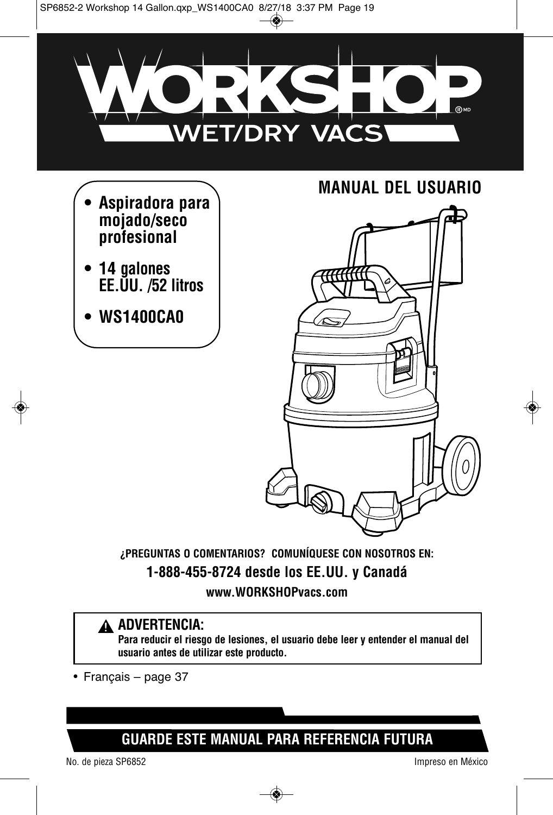



- **• Aspiradora para mojado/seco profesional**
- **• 14 galones EE.UU. /52 litros**
- **• WS1400CA0**



**¿PREGUNTAS O COMENTARIOS? COMUNÍQUESE CON NOSOTROS EN: 1-888-455-8724 desde los EE.UU. y Canadá www.WORKSHOPvacs.com**

### **ADVERTENCIA: !**

**Para reducir el riesgo de lesiones, el usuario debe leer y entender el manual del usuario antes de utilizar este producto.**

• Français – page 37

### **GUARDE ESTE MANUAL PARA REFERENCIA FUTURA**

No. de pieza SP6852 Impreso en México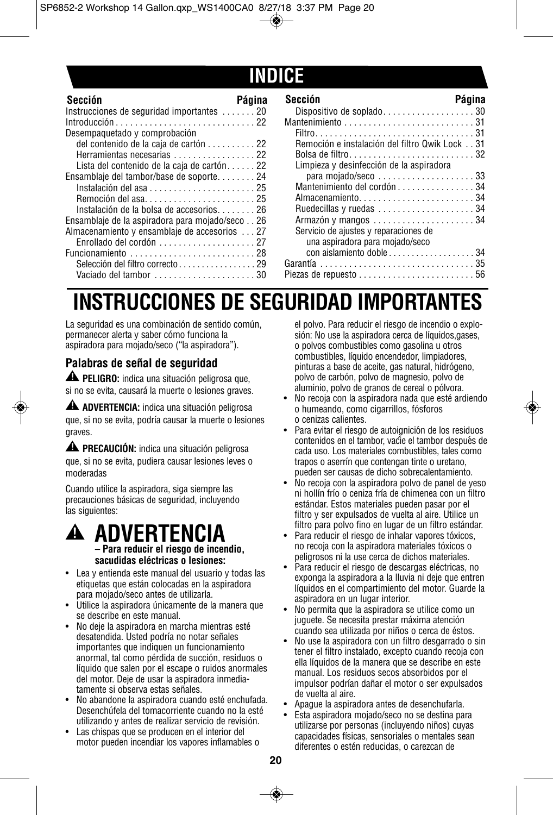### **INDICE**

| Sección                                                                                   | Sección                                                                  |
|-------------------------------------------------------------------------------------------|--------------------------------------------------------------------------|
| Página                                                                                    | Pàgina                                                                   |
| Instrucciones de seguridad importantes 20                                                 | Dispositivo de soplado30                                                 |
|                                                                                           |                                                                          |
| Desempaquetado y comprobación                                                             |                                                                          |
| del contenido de la caja de cartón  22                                                    | Remoción e instalación del filtro Qwik Lock 31                           |
| Herramientas necesarias  22                                                               | Bolsa de filtro32                                                        |
| Lista del contenido de la caia de cartón22                                                | Limpieza y desinfección de la aspiradora                                 |
| Ensamblaje del tambor/base de soporte 24                                                  | Mantenimiento del cordón 34<br>Almacenamiento34                          |
| Instalación de la bolsa de accesorios26<br>Ensamblaje de la aspiradora para mojado/seco26 | Ruedecillas y ruedas 34                                                  |
| Almacenamiento y ensamblaje de accesorios  27                                             | Servicio de ajustes y reparaciones de                                    |
|                                                                                           | una aspiradora para mojado/seco                                          |
|                                                                                           |                                                                          |
| Selección del filtro correcto 29                                                          |                                                                          |
|                                                                                           | Piezas de repuesto $\ldots \ldots \ldots \ldots \ldots \ldots \ldots 56$ |

| Sección                                                       | Página |
|---------------------------------------------------------------|--------|
| Dispositivo de soplado30                                      |        |
|                                                               |        |
|                                                               |        |
| Remoción e instalación del filtro Qwik Lock 31                |        |
| Bolsa de filtro32                                             |        |
| Limpieza y desinfección de la aspiradora                      |        |
| para mojado/seco 33                                           |        |
| Mantenimiento del cordón 34                                   |        |
|                                                               |        |
| Ruedecillas y ruedas 34                                       |        |
|                                                               |        |
| Servicio de ajustes y reparaciones de                         |        |
| una aspiradora para mojado/seco                               |        |
| con aislamiento doble $\ldots \ldots \ldots \ldots \ldots 34$ |        |
|                                                               |        |
|                                                               |        |
|                                                               |        |

# **INSTRUCCIONES DE SEGURIDAD IMPORTANTES**

La seguridad es una combinación de sentido común, permanecer alerta y saber cómo funciona la aspiradora para mojado/seco ("la aspiradora").

### **Palabras de señal de seguridad**

**PELIGRO:** indica una situación peligrosa que, **!** si no se evita, causará la muerte o lesiones graves.

**ADVERTENCIA:** indica una situación peligrosa **!** que, si no se evita, podría causar la muerte o lesiones graves.

**PRECAUCIÓN:** indica una situación peligrosa **!** que, si no se evita, pudiera causar lesiones leves o moderadas

Cuando utilice la aspiradora, siga siempre las precauciones básicas de seguridad, incluyendo las siguientes:

### **ADVERTENCIA – Para reducir el riesgo de incendio, sacudidas eléctricas o lesiones: !**

- Lea y entienda este manual del usuario y todas las etiquetas que están colocadas en la aspiradora para mojado/seco antes de utilizarla.
- Utilice la aspiradora únicamente de la manera que se describe en este manual.
- No deje la aspiradora en marcha mientras esté desatendida. Usted podría no notar señales importantes que indiquen un funcionamiento anormal, tal como pérdida de succión, residuos o líquido que salen por el escape o ruidos anormales del motor. Deje de usar la aspiradora inmediatamente si observa estas señales.
- No abandone la aspiradora cuando esté enchufada. Desenchúfela del tomacorriente cuando no la esté utilizando y antes de realizar servicio de revisión.
- Las chispas que se producen en el interior del motor pueden incendiar los vapores inflamables o

el polvo. Para reducir el riesgo de incendio o explosión: No use la aspiradora cerca de líquidos,gases, o polvos combustibles como gasolina u otros combustibles, líquido encendedor, limpiadores, pinturas a base de aceite, gas natural, hidrógeno, polvo de carbón, polvo de magnesio, polvo de aluminio, polvo de granos de cereal o pólvora.

- No recoja con la aspiradora nada que esté ardiendo o humeando, como cigarrillos, fósforos o cenizas calientes.
- Para evitar el riesgo de autoignición de los residuos contenidos en el tambor, vacie el tambor después de cada uso. Los materiales combustibles, tales como trapos o aserrín que contengan tinte o uretano, pueden ser causas de dicho sobrecalentamiento.
- No recoja con la aspiradora polvo de panel de yeso ni hollín frío o ceniza fría de chimenea con un filtro estándar. Estos materiales pueden pasar por el filtro y ser expulsados de vuelta al aire. Utilice un filtro para polvo fino en lugar de un filtro estándar.
- Para reducir el riesgo de inhalar vapores tóxicos, no recoja con la aspiradora materiales tóxicos o peligrosos ni la use cerca de dichos materiales.
- Para reducir el riesgo de descargas eléctricas, no exponga la aspiradora a la lluvia ni deje que entren líquidos en el compartimiento del motor. Guarde la aspiradora en un lugar interior.
- No permita que la aspiradora se utilice como un juguete. Se necesita prestar máxima atención cuando sea utilizada por niños o cerca de éstos.
- No use la aspiradora con un filtro desgarrado o sin tener el filtro instalado, excepto cuando recoja con ella líquidos de la manera que se describe en este manual. Los residuos secos absorbidos por el impulsor podrían dañar el motor o ser expulsados de vuelta al aire.
- Apague la aspiradora antes de desenchufarla.
- Esta aspiradora mojado/seco no se destina para utilizarse por personas (incluyendo niños) cuyas capacidades físicas, sensoriales o mentales sean diferentes o estén reducidas, o carezcan de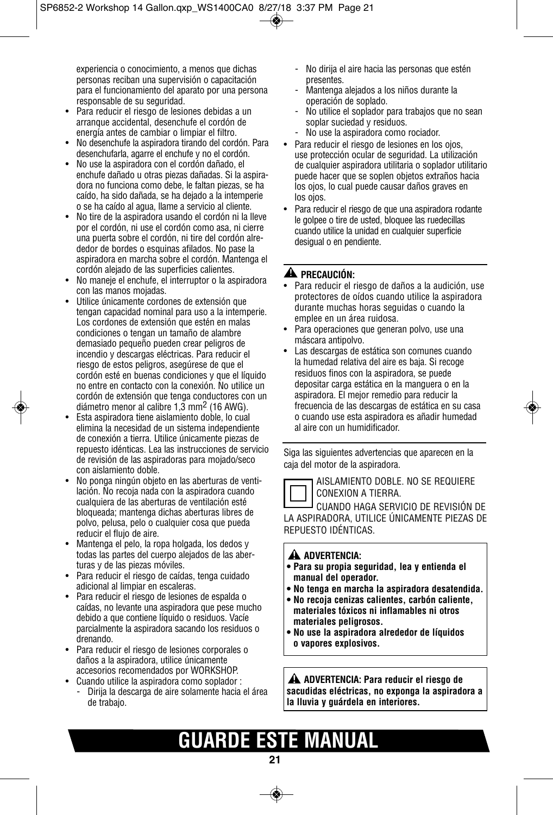experiencia o conocimiento, a menos que dichas personas reciban una supervisión o capacitación para el funcionamiento del aparato por una persona responsable de su seguridad.

- Para reducir el riesgo de lesiones debidas a un arranque accidental, desenchufe el cordón de energía antes de cambiar o limpiar el filtro.
- No desenchufe la aspiradora tirando del cordón. Para desenchufarla, agarre el enchufe y no el cordón.
- No use la aspiradora con el cordón dañado, el enchufe dañado u otras piezas dañadas. Si la aspiradora no funciona como debe, le faltan piezas, se ha caído, ha sido dañada, se ha dejado a la intemperie o se ha caído al agua, llame a servicio al cliente.
- No tire de la aspiradora usando el cordón ni la lleve por el cordón, ni use el cordón como asa, ni cierre una puerta sobre el cordón, ni tire del cordón alrededor de bordes o esquinas afilados. No pase la aspiradora en marcha sobre el cordón. Mantenga el cordón alejado de las superficies calientes.
- No maneje el enchufe, el interruptor o la aspiradora con las manos mojadas.
- Utilice únicamente cordones de extensión que tengan capacidad nominal para uso a la intemperie. Los cordones de extensión que estén en malas condiciones o tengan un tamaño de alambre demasiado pequeño pueden crear peligros de incendio y descargas eléctricas. Para reducir el riesgo de estos peligros, asegúrese de que el cordón esté en buenas condiciones y que el líquido no entre en contacto con la conexión. No utilice un cordón de extensión que tenga conductores con un diámetro menor al calibre 1,3 mm2 (16 AWG).
- Esta aspiradora tiene aislamiento doble, lo cual elimina la necesidad de un sistema independiente de conexión a tierra. Utilice únicamente piezas de repuesto idénticas. Lea las instrucciones de servicio de revisión de las aspiradoras para mojado/seco con aislamiento doble.
- No ponga ningún objeto en las aberturas de ventilación. No recoja nada con la aspiradora cuando cualquiera de las aberturas de ventilación esté bloqueada; mantenga dichas aberturas libres de polvo, pelusa, pelo o cualquier cosa que pueda reducir el flujo de aire.
- Mantenga el pelo, la ropa holgada, los dedos y todas las partes del cuerpo alejados de las aberturas y de las piezas móviles.
- Para reducir el riesgo de caídas, tenga cuidado adicional al limpiar en escaleras.
- Para reducir el riesgo de lesiones de espalda o caídas, no levante una aspiradora que pese mucho debido a que contiene líquido o residuos. Vacíe parcialmente la aspiradora sacando los residuos o drenando.
- Para reducir el riesgo de lesiones corporales o daños a la aspiradora, utilice únicamente accesorios recomendados por WORKSHOP.
- Cuando utilice la aspiradora como soplador :
- Dirija la descarga de aire solamente hacia el área de trabajo.
- No dirija el aire hacia las personas que estén presentes.
- Mantenga alejados a los niños durante la operación de soplado.
- No utilice el soplador para trabajos que no sean soplar suciedad y residuos.
- No use la aspiradora como rociador.
- Para reducir el riesgo de lesiones en los ojos, use protección ocular de seguridad. La utilización de cualquier aspiradora utilitaria o soplador utilitario puede hacer que se soplen objetos extraños hacia los ojos, lo cual puede causar daños graves en los ojos.
- Para reducir el riesgo de que una aspiradora rodante le golpee o tire de usted, bloquee las ruedecillas cuando utilice la unidad en cualquier superficie desigual o en pendiente.

#### **PRECAUCIÓN: !**

- Para reducir el riesgo de daños a la audición, use protectores de oídos cuando utilice la aspiradora durante muchas horas seguidas o cuando la emplee en un área ruidosa.
- Para operaciones que generan polvo, use una máscara antipolvo.
- Las descargas de estática son comunes cuando la humedad relativa del aire es baja. Si recoge residuos finos con la aspiradora, se puede depositar carga estática en la manguera o en la aspiradora. El mejor remedio para reducir la frecuencia de las descargas de estática en su casa o cuando use esta aspiradora es añadir humedad al aire con un humidificador.

Siga las siguientes advertencias que aparecen en la caja del motor de la aspiradora.



AISLAMIENTO DOBLE. NO SE REQUIERE CONEXION A TIERRA.

CUANDO HAGA SERVICIO DE REVISIÓN DE LA ASPIRADORA, UTILICE ÚNICAMENTE PIEZAS DE REPUESTO IDÉNTICAS.

#### **ADVERTENCIA:**

- **• Para su propia seguridad, lea y entienda el manual del operador.**
- **• No tenga en marcha la aspiradora desatendida.**
- **• No recoja cenizas calientes, carbón caliente, materiales tóxicos ni inflamables ni otros materiales peligrosos.**
- **• No use la aspiradora alrededor de líquidos o vapores explosivos.**

**ADVERTENCIA: Para reducir el riesgo de sacudidas eléctricas, no exponga la aspiradora a la lluvia y guárdela en interiores.**

# **GUARDE ESTE MANUAL**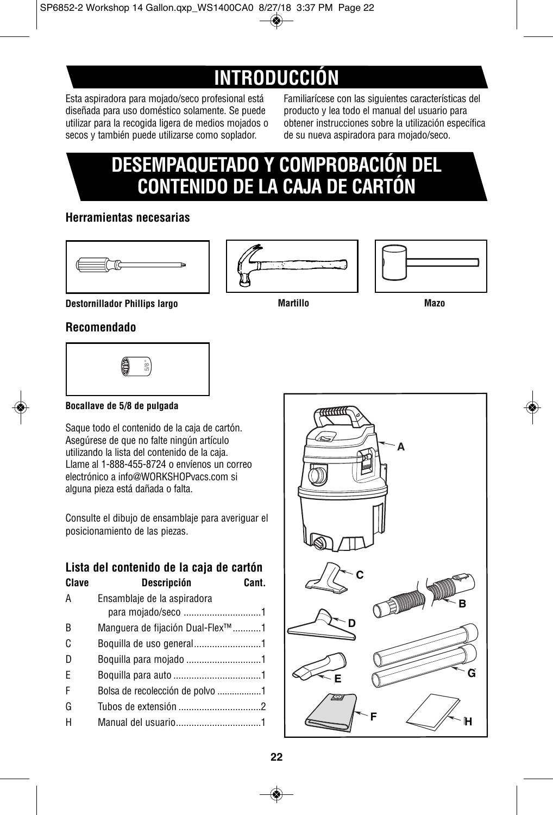### **INTRODUCCIÓN**

Esta aspiradora para mojado/seco profesional está diseñada para uso doméstico solamente. Se puede utilizar para la recogida ligera de medios mojados o secos y también puede utilizarse como soplador.

Familiarícese con las siguientes características del producto y lea todo el manual del usuario para obtener instrucciones sobre la utilización específica de su nueva aspiradora para mojado/seco.

# **DESEMPAQUETADO Y COMPROBACIÓN DEL CONTENIDO DE LA CAJA DE CARTÓN**

### **Herramientas necesarias**



**Destornillador Phillips largo**

### **Recomendado**







**Martillo Mazo**

### **Bocallave de 5/8 de pulgada**

Saque todo el contenido de la caja de cartón. Asegúrese de que no falte ningún artículo utilizando la lista del contenido de la caja. Llame al 1-888-455-8724 o envíenos un correo electrónico a info@WORKSHOPvacs.com si alguna pieza está dañada o falta.

Consulte el dibujo de ensamblaje para averiguar el posicionamiento de las piezas.

### **Lista del contenido de la caja de cartón Clave Descripción Cant.**

| Α | Ensamblaje de la aspiradora<br>para mojado/seco 1 |
|---|---------------------------------------------------|
| B | Manquera de fijación Dual-Flex <sup>™</sup> 1     |
| C | Boquilla de uso general1                          |
| D | Boquilla para mojado 1                            |
| E |                                                   |
| F | Bolsa de recolección de polvo 1                   |
| G |                                                   |
| Н |                                                   |

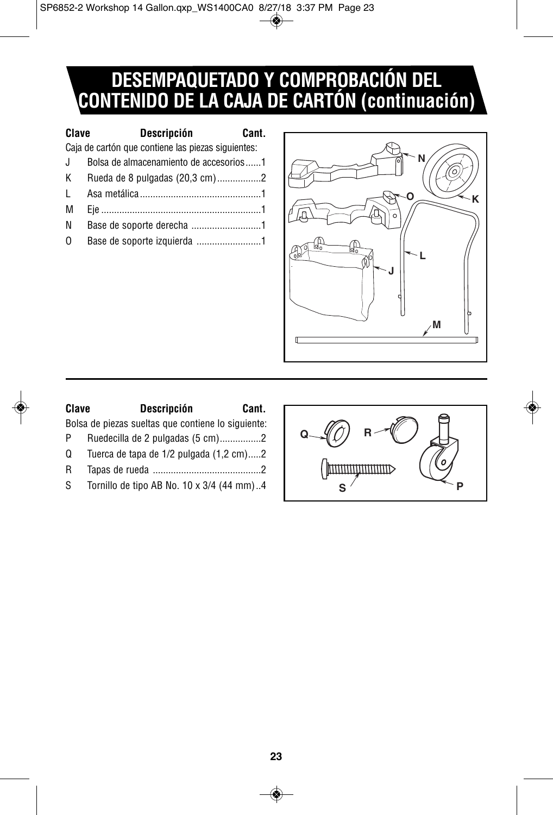### **DESEMPAQUETADO Y COMPROBACIÓN DEL CONTENIDO DE LA CAJA DE CARTÓN (continuación)**

| Clave | <b>Descripción</b>                                 | Cant. |
|-------|----------------------------------------------------|-------|
|       | Caja de cartón que contiene las piezas siguientes: |       |
| J     | Bolsa de almacenamiento de accesorios1             |       |
| K     | Rueda de 8 pulgadas (20,3 cm)2                     |       |
| L     |                                                    |       |
| М     |                                                    |       |
| N     |                                                    |       |
| 0     | Base de soporte izquierda 1                        |       |



| Clave | <b>Descripción</b>                                 | Cant. |
|-------|----------------------------------------------------|-------|
|       | Bolsa de piezas sueltas que contiene lo siguiente: |       |
| P     | Ruedecilla de 2 pulgadas (5 cm)2                   |       |

- Q Tuerca de tapa de 1/2 pulgada (1,2 cm).....2
- R Tapas de rueda ..........................................2
- S Tornillo de tipo AB No. 10 x 3/4 (44 mm)..4

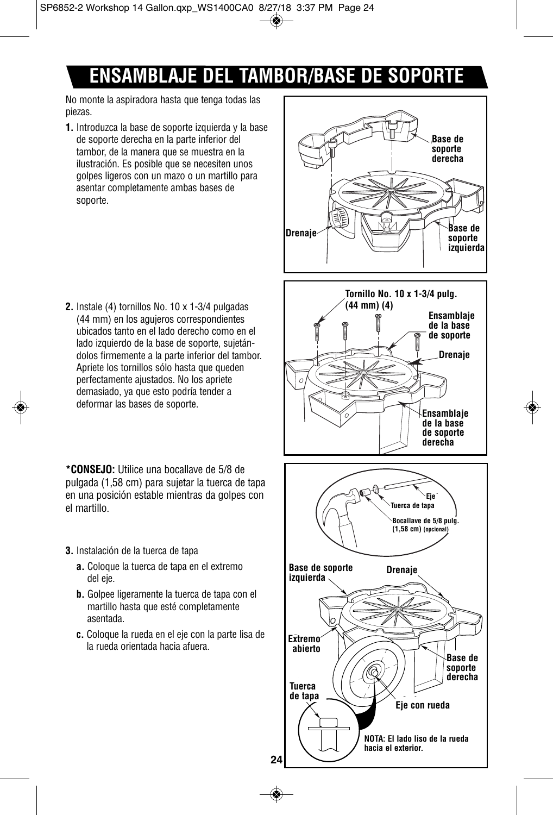### **ENSAMBLAJE DEL TAMBOR/BASE DE SOPORTE**

No monte la aspiradora hasta que tenga todas las piezas.

**1.** Introduzca la base de soporte izquierda y la base de soporte derecha en la parte inferior del tambor, de la manera que se muestra en la ilustración. Es posible que se necesiten unos golpes ligeros con un mazo o un martillo para asentar completamente ambas bases de soporte.

**2.** Instale (4) tornillos No. 10 x 1-3/4 pulgadas (44 mm) en los agujeros correspondientes ubicados tanto en el lado derecho como en el lado izquierdo de la base de soporte, sujetándolos firmemente a la parte inferior del tambor. Apriete los tornillos sólo hasta que queden perfectamente ajustados. No los apriete demasiado, ya que esto podría tender a deformar las bases de soporte.

**\*CONSEJO:** Utilice una bocallave de 5/8 de pulgada (1,58 cm) para sujetar la tuerca de tapa en una posición estable mientras da golpes con el martillo.

- **3.** Instalación de la tuerca de tapa
	- **a.** Coloque la tuerca de tapa en el extremo del eje.
	- **b.** Golpee ligeramente la tuerca de tapa con el martillo hasta que esté completamente asentada.
	- **c.** Coloque la rueda en el eje con la parte lisa de la rueda orientada hacia afuera.





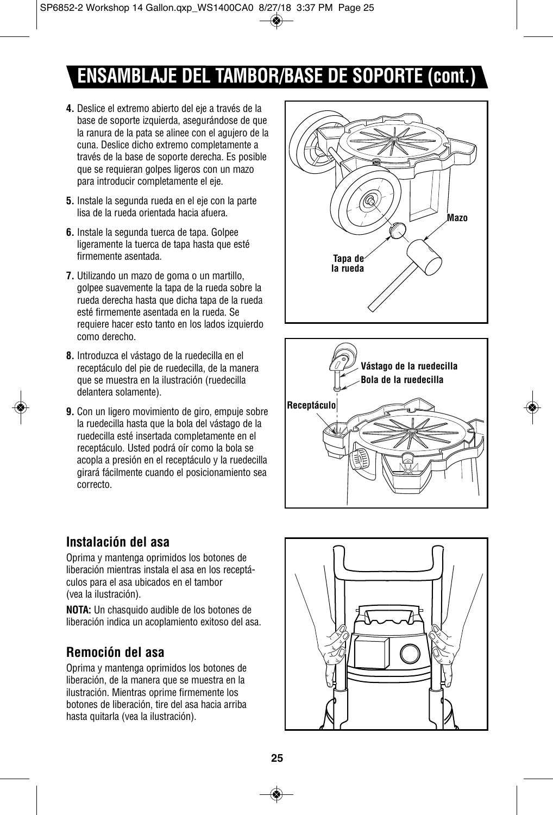# **ENSAMBLAJE DEL TAMBOR/BASE DE SOPORTE (cont.)**

- **4.** Deslice el extremo abierto del eje a través de la base de soporte izquierda, asegurándose de que la ranura de la pata se alinee con el agujero de la cuna. Deslice dicho extremo completamente a través de la base de soporte derecha. Es posible que se requieran golpes ligeros con un mazo para introducir completamente el eje.
- **5.** Instale la segunda rueda en el eje con la parte lisa de la rueda orientada hacia afuera.
- **6.** Instale la segunda tuerca de tapa. Golpee ligeramente la tuerca de tapa hasta que esté firmemente asentada.
- **7.** Utilizando un mazo de goma o un martillo, golpee suavemente la tapa de la rueda sobre la rueda derecha hasta que dicha tapa de la rueda esté firmemente asentada en la rueda. Se requiere hacer esto tanto en los lados izquierdo como derecho.
- **8.** Introduzca el vástago de la ruedecilla en el receptáculo del pie de ruedecilla, de la manera que se muestra en la ilustración (ruedecilla delantera solamente).
- **9.** Con un ligero movimiento de giro, empuje sobre la ruedecilla hasta que la bola del vástago de la ruedecilla esté insertada completamente en el receptáculo. Usted podrá oír como la bola se acopla a presión en el receptáculo y la ruedecilla girará fácilmente cuando el posicionamiento sea correcto.

# $M$ azo **Wheel Tapa de Cap la rueda**



### **Instalación del asa**

Oprima y mantenga oprimidos los botones de liberación mientras instala el asa en los receptáculos para el asa ubicados en el tambor (vea la ilustración).

**NOTA:** Un chasquido audible de los botones de liberación indica un acoplamiento exitoso del asa.

### **Remoción del asa**

Oprima y mantenga oprimidos los botones de liberación, de la manera que se muestra en la ilustración. Mientras oprime firmemente los botones de liberación, tire del asa hacia arriba hasta quitarla (vea la ilustración).

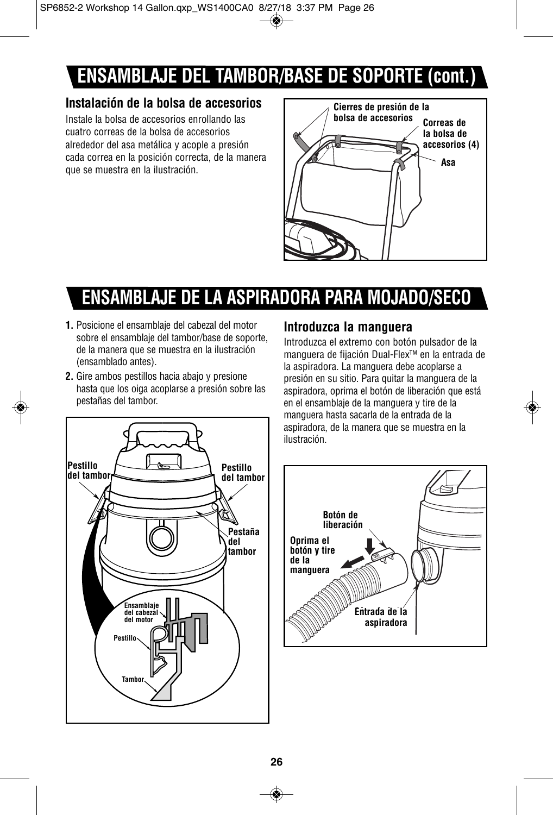# **ENSAMBLAJE DEL TAMBOR/BASE DE SOPORTE (cont.)**

### **Instalación de la bolsa de accesorios**

Instale la bolsa de accesorios enrollando las cuatro correas de la bolsa de accesorios alrededor del asa metálica y acople a presión cada correa en la posición correcta, de la manera que se muestra en la ilustración. **Asa**



# **ENSAMBLAJE DE LA ASPIRADORA PARA MOJADO/SECO**

- **1.** Posicione el ensamblaje del cabezal del motor sobre el ensamblaje del tambor/base de soporte, de la manera que se muestra en la ilustración (ensamblado antes).
- **2.** Gire ambos pestillos hacia abajo y presione hasta que los oiga acoplarse a presión sobre las pestañas del tambor.



### **Introduzca la manguera**

Introduzca el extremo con botón pulsador de la manguera de fijación Dual-Flex™ en la entrada de la aspiradora. La manguera debe acoplarse a presión en su sitio. Para quitar la manguera de la aspiradora, oprima el botón de liberación que está en el ensamblaje de la manguera y tire de la manguera hasta sacarla de la entrada de la aspiradora, de la manera que se muestra en la ilustración.

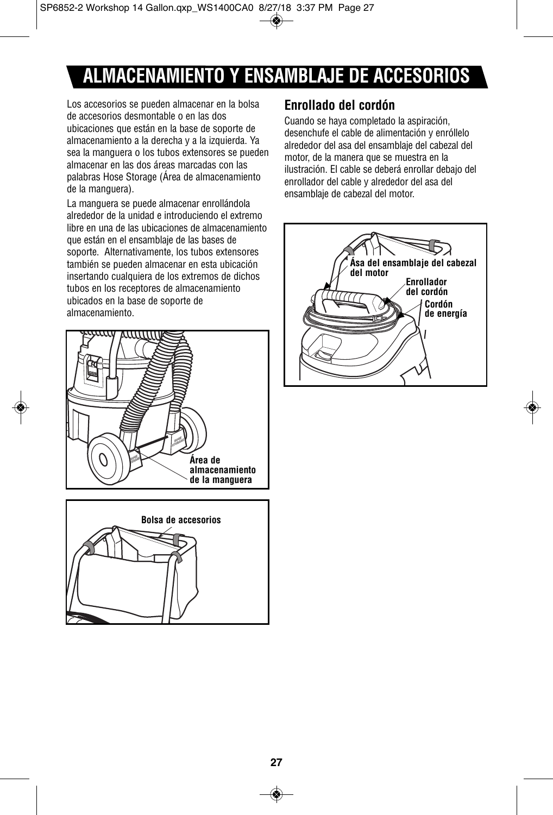# **ALMACENAMIENTO Y ENSAMBLAJE DE ACCESORIOS**

Los accesorios se pueden almacenar en la bolsa de accesorios desmontable o en las dos ubicaciones que están en la base de soporte de almacenamiento a la derecha y a la izquierda. Ya sea la manguera o los tubos extensores se pueden almacenar en las dos áreas marcadas con las palabras Hose Storage (Área de almacenamiento de la manguera).

La manguera se puede almacenar enrollándola alrededor de la unidad e introduciendo el extremo libre en una de las ubicaciones de almacenamiento que están en el ensamblaje de las bases de soporte. Alternativamente, los tubos extensores también se pueden almacenar en esta ubicación insertando cualquiera de los extremos de dichos tubos en los receptores de almacenamiento ubicados en la base de soporte de almacenamiento.





### **Enrollado del cordón**

Cuando se haya completado la aspiración, desenchufe el cable de alimentación y enróllelo alrededor del asa del ensamblaje del cabezal del motor, de la manera que se muestra en la ilustración. El cable se deberá enrollar debajo del enrollador del cable y alrededor del asa del ensamblaje de cabezal del motor.



◈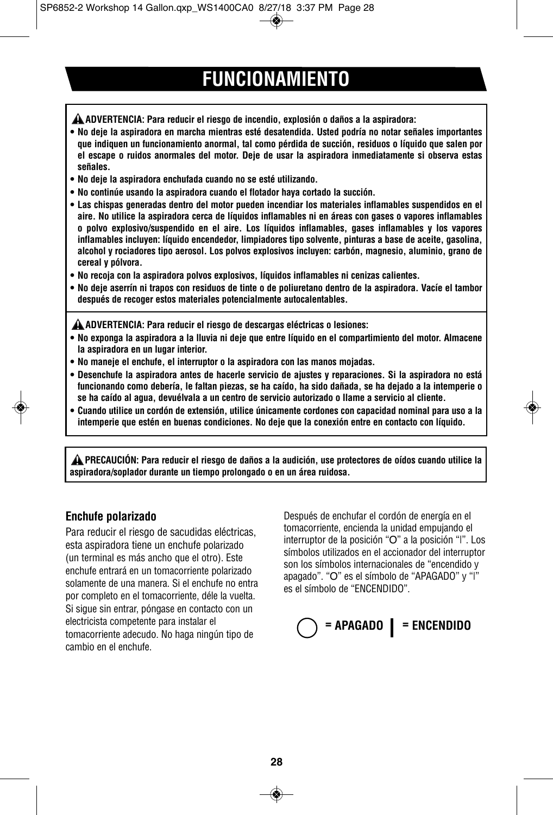### **FUNCIONAMIENTO**

**ADVERTENCIA: Para reducir el riesgo de incendio, explosión o daños a la aspiradora:**

- **• No deje la aspiradora en marcha mientras esté desatendida. Usted podría no notar señales importantes que indiquen un funcionamiento anormal, tal como pérdida de succión, residuos o líquido que salen por el escape o ruidos anormales del motor. Deje de usar la aspiradora inmediatamente si observa estas señales.**
- **• No deje la aspiradora enchufada cuando no se esté utilizando.**
- **• No continúe usando la aspiradora cuando el flotador haya cortado la succión.**
- **• Las chispas generadas dentro del motor pueden incendiar los materiales inflamables suspendidos en el aire. No utilice la aspiradora cerca de líquidos inflamables ni en áreas con gases o vapores inflamables o polvo explosivo/suspendido en el aire. Los líquidos inflamables, gases inflamables y los vapores inflamables incluyen: líquido encendedor, limpiadores tipo solvente, pinturas a base de aceite, gasolina, alcohol y rociadores tipo aerosol. Los polvos explosivos incluyen: carbón, magnesio, aluminio, grano de cereal y pólvora.**
- **• No recoja con la aspiradora polvos explosivos, líquidos inflamables ni cenizas calientes.**
- · No deje aserrín ni trapos con residuos de tinte o de poliuretano dentro de la aspiradora. Vacíe el tambor **después de recoger estos materiales potencialmente autocalentables.**

**ADVERTENCIA: Para reducir el riesgo de descargas eléctricas o lesiones:**

- · No exponga la aspiradora a la lluvia ni deje que entre líquido en el compartimiento del motor. Almacene **la aspiradora en un lugar interior.**
- **• No maneje el enchufe, el interruptor o la aspiradora con las manos mojadas.**
- **• Desenchufe la aspiradora antes de hacerle servicio de ajustes y reparaciones. Si la aspiradora no está** funcionando como debería, le faltan piezas, se ha caído, ha sido dañada, se ha dejado a la intemperie o **se ha caído al agua, devuélvala a un centro de servicio autorizado o llame a servicio al cliente.**
- **• Cuando utilice un cordón de extensión, utilice únicamente cordones con capacidad nominal para uso a la intemperie que estén en buenas condiciones. No deje que la conexión entre en contacto con líquido.**

**PRECAUCIÓN: Para reducir el riesgo de daños a la audición, use protectores de oídos cuando utilice la aspiradora/soplador durante un tiempo prolongado o en un área ruidosa.**

### **Enchufe polarizado**

Para reducir el riesgo de sacudidas eléctricas, esta aspiradora tiene un enchufe polarizado (un terminal es más ancho que el otro). Este enchufe entrará en un tomacorriente polarizado solamente de una manera. Si el enchufe no entra por completo en el tomacorriente, déle la vuelta. Si sigue sin entrar, póngase en contacto con un electricista competente para instalar el tomacorriente adecudo. No haga ningún tipo de cambio en el enchufe.

Después de enchufar el cordón de energía en el tomacorriente, encienda la unidad empujando el interruptor de la posición "O" a la posición "|". Los símbolos utilizados en el accionador del interruptor son los símbolos internacionales de "encendido y apagado". "O" es el símbolo de "APAGADO" y "|" es el símbolo de "ENCENDIDO".

**= APAGADO = ENCENDIDO**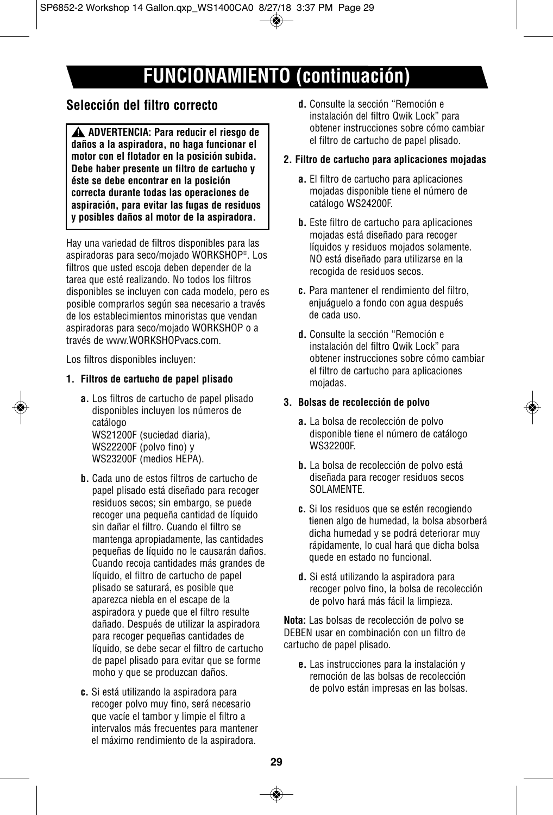### **FUNCIONAMIENTO (continuación)**

### **Selección del filtro correcto**

**ADVERTENCIA: Para reducir el riesgo de ! daños a la aspiradora, no haga funcionar el motor con el flotador en la posición subida. Debe haber presente un filtro de cartucho y éste se debe encontrar en la posición correcta durante todas las operaciones de aspiración, para evitar las fugas de residuos y posibles daños al motor de la aspiradora.**

Hay una variedad de filtros disponibles para las aspiradoras para seco/mojado WORKSHOP®. Los filtros que usted escoja deben depender de la tarea que esté realizando. No todos los filtros disponibles se incluyen con cada modelo, pero es posible comprarlos según sea necesario a través de los establecimientos minoristas que vendan aspiradoras para seco/mojado WORKSHOP o a través de www.WORKSHOPvacs.com.

Los filtros disponibles incluyen:

#### **1. Filtros de cartucho de papel plisado**

- **a.** Los filtros de cartucho de papel plisado disponibles incluyen los números de catálogo WS21200F (suciedad diaria), WS22200F (polvo fino) y WS23200F (medios HEPA).
- **b.** Cada uno de estos filtros de cartucho de papel plisado está diseñado para recoger residuos secos; sin embargo, se puede recoger una pequeña cantidad de líquido sin dañar el filtro. Cuando el filtro se mantenga apropiadamente, las cantidades pequeñas de líquido no le causarán daños. Cuando recoja cantidades más grandes de líquido, el filtro de cartucho de papel plisado se saturará, es posible que aparezca niebla en el escape de la aspiradora y puede que el filtro resulte dañado. Después de utilizar la aspiradora para recoger pequeñas cantidades de líquido, se debe secar el filtro de cartucho de papel plisado para evitar que se forme moho y que se produzcan daños.
- **c.** Si está utilizando la aspiradora para recoger polvo muy fino, será necesario que vacíe el tambor y limpie el filtro a intervalos más frecuentes para mantener el máximo rendimiento de la aspiradora.

**d.** Consulte la sección "Remoción e instalación del filtro Qwik Lock" para obtener instrucciones sobre cómo cambiar el filtro de cartucho de papel plisado.

#### **2. Filtro de cartucho para aplicaciones mojadas**

- **a.** El filtro de cartucho para aplicaciones mojadas disponible tiene el número de catálogo WS24200F.
- **b.** Este filtro de cartucho para aplicaciones mojadas está diseñado para recoger líquidos y residuos mojados solamente. NO está diseñado para utilizarse en la recogida de residuos secos.
- **c.** Para mantener el rendimiento del filtro, enjuáguelo a fondo con agua después de cada uso.
- **d.** Consulte la sección "Remoción e instalación del filtro Qwik Lock" para obtener instrucciones sobre cómo cambiar el filtro de cartucho para aplicaciones mojadas.

#### **3. Bolsas de recolección de polvo**

- **a.** La bolsa de recolección de polvo disponible tiene el número de catálogo WS32200F.
- **b.** La bolsa de recolección de polvo está diseñada para recoger residuos secos SOLAMENTE.
- **c.** Si los residuos que se estén recogiendo tienen algo de humedad, la bolsa absorberá dicha humedad y se podrá deteriorar muy rápidamente, lo cual hará que dicha bolsa quede en estado no funcional.
- **d.** Si está utilizando la aspiradora para recoger polvo fino, la bolsa de recolección de polvo hará más fácil la limpieza.

**Nota:** Las bolsas de recolección de polvo se DEBEN usar en combinación con un filtro de cartucho de papel plisado.

**e.** Las instrucciones para la instalación y remoción de las bolsas de recolección de polvo están impresas en las bolsas.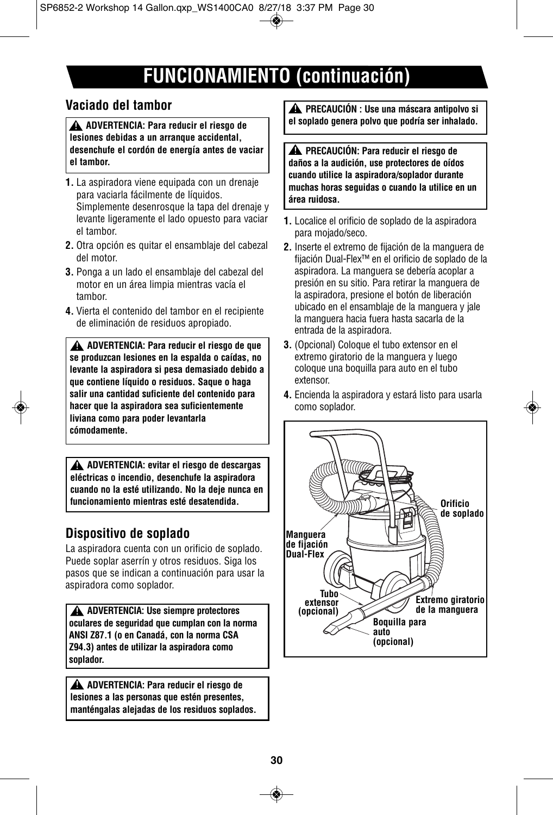# **FUNCIONAMIENTO (continuación)**

### **Vaciado del tambor**

**ADVERTENCIA: Para reducir el riesgo de ! lesiones debidas a un arranque accidental, desenchufe el cordón de energía antes de vaciar el tambor.**

- **1.** La aspiradora viene equipada con un drenaje para vaciarla fácilmente de líquidos. Simplemente desenrosque la tapa del drenaje y levante ligeramente el lado opuesto para vaciar el tambor.
- **2.** Otra opción es quitar el ensamblaje del cabezal del motor.
- **3.** Ponga a un lado el ensamblaje del cabezal del motor en un área limpia mientras vacía el tambor.
- **4.** Vierta el contenido del tambor en el recipiente de eliminación de residuos apropiado.

**ADVERTENCIA: Para reducir el riesgo de que ! se produzcan lesiones en la espalda o caídas, no levante la aspiradora si pesa demasiado debido a que contiene líquido o residuos. Saque o haga salir una cantidad suficiente del contenido para hacer que la aspiradora sea suficientemente liviana como para poder levantarla cómodamente.**

**ADVERTENCIA: evitar el riesgo de descargas ! eléctricas o incendio, desenchufe la aspiradora cuando no la esté utilizando. No la deje nunca en funcionamiento mientras esté desatendida.**

### **Dispositivo de soplado**

La aspiradora cuenta con un orificio de soplado. Puede soplar aserrín y otros residuos. Siga los pasos que se indican a continuación para usar la aspiradora como soplador.

**ADVERTENCIA: Use siempre protectores ! oculares de seguridad que cumplan con la norma ANSI Z87.1 (o en Canadá, con la norma CSA Z94.3) antes de utilizar la aspiradora como soplador.**

**ADVERTENCIA: Para reducir el riesgo de ! lesiones a las personas que estén presentes, manténgalas alejadas de los residuos soplados.**

**PRECAUCIÓN : Use una máscara antipolvo si ! el soplado genera polvo que podría ser inhalado.**

**PRECAUCIÓN: Para reducir el riesgo de ! daños a la audición, use protectores de oídos cuando utilice la aspiradora/soplador durante muchas horas seguidas o cuando la utilice en un área ruidosa.**

- **1.** Localice el orificio de soplado de la aspiradora para mojado/seco.
- **2.** Inserte el extremo de fijación de la manguera de fijación Dual-Flex™ en el orificio de soplado de la aspiradora. La manguera se debería acoplar a presión en su sitio. Para retirar la manguera de la aspiradora, presione el botón de liberación ubicado en el ensamblaje de la manguera y jale la manguera hacia fuera hasta sacarla de la entrada de la aspiradora.
- **3.** (Opcional) Coloque el tubo extensor en el extremo giratorio de la manguera y luego coloque una boquilla para auto en el tubo extensor.
- **4.** Encienda la aspiradora y estará listo para usarla como soplador.

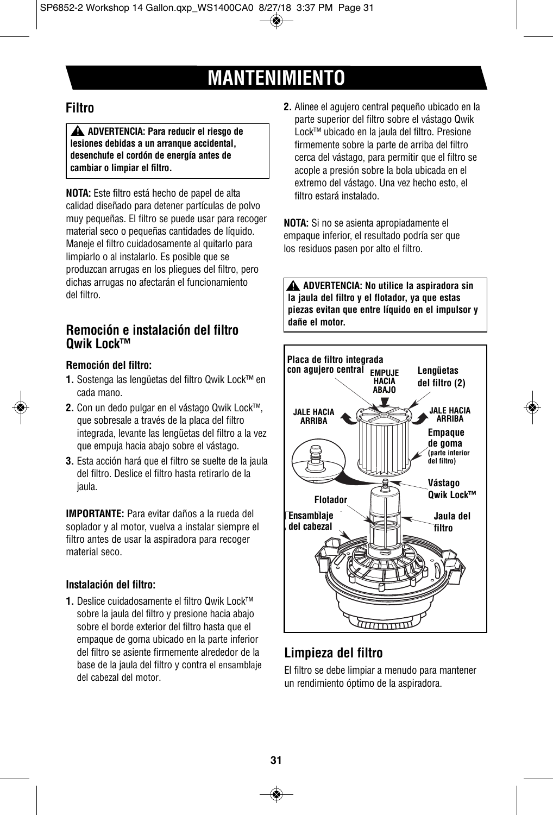# **MANTENIMIENTO**

### **Filtro**

**ADVERTENCIA: Para reducir el riesgo de ! lesiones debidas a un arranque accidental, desenchufe el cordón de energía antes de cambiar o limpiar el filtro.**

**NOTA:** Este filtro está hecho de papel de alta calidad diseñado para detener partículas de polvo muy pequeñas. El filtro se puede usar para recoger material seco o pequeñas cantidades de líquido. Maneje el filtro cuidadosamente al quitarlo para limpiarlo o al instalarlo. Es posible que se produzcan arrugas en los pliegues del filtro, pero dichas arrugas no afectarán el funcionamiento del filtro.

### **Remoción e instalación del filtro Qwik Lock™**

#### **Remoción del filtro:**

- **1.** Sostenga las lengüetas del filtro Qwik Lock™ en cada mano.
- **2.** Con un dedo pulgar en el vástago Qwik Lock™, que sobresale a través de la placa del filtro integrada, levante las lengüetas del filtro a la vez que empuja hacia abajo sobre el vástago.
- **3.** Esta acción hará que el filtro se suelte de la jaula del filtro. Deslice el filtro hasta retirarlo de la jaula.

**IMPORTANTE:** Para evitar daños a la rueda del soplador y al motor, vuelva a instalar siempre el filtro antes de usar la aspiradora para recoger material seco.

#### **Instalación del filtro:**

**1.** Deslice cuidadosamente el filtro Qwik Lock™ sobre la jaula del filtro y presione hacia abajo sobre el borde exterior del filtro hasta que el empaque de goma ubicado en la parte inferior del filtro se asiente firmemente alrededor de la base de la jaula del filtro y contra el ensamblaje del cabezal del motor.

**2.** Alinee el agujero central pequeño ubicado en la parte superior del filtro sobre el vástago Qwik Lock™ ubicado en la jaula del filtro. Presione firmemente sobre la parte de arriba del filtro cerca del vástago, para permitir que el filtro se acople a presión sobre la bola ubicada en el extremo del vástago. Una vez hecho esto, el filtro estará instalado.

**NOTA:** Si no se asienta apropiadamente el empaque inferior, el resultado podría ser que los residuos pasen por alto el filtro.

**ADVERTENCIA: No utilice la aspiradora sin ! la jaula del filtro y el flotador, ya que estas piezas evitan que entre líquido en el impulsor y dañe el motor.**



### **Limpieza del filtro**

El filtro se debe limpiar a menudo para mantener un rendimiento óptimo de la aspiradora.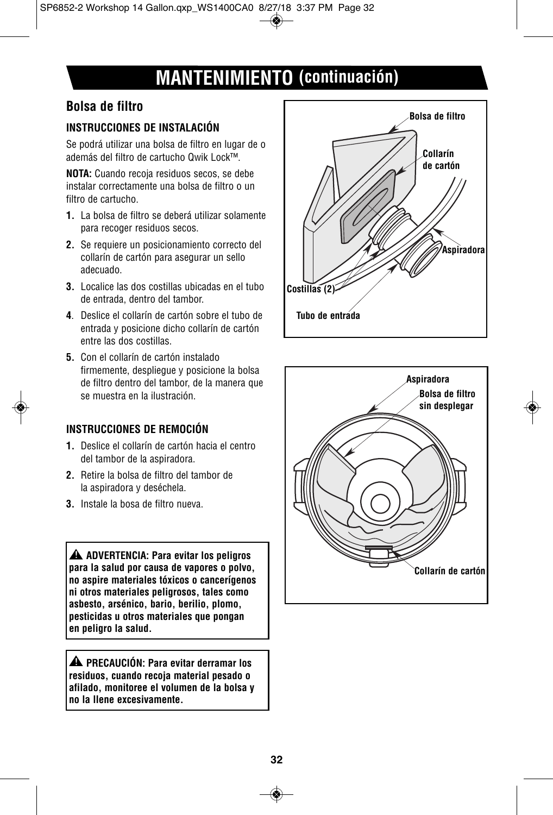### **MANTENIMIENTO (continuación)**

### **Bolsa de filtro**

### **INSTRUCCIONES DE INSTALACIÓN**

Se podrá utilizar una bolsa de filtro en lugar de o además del filtro de cartucho Qwik Lock™.

**NOTA:** Cuando recoja residuos secos, se debe instalar correctamente una bolsa de filtro o un filtro de cartucho.

- **1.** La bolsa de filtro se deberá utilizar solamente para recoger residuos secos.
- **2.** Se requiere un posicionamiento correcto del collarín de cartón para asegurar un sello adecuado.
- **3.** Localice las dos costillas ubicadas en el tubo de entrada, dentro del tambor.
- **4**. Deslice el collarín de cartón sobre el tubo de entrada y posicione dicho collarín de cartón entre las dos costillas.
- **5.** Con el collarín de cartón instalado firmemente, despliegue y posicione la bolsa de filtro dentro del tambor, de la manera que se muestra en la ilustración.

### **INSTRUCCIONES DE REMOCIÓN**

- **1.** Deslice el collarín de cartón hacia el centro del tambor de la aspiradora.
- **2.** Retire la bolsa de filtro del tambor de la aspiradora y deséchela.
- **3.** Instale la bosa de filtro nueva.

**ADVERTENCIA: Para evitar los peligros ! para la salud por causa de vapores o polvo, no aspire materiales tóxicos o cancerígenos ni otros materiales peligrosos, tales como asbesto, arsénico, bario, berilio, plomo, pesticidas u otros materiales que pongan en peligro la salud.**

**PRECAUCIÓN: Para evitar derramar los ! residuos, cuando recoja material pesado o afilado, monitoree el volumen de la bolsa y no la llene excesivamente.**



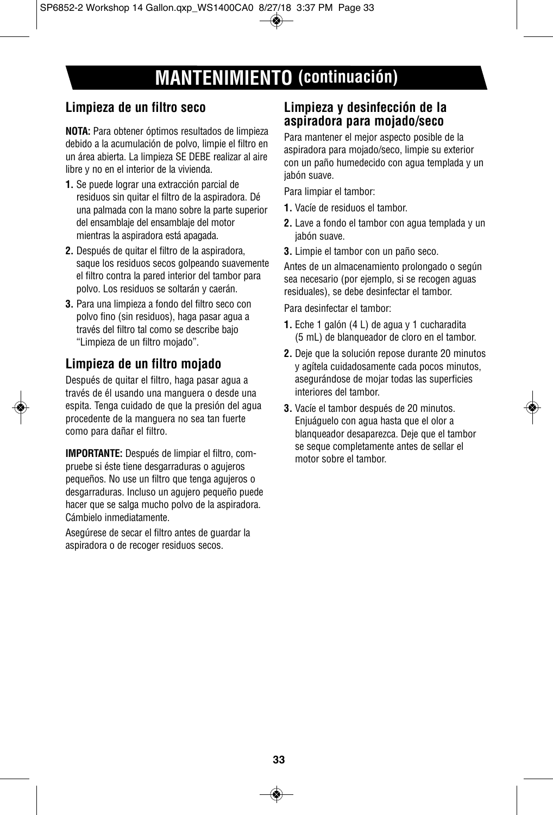### **MANTENIMIENTO (continuación)**

### **Limpieza de un filtro seco**

**NOTA:** Para obtener óptimos resultados de limpieza debido a la acumulación de polvo, limpie el filtro en un área abierta. La limpieza SE DEBE realizar al aire libre y no en el interior de la vivienda.

- **1.** Se puede lograr una extracción parcial de residuos sin quitar el filtro de la aspiradora. Dé una palmada con la mano sobre la parte superior del ensamblaje del ensamblaje del motor mientras la aspiradora está apagada.
- **2.** Después de quitar el filtro de la aspiradora, saque los residuos secos golpeando suavemente el filtro contra la pared interior del tambor para polvo. Los residuos se soltarán y caerán.
- **3.** Para una limpieza a fondo del filtro seco con polvo fino (sin residuos), haga pasar agua a través del filtro tal como se describe bajo "Limpieza de un filtro mojado".

### **Limpieza de un filtro mojado**

Después de quitar el filtro, haga pasar agua a través de él usando una manguera o desde una espita. Tenga cuidado de que la presión del agua procedente de la manguera no sea tan fuerte como para dañar el filtro.

**IMPORTANTE:** Después de limpiar el filtro, compruebe si éste tiene desgarraduras o agujeros pequeños. No use un filtro que tenga agujeros o desgarraduras. Incluso un agujero pequeño puede hacer que se salga mucho polvo de la aspiradora. Cámbielo inmediatamente.

Asegúrese de secar el filtro antes de guardar la aspiradora o de recoger residuos secos.

### **Limpieza y desinfección de la aspiradora para mojado/seco**

Para mantener el mejor aspecto posible de la aspiradora para mojado/seco, limpie su exterior con un paño humedecido con agua templada y un jabón suave.

Para limpiar el tambor:

- **1.** Vacíe de residuos el tambor.
- **2.** Lave a fondo el tambor con agua templada y un jabón suave.
- **3.** Limpie el tambor con un paño seco.

Antes de un almacenamiento prolongado o según sea necesario (por ejemplo, si se recogen aguas residuales), se debe desinfectar el tambor.

Para desinfectar el tambor:

- **1.** Eche 1 galón (4 L) de agua y 1 cucharadita (5 mL) de blanqueador de cloro en el tambor.
- **2.** Deje que la solución repose durante 20 minutos y agítela cuidadosamente cada pocos minutos, asegurándose de mojar todas las superficies interiores del tambor.
- **3.** Vacíe el tambor después de 20 minutos. Enjuáguelo con agua hasta que el olor a blanqueador desaparezca. Deje que el tambor se seque completamente antes de sellar el motor sobre el tambor.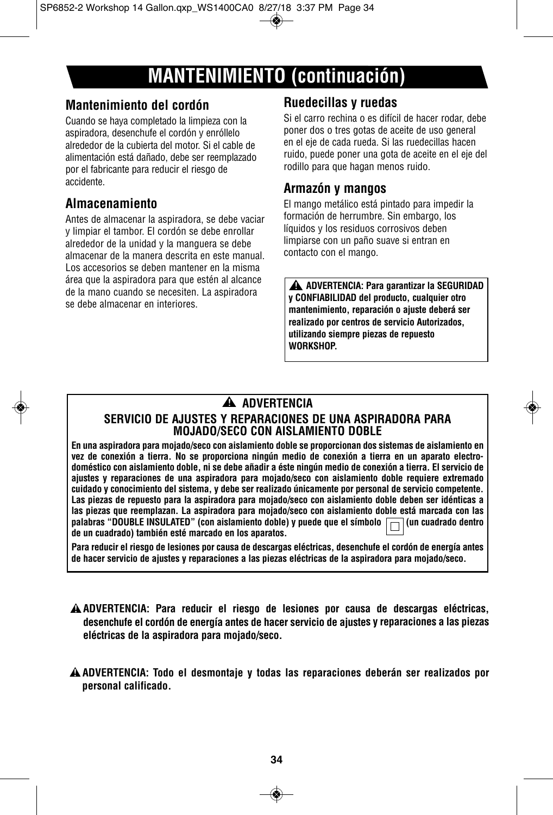# **MANTENIMIENTO (continuación)**

### **Mantenimiento del cordón**

Cuando se haya completado la limpieza con la aspiradora, desenchufe el cordón y enróllelo alrededor de la cubierta del motor. Si el cable de alimentación está dañado, debe ser reemplazado por el fabricante para reducir el riesgo de accidente.

### **Almacenamiento**

Antes de almacenar la aspiradora, se debe vaciar y limpiar el tambor. El cordón se debe enrollar alrededor de la unidad y la manguera se debe almacenar de la manera descrita en este manual. Los accesorios se deben mantener en la misma área que la aspiradora para que estén al alcance de la mano cuando se necesiten. La aspiradora se debe almacenar en interiores.

### **Ruedecillas y ruedas**

Si el carro rechina o es difícil de hacer rodar, debe poner dos o tres gotas de aceite de uso general en el eje de cada rueda. Si las ruedecillas hacen ruido, puede poner una gota de aceite en el eje del rodillo para que hagan menos ruido.

### **Armazón y mangos**

El mango metálico está pintado para impedir la formación de herrumbre. Sin embargo, los líquidos y los residuos corrosivos deben limpiarse con un paño suave si entran en contacto con el mango.

**ADVERTENCIA: Para garantizar la SEGURIDAD ! y CONFIABILIDAD del producto, cualquier otro mantenimiento, reparación o ajuste deberá ser realizado por centros de servicio Autorizados, utilizando siempre piezas de repuesto WORKSHOP.**

### **ADVERTENCIA !**

### **SERVICIO DE AJUSTES Y REPARACIONES DE UNA ASPIRADORA PARA MOJADO/SECO CON AISLAMIENTO DOBLE**

**En una aspiradora para mojado/seco con aislamiento doble se proporcionan dos sistemas de aislamiento en** vez de conexión a tierra. No se proporciona ningún medio de conexión a tierra en un aparato electrodoméstico con aislamiento doble, ni se debe añadir a éste ningún medio de conexión a tierra. El servicio de **ajustes y reparaciones de una aspiradora para mojado/seco con aislamiento doble requiere extremado cuidado y conocimiento del sistema, y debe ser realizado únicamente por personal de servicio competente. Las piezas de repuesto para la aspiradora para mojado/seco con aislamiento doble deben ser idénticas a las piezas que reemplazan. La aspiradora para mojado/seco con aislamiento doble está marcada con las palabras "DOUBLE INSULATED" (con aislamiento doble) y puede que el símbolo (un cuadrado dentro de un cuadrado) también esté marcado en los aparatos.**

Para reducir el riesgo de lesiones por causa de descargas eléctricas, desenchufe el cordón de energía antes **de hacer servicio de ajustes y reparaciones a las piezas eléctricas de la aspiradora para mojado/seco.**

- **ADVERTENCIA: Para reducir el riesgo de lesiones por causa de descargas eléctricas, desenchufe el cordón de energía antes de hacer servicio de ajustes y reparaciones <sup>a</sup> las piezas eléctricas de la aspiradora para mojado/seco.**
- **ADVERTENCIA: Todo el desmontaje y todas las reparaciones deberán ser realizados por personal calificado.**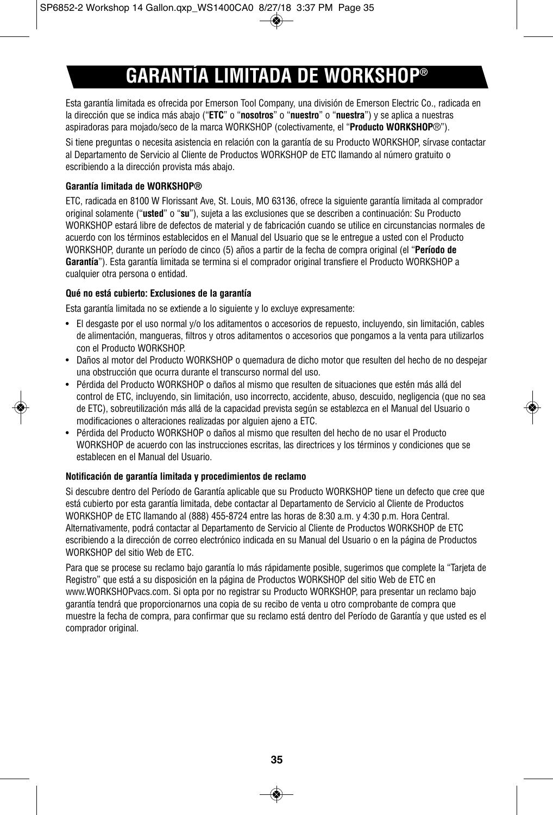# **GARANTÍA LIMITADA DE WORKSHOP®**

Esta garantía limitada es ofrecida por Emerson Tool Company, una división de Emerson Electric Co., radicada en la dirección que se indica más abajo ("**ETC**" o "**nosotros**" o "**nuestro**" o "**nuestra**") y se aplica a nuestras aspiradoras para mojado/seco de la marca WORKSHOP (colectivamente, el "**Producto WORKSHOP**®").

Si tiene preguntas o necesita asistencia en relación con la garantía de su Producto WORKSHOP, sírvase contactar al Departamento de Servicio al Cliente de Productos WORKSHOP de ETC llamando al número gratuito o escribiendo a la dirección provista más abajo.

#### **Garantía limitada de WORKSHOP®**

ETC, radicada en 8100 W Florissant Ave, St. Louis, MO 63136, ofrece la siguiente garantía limitada al comprador original solamente ("**usted**" o "**su**"), sujeta a las exclusiones que se describen a continuación: Su Producto WORKSHOP estará libre de defectos de material y de fabricación cuando se utilice en circunstancias normales de acuerdo con los términos establecidos en el Manual del Usuario que se le entregue a usted con el Producto WORKSHOP, durante un período de cinco (5) años a partir de la fecha de compra original (el "**Período de Garantía**"). Esta garantía limitada se termina si el comprador original transfiere el Producto WORKSHOP a cualquier otra persona o entidad.

#### **Qué no está cubierto: Exclusiones de la garantía**

Esta garantía limitada no se extiende a lo siguiente y lo excluye expresamente:

- El desgaste por el uso normal y/o los aditamentos o accesorios de repuesto, incluyendo, sin limitación, cables de alimentación, mangueras, filtros y otros aditamentos o accesorios que pongamos a la venta para utilizarlos con el Producto WORKSHOP.
- Daños al motor del Producto WORKSHOP o quemadura de dicho motor que resulten del hecho de no despejar una obstrucción que ocurra durante el transcurso normal del uso.
- Pérdida del Producto WORKSHOP o daños al mismo que resulten de situaciones que estén más allá del control de ETC, incluyendo, sin limitación, uso incorrecto, accidente, abuso, descuido, negligencia (que no sea de ETC), sobreutilización más allá de la capacidad prevista según se establezca en el Manual del Usuario o modificaciones o alteraciones realizadas por alguien ajeno a ETC.
- Pérdida del Producto WORKSHOP o daños al mismo que resulten del hecho de no usar el Producto WORKSHOP de acuerdo con las instrucciones escritas, las directrices y los términos y condiciones que se establecen en el Manual del Usuario.

#### **Notificación de garantía limitada y procedimientos de reclamo**

Si descubre dentro del Período de Garantía aplicable que su Producto WORKSHOP tiene un defecto que cree que está cubierto por esta garantía limitada, debe contactar al Departamento de Servicio al Cliente de Productos WORKSHOP de ETC llamando al (888) 455-8724 entre las horas de 8:30 a.m. y 4:30 p.m. Hora Central. Alternativamente, podrá contactar al Departamento de Servicio al Cliente de Productos WORKSHOP de ETC escribiendo a la dirección de correo electrónico indicada en su Manual del Usuario o en la página de Productos WORKSHOP del sitio Web de ETC.

Para que se procese su reclamo bajo garantía lo más rápidamente posible, sugerimos que complete la "Tarjeta de Registro" que está a su disposición en la página de Productos WORKSHOP del sitio Web de ETC en www.WORKSHOPvacs.com. Si opta por no registrar su Producto WORKSHOP, para presentar un reclamo bajo garantía tendrá que proporcionarnos una copia de su recibo de venta u otro comprobante de compra que muestre la fecha de compra, para confirmar que su reclamo está dentro del Período de Garantía y que usted es el comprador original.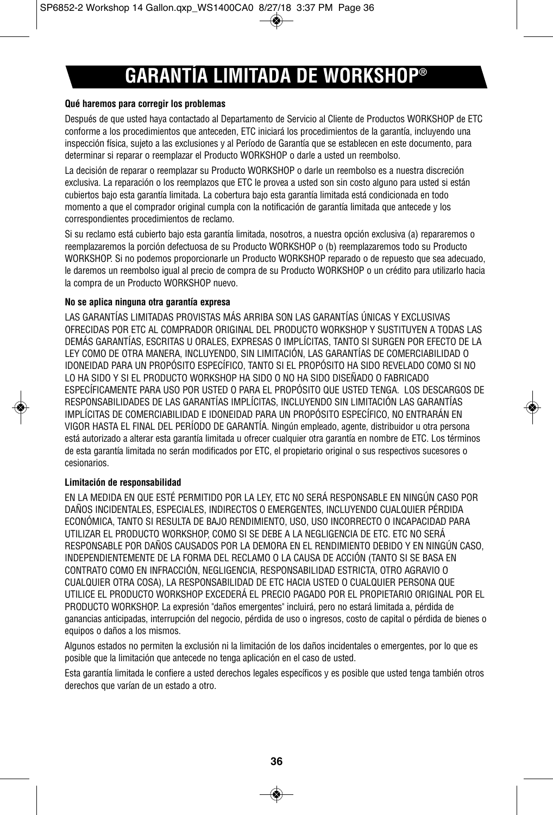# **GARANTÍA LIMITADA DE WORKSHOP®**

#### **Qué haremos para corregir los problemas**

Después de que usted haya contactado al Departamento de Servicio al Cliente de Productos WORKSHOP de ETC conforme a los procedimientos que anteceden, ETC iniciará los procedimientos de la garantía, incluyendo una inspección física, sujeto a las exclusiones y al Período de Garantía que se establecen en este documento, para determinar si reparar o reemplazar el Producto WORKSHOP o darle a usted un reembolso.

La decisión de reparar o reemplazar su Producto WORKSHOP o darle un reembolso es a nuestra discreción exclusiva. La reparación o los reemplazos que ETC le provea a usted son sin costo alguno para usted si están cubiertos bajo esta garantía limitada. La cobertura bajo esta garantía limitada está condicionada en todo momento a que el comprador original cumpla con la notificación de garantía limitada que antecede y los correspondientes procedimientos de reclamo.

Si su reclamo está cubierto bajo esta garantía limitada, nosotros, a nuestra opción exclusiva (a) repararemos o reemplazaremos la porción defectuosa de su Producto WORKSHOP o (b) reemplazaremos todo su Producto WORKSHOP. Si no podemos proporcionarle un Producto WORKSHOP reparado o de repuesto que sea adecuado, le daremos un reembolso igual al precio de compra de su Producto WORKSHOP o un crédito para utilizarlo hacia la compra de un Producto WORKSHOP nuevo.

#### **No se aplica ninguna otra garantía expresa**

LAS GARANTÍAS LIMITADAS PROVISTAS MÁS ARRIBA SON LAS GARANTÍAS ÚNICAS Y EXCLUSIVAS OFRECIDAS POR ETC AL COMPRADOR ORIGINAL DEL PRODUCTO WORKSHOP Y SUSTITUYEN A TODAS LAS DEMÁS GARANTÍAS, ESCRITAS U ORALES, EXPRESAS O IMPLÍCITAS, TANTO SI SURGEN POR EFECTO DE LA LEY COMO DE OTRA MANERA, INCLUYENDO, SIN LIMITACIÓN, LAS GARANTÍAS DE COMERCIABILIDAD O IDONEIDAD PARA UN PROPÓSITO ESPECÍFICO, TANTO SI EL PROPÓSITO HA SIDO REVELADO COMO SI NO LO HA SIDO Y SI EL PRODUCTO WORKSHOP HA SIDO O NO HA SIDO DISEÑADO O FABRICADO ESPECÍFICAMENTE PARA USO POR USTED O PARA EL PROPÓSITO QUE USTED TENGA. LOS DESCARGOS DE RESPONSABILIDADES DE LAS GARANTÍAS IMPLÍCITAS, INCLUYENDO SIN LIMITACIÓN LAS GARANTÍAS IMPLÍCITAS DE COMERCIABILIDAD E IDONEIDAD PARA UN PROPÓSITO ESPECÍFICO, NO ENTRARÁN EN VIGOR HASTA EL FINAL DEL PERÍODO DE GARANTÍA. Ningún empleado, agente, distribuidor u otra persona está autorizado a alterar esta garantía limitada u ofrecer cualquier otra garantía en nombre de ETC. Los términos de esta garantía limitada no serán modificados por ETC, el propietario original o sus respectivos sucesores o cesionarios.

#### **Limitación de responsabilidad**

EN LA MEDIDA EN QUE ESTÉ PERMITIDO POR LA LEY, ETC NO SERÁ RESPONSABLE EN NINGÚN CASO POR DAÑOS INCIDENTALES, ESPECIALES, INDIRECTOS O EMERGENTES, INCLUYENDO CUALQUIER PÉRDIDA ECONÓMICA, TANTO SI RESULTA DE BAJO RENDIMIENTO, USO, USO INCORRECTO O INCAPACIDAD PARA UTILIZAR EL PRODUCTO WORKSHOP, COMO SI SE DEBE A LA NEGLIGENCIA DE ETC. ETC NO SERÁ RESPONSABLE POR DAÑOS CAUSADOS POR LA DEMORA EN EL RENDIMIENTO DEBIDO Y EN NINGÚN CASO, INDEPENDIENTEMENTE DE LA FORMA DEL RECLAMO O LA CAUSA DE ACCIÓN (TANTO SI SE BASA EN CONTRATO COMO EN INFRACCIÓN, NEGLIGENCIA, RESPONSABILIDAD ESTRICTA, OTRO AGRAVIO O CUALQUIER OTRA COSA), LA RESPONSABILIDAD DE ETC HACIA USTED O CUALQUIER PERSONA QUE UTILICE EL PRODUCTO WORKSHOP EXCEDERÁ EL PRECIO PAGADO POR EL PROPIETARIO ORIGINAL POR EL PRODUCTO WORKSHOP. La expresión "daños emergentes" incluirá, pero no estará limitada a, pérdida de ganancias anticipadas, interrupción del negocio, pérdida de uso o ingresos, costo de capital o pérdida de bienes o equipos o daños a los mismos.

Algunos estados no permiten la exclusión ni la limitación de los daños incidentales o emergentes, por lo que es posible que la limitación que antecede no tenga aplicación en el caso de usted.

Esta garantía limitada le confiere a usted derechos legales específicos y es posible que usted tenga también otros derechos que varían de un estado a otro.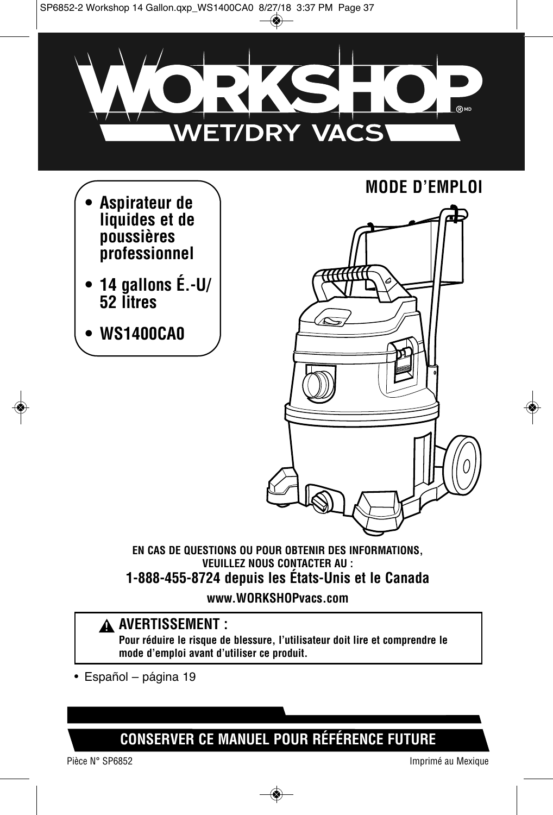



- **• Aspirateur de liquides et de poussières professionnel**
- **• 14 gallons É.-U/ 52 litres**
- **• WS1400CA0**



### **EN CAS DE QUESTIONS OU POUR OBTENIR DES INFORMATIONS, VEUILLEZ NOUS CONTACTER AU : 1-888-455-8724 depuis les États-Unis et le Canada**

### **www.WORKSHOPvacs.com**

### **AVERTISSEMENT : !**

**Pour réduire le risque de blessure, l'utilisateur doit lire et comprendre le mode d'emploi avant d'utiliser ce produit.**

• Español – página 19

### **CONSERVER CE MANUEL POUR RÉFÉRENCE FUTURE**

Pièce N° SP6852 **Imprimé** au Mexique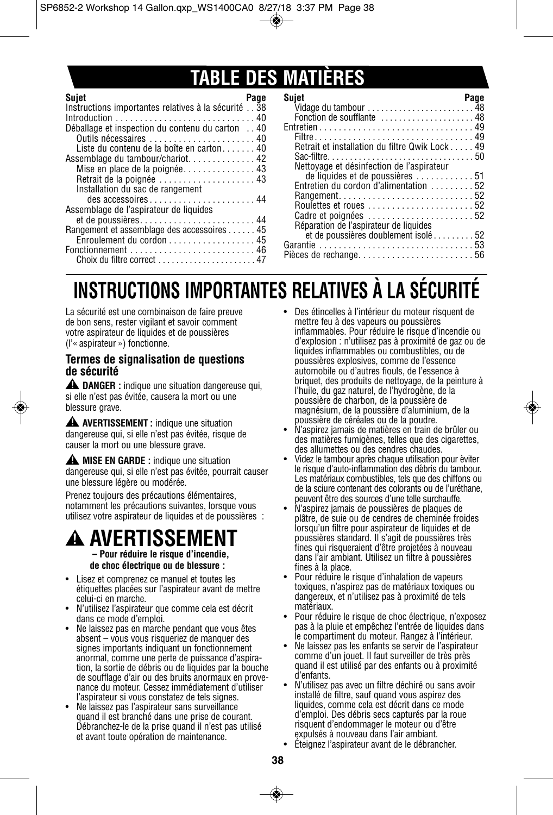### **TABLE DES MATIÈRES**

| Instructions importantes relatives à la sécurité38<br>Déballage et inspection du contenu du carton . 40<br>Outils nécessaires  40 |
|-----------------------------------------------------------------------------------------------------------------------------------|
|                                                                                                                                   |
|                                                                                                                                   |
|                                                                                                                                   |
|                                                                                                                                   |
| Liste du contenu de la boîte en carton40                                                                                          |
| Assemblage du tambour/chariot42                                                                                                   |
| Mise en place de la poignée43                                                                                                     |
| Retrait de la poignée  43                                                                                                         |
| Installation du sac de rangement                                                                                                  |
| $des$ accessoires $\dots\dots\dots\dots\dots\dots$                                                                                |
| Assemblage de l'aspirateur de liquides                                                                                            |
| et de poussières 44                                                                                                               |
| Rangement et assemblage des accessoires  45                                                                                       |
| Enroulement du cordon $\ldots \ldots \ldots \ldots$ 45                                                                            |
|                                                                                                                                   |
| Choix du filtre correct  47                                                                                                       |

| Sujet<br>Vidage du tambour 48<br>Fonction de soufflante 48<br>Retrait et installation du filtre Qwik Lock 49<br>Nettoyage et désinfection de l'aspirateur<br>de liquides et de poussières 51 | Page |
|----------------------------------------------------------------------------------------------------------------------------------------------------------------------------------------------|------|
| Entretien du cordon d'alimentation 52<br>Rangement52                                                                                                                                         |      |
| Réparation de l'aspirateur de liquides<br>et de poussières doublement isolé52<br>Pièces de rechange56                                                                                        |      |

# **INSTRUCTIONS IMPORTANTES RELATIVES À LA SÉCURITÉ**

La sécurité est une combinaison de faire preuve de bon sens, rester vigilant et savoir comment votre aspirateur de liquides et de poussières (l'« aspirateur ») fonctionne.

#### **Termes de signalisation de questions de sécurité**

**DANGER :** indique une situation dangereuse qui, **!** si elle n'est pas évitée, causera la mort ou une blessure grave.

**AVERTISSEMENT :** indique une situation **!** dangereuse qui, si elle n'est pas évitée, risque de causer la mort ou une blessure grave.

**MISE EN GARDE :** indique une situation **!** dangereuse qui, si elle n'est pas évitée, pourrait causer une blessure légère ou modérée.

Prenez toujours des précautions élémentaires, notamment les précautions suivantes, lorsque vous utilisez votre aspirateur de liquides et de poussières :

#### **AVERTISSEMENT !**

**– Pour réduire le risque d'incendie, de choc électrique ou de blessure :**

- Lisez et comprenez ce manuel et toutes les étiquettes placées sur l'aspirateur avant de mettre celui-ci en marche.
- N'utilisez l'aspirateur que comme cela est décrit dans ce mode d'emploi.
- Ne laissez pas en marche pendant que vous êtes absent – vous vous risqueriez de manquer des signes importants indiquant un fonctionnement anormal, comme une perte de puissance d'aspiration, la sortie de débris ou de liquides par la bouche de soufflage d'air ou des bruits anormaux en provenance du moteur. Cessez immédiatement d'utiliser l'aspirateur si vous constatez de tels signes.
- Ne laissez pas l'aspirateur sans surveillance quand il est branché dans une prise de courant. Débranchez-le de la prise quand il n'est pas utilisé et avant toute opération de maintenance.
- Des étincelles à l'intérieur du moteur risquent de mettre feu à des vapeurs ou poussières inflammables. Pour réduire le risque d'incendie ou d'explosion : n'utilisez pas à proximité de gaz ou de liquides inflammables ou combustibles, ou de poussières explosives, comme de l'essence automobile ou d'autres fiouls, de l'essence à briquet, des produits de nettoyage, de la peinture à l'huile, du gaz naturel, de l'hydrogène, de la poussière de charbon, de la poussière de magnésium, de la poussière d'aluminium, de la poussière de céréales ou de la poudre.
- N'aspirez jamais de matières en train de brûler ou des matières fumigènes, telles que des cigarettes, des allumettes ou des cendres chaudes.
- Videz le tambour après chaque utilisation pour éviter le risque d'auto-inflammation des débris du tambour. Les matériaux combustibles, tels que des chiffons ou de la sciure contenant des colorants ou de l'uréthane, peuvent être des sources d'une telle surchauffe.
- N'aspirez jamais de poussières de plaques de plâtre, de suie ou de cendres de cheminée froides lorsqu'un filtre pour aspirateur de liquides et de poussières standard. Il s'agit de poussières très fines qui risqueraient d'être projetées à nouveau dans l'air ambiant. Utilisez un filtre à poussières fines à la place.
- Pour réduire le risque d'inhalation de vapeurs toxiques, n'aspirez pas de matériaux toxiques ou dangereux, et n'utilisez pas à proximité de tels matériaux.
- Pour réduire le risque de choc électrique, n'exposez pas à la pluie et empêchez l'entrée de liquides dans le compartiment du moteur. Rangez à l'intérieur.
- Ne laissez pas les enfants se servir de l'aspirateur comme d'un jouet. Il faut surveiller de très près quand il est utilisé par des enfants ou à proximité d'enfants.
- N'utilisez pas avec un filtre déchiré ou sans avoir installé de filtre, sauf quand vous aspirez des liquides, comme cela est décrit dans ce mode d'emploi. Des débris secs capturés par la roue risquent d'endommager le moteur ou d'être expulsés à nouveau dans l'air ambiant.
- Éteignez l'aspirateur avant de le débrancher.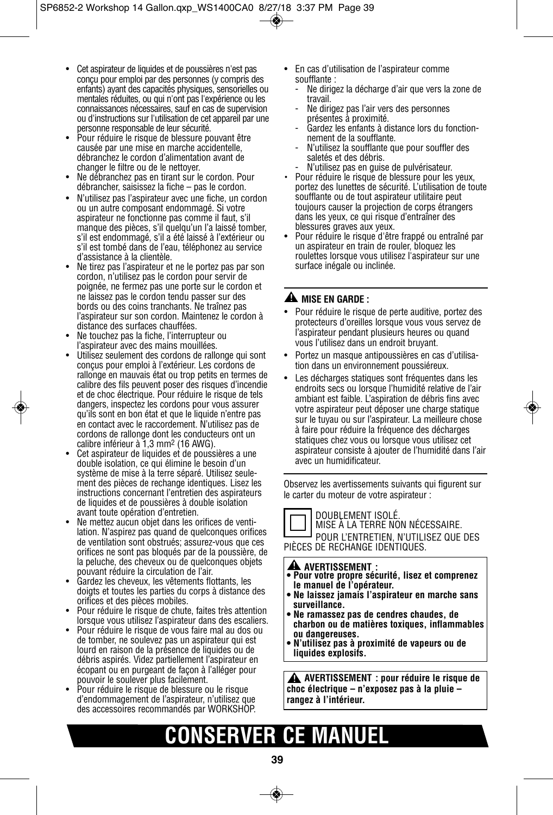SP6852-2 Workshop 14 Gallon.qxp\_WS1400CA0 8/27/18 3:37 PM Page 39

- Cet aspirateur de liquides et de poussières n'est pas conçu pour emploi par des personnes (y compris des enfants) ayant des capacités physiques, sensorielles ou mentales réduites, ou qui n'ont pas l'expérience ou les connaissances nécessaires, sauf en cas de supervision ou d'instructions sur l'utilisation de cet appareil par une personne responsable de leur sécurité.
- Pour réduire le risque de blessure pouvant être causée par une mise en marche accidentelle, débranchez le cordon d'alimentation avant de changer le filtre ou de le nettoyer.
- Ne débranchez pas en tirant sur le cordon. Pour débrancher, saisissez la fiche – pas le cordon.
- N'utilisez pas l'aspirateur avec une fiche, un cordon ou un autre composant endommagé. Si votre aspirateur ne fonctionne pas comme il faut, s'il manque des pièces, s'il quelqu'un l'a laissé tomber, s'il est endommagé, s'il a été laissé à l'extérieur ou s'il est tombé dans de l'eau, téléphonez au service d'assistance à la clientèle.
- Ne tirez pas l'aspirateur et ne le portez pas par son cordon, n'utilisez pas le cordon pour servir de poignée, ne fermez pas une porte sur le cordon et ne laissez pas le cordon tendu passer sur des bords ou des coins tranchants. Ne traînez pas l'aspirateur sur son cordon. Maintenez le cordon à distance des surfaces chauffées.
- Ne touchez pas la fiche, l'interrupteur ou l'aspirateur avec des mains mouillées.
- Utilisez seulement des cordons de rallonge qui sont conçus pour emploi à l'extérieur. Les cordons de rallonge en mauvais état ou trop petits en termes de calibre des fils peuvent poser des risques d'incendie et de choc électrique. Pour réduire le risque de tels dangers, inspectez les cordons pour vous assurer qu'ils sont en bon état et que le liquide n'entre pas en contact avec le raccordement. N'utilisez pas de cordons de rallonge dont les conducteurs ont un calibre inférieur à 1,3 mm<sup>2</sup> (16 AWG).
- Cet aspirateur de liquides et de poussières a une double isolation, ce qui élimine le besoin d'un système de mise à la terre séparé. Utilisez seulement des pièces de rechange identiques. Lisez les instructions concernant l'entretien des aspirateurs de liquides et de poussières à double isolation avant toute opération d'entretien.
- Ne mettez aucun objet dans les orifices de ventilation. N'aspirez pas quand de quelconques orifices de ventilation sont obstrués; assurez-vous que ces orifices ne sont pas bloqués par de la poussière, de la peluche, des cheveux ou de quelconques objets pouvant réduire la circulation de l'air.
- Gardez les cheveux, les vêtements flottants, les doigts et toutes les parties du corps à distance des orifices et des pièces mobiles.
- Pour réduire le risque de chute, faites très attention lorsque vous utilisez l'aspirateur dans des escaliers.
- Pour réduire le risque de vous faire mal au dos ou de tomber, ne soulevez pas un aspirateur qui est lourd en raison de la présence de liquides ou de débris aspirés. Videz partiellement l'aspirateur en écopant ou en purgeant de façon à l'alléger pour pouvoir le soulever plus facilement.
- Pour réduire le risque de blessure ou le risque d'endommagement de l'aspirateur, n'utilisez que des accessoires recommandés par WORKSHOP.
- En cas d'utilisation de l'aspirateur comme soufflante :
	- Ne dirigez la décharge d'air que vers la zone de travail.
	- Ne dirigez pas l'air vers des personnes présentes à proximité.
	- Gardez les enfants à distance lors du fonctionnement de la soufflante.
	- N'utilisez la soufflante que pour souffler des saletés et des débris.
	- N'utilisez pas en guise de pulvérisateur.
- Pour réduire le risque de blessure pour les yeux, portez des lunettes de sécurité. L'utilisation de toute soufflante ou de tout aspirateur utilitaire peut toujours causer la projection de corps étrangers dans les yeux, ce qui risque d'entraîner des blessures graves aux yeux.
- Pour réduire le risque d'être frappé ou entraîné par un aspirateur en train de rouler, bloquez les roulettes lorsque vous utilisez l'aspirateur sur une surface inégale ou inclinée.

#### **MISE EN GARDE : !**

- Pour réduire le risque de perte auditive, portez des protecteurs d'oreilles lorsque vous vous servez de l'aspirateur pendant plusieurs heures ou quand vous l'utilisez dans un endroit bruyant.
- Portez un masque antipoussières en cas d'utilisation dans un environnement poussiéreux.
- Les décharges statiques sont fréquentes dans les endroits secs ou lorsque l'humidité relative de l'air ambiant est faible. L'aspiration de débris fins avec votre aspirateur peut déposer une charge statique sur le tuyau ou sur l'aspirateur. La meilleure chose à faire pour réduire la fréquence des décharges statiques chez vous ou lorsque vous utilisez cet aspirateur consiste à ajouter de l'humidité dans l'air avec un humidificateur.

Observez les avertissements suivants qui figurent sur le carter du moteur de votre aspirateur :



DOUBLEMENT ISOLÉ. MISE À LA TERRE NON NÉCESSAIRE. POUR L'ENTRETIEN, N'UTILISEZ QUE DES PIÈCES DE RECHANGE IDENTIQUES.

#### **A** AVERTISSEMENT :

- **AVERTISSEMENT : • Pour votre propre sécurité, lisez et comprenez le manuel de l'opérateur.**
- **• Ne laissez jamais l'aspirateur en marche sans surveillance.**
- **• Ne ramassez pas de cendres chaudes, de charbon ou de matières toxiques, inflammables ou dangereuses.**
- **• N'utilisez pas à proximité de vapeurs ou de liquides explosifs.**

**AVERTISSEMENT : pour réduire le risque de ! choc électrique – n'exposez pas à la pluie – rangez à l'intérieur.**

# **CONSERVER CE MANUEL**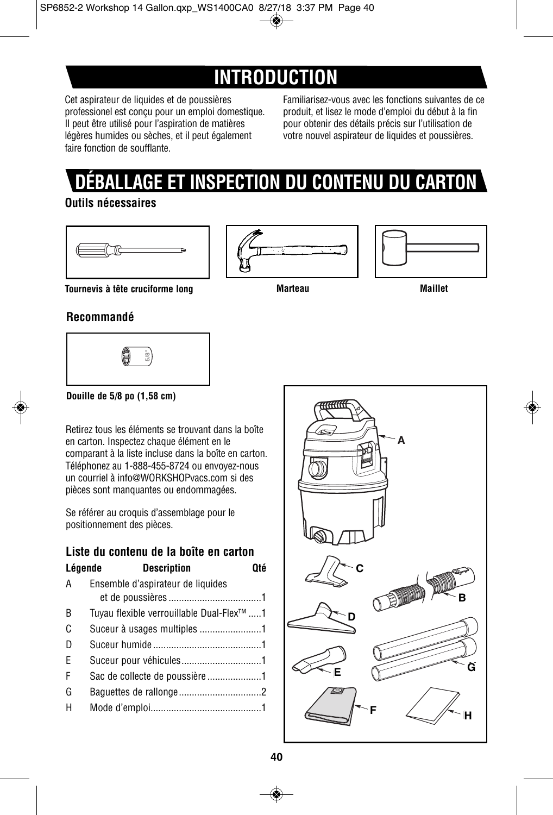### **INTRODUCTION**

Cet aspirateur de liquides et de poussières professionel est conçu pour un emploi domestique. Il peut être utilisé pour l'aspiration de matières légères humides ou sèches, et il peut également faire fonction de soufflante.

Familiarisez-vous avec les fonctions suivantes de ce produit, et lisez le mode d'emploi du début à la fin pour obtenir des détails précis sur l'utilisation de votre nouvel aspirateur de liquides et poussières.

# **LAGE ET INSPECTION DU CONTENU DU CAR**

**Outils nécessaires**







**Tournevis à tête cruciforme long**

**Marteau Maillet**





**Douille de 5/8 po (1,58 cm)**

Retirez tous les éléments se trouvant dans la boîte en carton. Inspectez chaque élément en le comparant à la liste incluse dans la boîte en carton. Téléphonez au 1-888-455-8724 ou envoyez-nous un courriel à info@WORKSHOPvacs.com si des pièces sont manquantes ou endommagées.

Se référer au croquis d'assemblage pour le positionnement des pièces.

### **Liste du contenu de la boîte en carton Légende Description Qté**

| A | Ensemble d'aspirateur de liquides                     |  |
|---|-------------------------------------------------------|--|
|   |                                                       |  |
| B | Tuyau flexible verrouillable Dual-Flex <sup>™</sup> 1 |  |
| C |                                                       |  |
| D |                                                       |  |
| F |                                                       |  |
| F | Sac de collecte de poussière 1                        |  |
| G |                                                       |  |
| н |                                                       |  |
|   |                                                       |  |

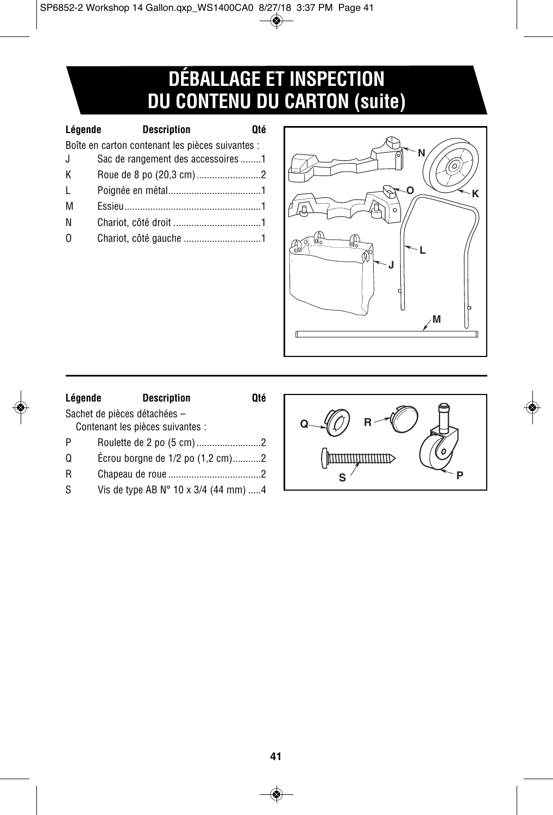# **DÉBALLAGE ET INSPECTION DU CONTENU DU CARTON (suite)**

| Légende      | <b>Description</b>                               | Oté |
|--------------|--------------------------------------------------|-----|
|              | Boîte en carton contenant les pièces suivantes : |     |
| J            | Sac de rangement des accessoires1                |     |
| K            |                                                  |     |
| $\mathbf{I}$ |                                                  |     |
| M            |                                                  |     |
| N            |                                                  |     |
| $\Omega$     |                                                  |     |



| Légende | <b>Description</b>                            | Oté |
|---------|-----------------------------------------------|-----|
|         | Sachet de pièces détachées -                  |     |
|         | Contenant les pièces suivantes :              |     |
| P       |                                               |     |
| Q       | Écrou borgne de 1/2 po (1,2 cm)2              |     |
| R       |                                               |     |
| -S      | Vis de type AB $N^{\circ}$ 10 x 3/4 (44 mm) 4 |     |



◈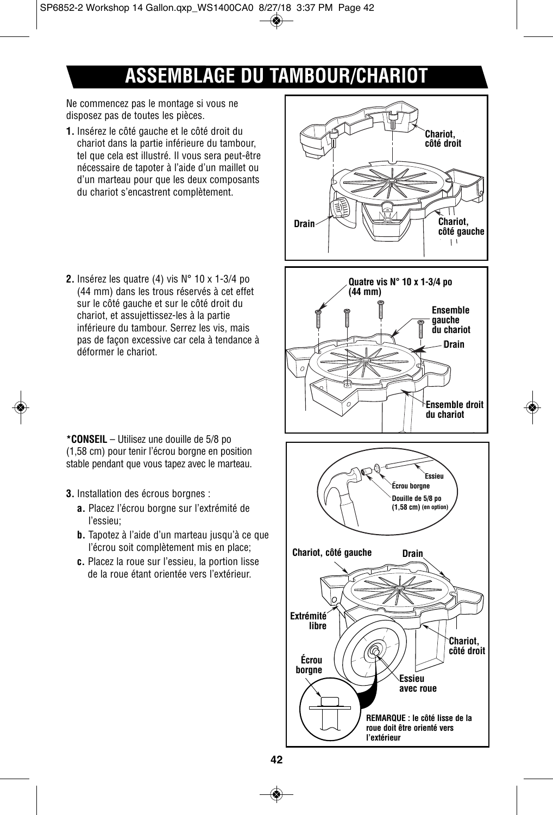### **ASSEMBLAGE DU TAMBOUR/CHARIOT**

Ne commencez pas le montage si vous ne disposez pas de toutes les pièces.

- **1.** Insérez le côté gauche et le côté droit du chariot dans la partie inférieure du tambour, tel que cela est illustré. Il vous sera peut-être nécessaire de tapoter à l'aide d'un maillet ou d'un marteau pour que les deux composants du chariot s'encastrent complètement.
- **2.** Insérez les quatre (4) vis N° 10 x 1-3/4 po (44 mm) dans les trous réservés à cet effet sur le côté gauche et sur le côté droit du chariot, et assujettissez-les à la partie inférieure du tambour. Serrez les vis, mais pas de façon excessive car cela à tendance à déformer le chariot.





**\*CONSEIL** – Utilisez une douille de 5/8 po (1,58 cm) pour tenir l'écrou borgne en position stable pendant que vous tapez avec le marteau.

- **3.** Installation des écrous borgnes :
	- **a.** Placez l'écrou borgne sur l'extrémité de l'essieu;
	- **b.** Tapotez à l'aide d'un marteau jusqu'à ce que l'écrou soit complètement mis en place;
	- **c.** Placez la roue sur l'essieu, la portion lisse de la roue étant orientée vers l'extérieur.



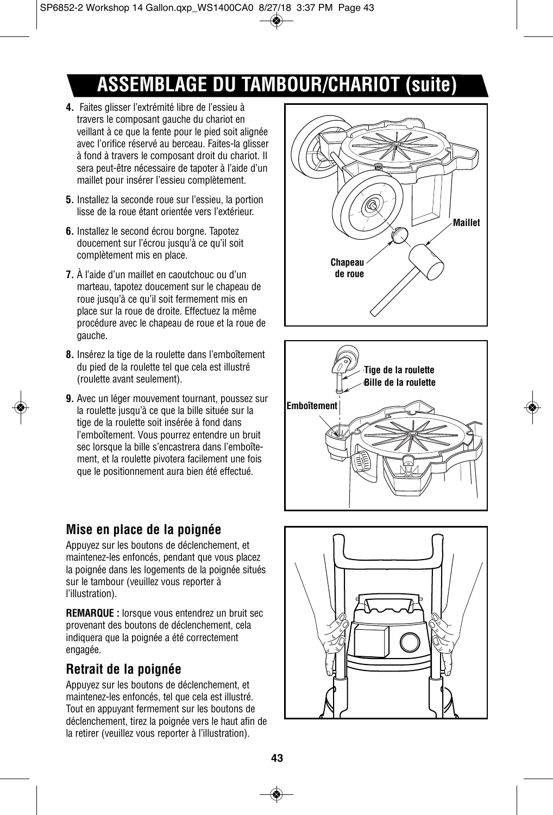### **ASSEMBLAGE DU TAMBOUR/CHARIOT (suite)**

- **4.** Faites glisser l'extrémité libre de l'essieu à travers le composant gauche du chariot en veillant à ce que la fente pour le pied soit alignée avec l'orifice réservé au berceau. Faites-la glisser à fond à travers le composant droit du chariot. Il sera peut-être nécessaire de tapoter à l'aide d'un maillet pour insérer l'essieu complètement.
- **5.** Installez la seconde roue sur l'essieu, la portion lisse de la roue étant orientée vers l'extérieur.
- **6.** Installez le second écrou borgne. Tapotez doucement sur l'écrou jusqu'à ce qu'il soit complètement mis en place.
- **7.** À l'aide d'un maillet en caoutchouc ou d'un marteau, tapotez doucement sur le chapeau de roue jusqu'à ce qu'il soit fermement mis en place sur la roue de droite. Effectuez la même procédure avec le chapeau de roue et la roue de gauche.
- **8.** Insérez la tige de la roulette dans l'emboîtement du pied de la roulette tel que cela est illustré (roulette avant seulement).
- **9.** Avec un léger mouvement tournant, poussez sur la roulette jusqu'à ce que la bille située sur la tige de la roulette soit insérée à fond dans l'emboîtement. Vous pourrez entendre un bruit sec lorsque la bille s'encastrera dans l'emboîtement, et la roulette pivotera facilement une fois que le positionnement aura bien été effectué.

### **Mise en place de la poignée**

Appuyez sur les boutons de déclenchement, et maintenez-les enfoncés, pendant que vous placez la poignée dans les logements de la poignée situés sur le tambour (veuillez vous reporter à l'illustration).

**REMARQUE :** lorsque vous entendrez un bruit sec provenant des boutons de déclenchement, cela indiquera que la poignée a été correctement engagée.

### **Retrait de la poignée**

Appuyez sur les boutons de déclenchement, et maintenez-les enfoncés, tel que cela est illustré. Tout en appuyant fermement sur les boutons de déclenchement, tirez la poignée vers le haut afin de la retirer (veuillez vous reporter à l'illustration).





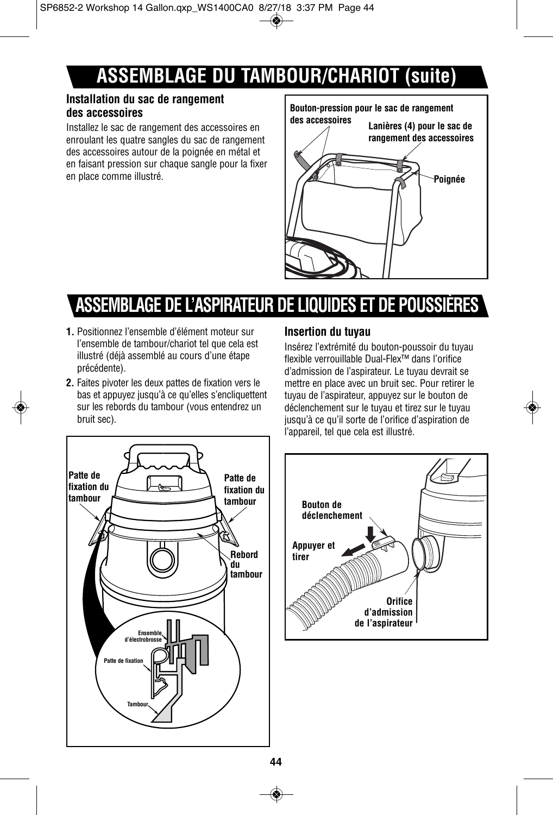# **ASSEMBLAGE DU TAMBOUR/CHARIOT (suite)**

#### **Installation du sac de rangement des accessoires**

Installez le sac de rangement des accessoires en enroulant les quatre sangles du sac de rangement des accessoires autour de la poignée en métal et en faisant pression sur chaque sangle pour la fixer en place comme illustré.



# **ASSEMBLAGE DE L'ASPIRATEUR DE LIQUIDES ET DE POUSSIÈRES**

- **1.** Positionnez l'ensemble d'élément moteur sur l'ensemble de tambour/chariot tel que cela est illustré (déjà assemblé au cours d'une étape précédente).
- **2.** Faites pivoter les deux pattes de fixation vers le bas et appuyez jusqu'à ce qu'elles s'encliquettent sur les rebords du tambour (vous entendrez un bruit sec).

### **Insertion du tuyau**

Insérez l'extrémité du bouton-poussoir du tuyau flexible verrouillable Dual-Flex™ dans l'orifice d'admission de l'aspirateur. Le tuyau devrait se mettre en place avec un bruit sec. Pour retirer le tuyau de l'aspirateur, appuyez sur le bouton de déclenchement sur le tuyau et tirez sur le tuyau jusqu'à ce qu'il sorte de l'orifice d'aspiration de l'appareil, tel que cela est illustré.



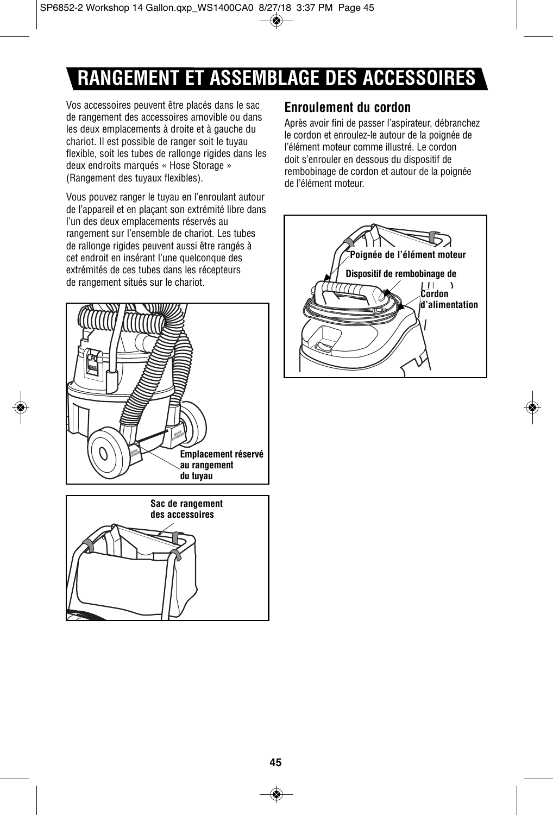# **RANGEMENT ET ASSEMBLAGE DES ACCESSOIRES**

Vos accessoires peuvent être placés dans le sac de rangement des accessoires amovible ou dans les deux emplacements à droite et à gauche du chariot. Il est possible de ranger soit le tuyau flexible, soit les tubes de rallonge rigides dans les deux endroits marqués « Hose Storage » (Rangement des tuyaux flexibles).

Vous pouvez ranger le tuyau en l'enroulant autour de l'appareil et en plaçant son extrémité libre dans l'un des deux emplacements réservés au rangement sur l'ensemble de chariot. Les tubes de rallonge rigides peuvent aussi être rangés à cet endroit en insérant l'une quelconque des extrémités de ces tubes dans les récepteurs de rangement situés sur le chariot.





### **Enroulement du cordon**

Après avoir fini de passer l'aspirateur, débranchez le cordon et enroulez-le autour de la poignée de l'élément moteur comme illustré. Le cordon doit s'enrouler en dessous du dispositif de rembobinage de cordon et autour de la poignée de l'élément moteur.



◈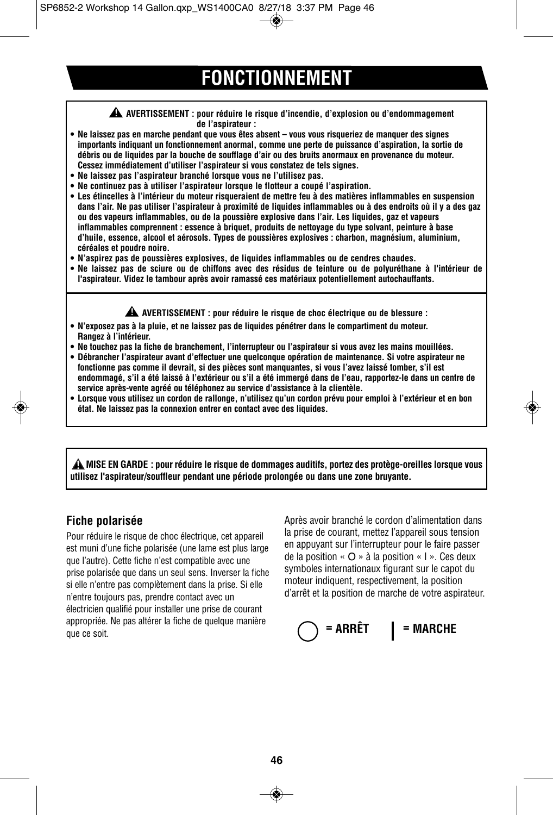### **FONCTIONNEMENT**

**AVERTISSEMENT : pour réduire le risque d'incendie, d'explosion ou d'endommagement ! de l'aspirateur :**

- . Ne laissez pas en marche pendant que vous êtes absent vous vous risqueriez de manquer des signes **importants indiquant un fonctionnement anormal, comme une perte de puissance d'aspiration, la sortie de** débris ou de liquides par la bouche de soufflage d'air ou des bruits anormaux en provenance du moteur. **Cessez immédiatement d'utiliser l'aspirateur si vous constatez de tels signes.**
- **• Ne laissez pas l'aspirateur branché lorsque vous ne l'utilisez pas.**
- **• Ne continuez pas à utiliser l'aspirateur lorsque le flotteur a coupé l'aspiration.**
- · Les étincelles à l'intérieur du moteur risqueraient de mettre feu à des matières inflammables en suspension dans l'air. Ne pas utiliser l'aspirateur à proximité de liquides inflammables ou à des endroits où il v a des qaz **ou des vapeurs inflammables, ou de la poussière explosive dans l'air. Les liquides, gaz et vapeurs inflammables comprennent : essence à briquet, produits de nettoyage du type solvant, peinture à base d'huile, essence, alcool et aérosols. Types de poussières explosives : charbon, magnésium, aluminium, céréales et poudre noire.**
- **• N'aspirez pas de poussières explosives, de liquides inflammables ou de cendres chaudes.**
- . Ne laissez pas de sciure ou de chiffons avec des résidus de teinture ou de polyuréthane à l'intérieur de **l'aspirateur. Videz le tambour après avoir ramassé ces matériaux potentiellement autochauffants.**

**AVERTISSEMENT : pour réduire le risque de choc électrique ou de blessure : !**

- **• N'exposez pas à la pluie, et ne laissez pas de liquides pénétrer dans le compartiment du moteur. Rangez à l'intérieur.**
- . Ne touchez pas la fiche de branchement, l'interrupteur ou l'aspirateur si vous avez les mains mouillées.
- **• Débrancher l'aspirateur avant d'effectuer une quelconque opération de maintenance. Si votre aspirateur ne fonctionne pas comme il devrait, si des pièces sont manquantes, si vous l'avez laissé tomber, s'il est** endommagé, s'il a été laissé à l'extérieur ou s'il a été immergé dans de l'eau, rapportez-le dans un centre de **service après-vente agréé ou téléphonez au service d'assistance à la clientèle.**
- Lorsque vous utilisez un cordon de rallonge, n'utilisez qu'un cordon prévu pour emploi à l'extérieur et en bon **état. Ne laissez pas la connexion entrer en contact avec des liquides.**

**MISE EN GARDE : pour réduire le risque de dommages auditifs, portez des protège-oreilles lorsque vous utilisez l'aspirateur/souffleur pendant une période prolongée ou dans une zone bruyante.**

### **Fiche polarisée**

Pour réduire le risque de choc électrique, cet appareil est muni d'une fiche polarisée (une lame est plus large que l'autre). Cette fiche n'est compatible avec une prise polarisée que dans un seul sens. Inverser la fiche si elle n'entre pas complètement dans la prise. Si elle n'entre toujours pas, prendre contact avec un électricien qualifié pour installer une prise de courant appropriée. Ne pas altérer la fiche de quelque manière que ce soit.

Après avoir branché le cordon d'alimentation dans la prise de courant, mettez l'appareil sous tension en appuyant sur l'interrupteur pour le faire passer de la position « O » à la position « I ». Ces deux symboles internationaux figurant sur le capot du moteur indiquent, respectivement, la position d'arrêt et la position de marche de votre aspirateur.

**= ARRÊT = MARCHE**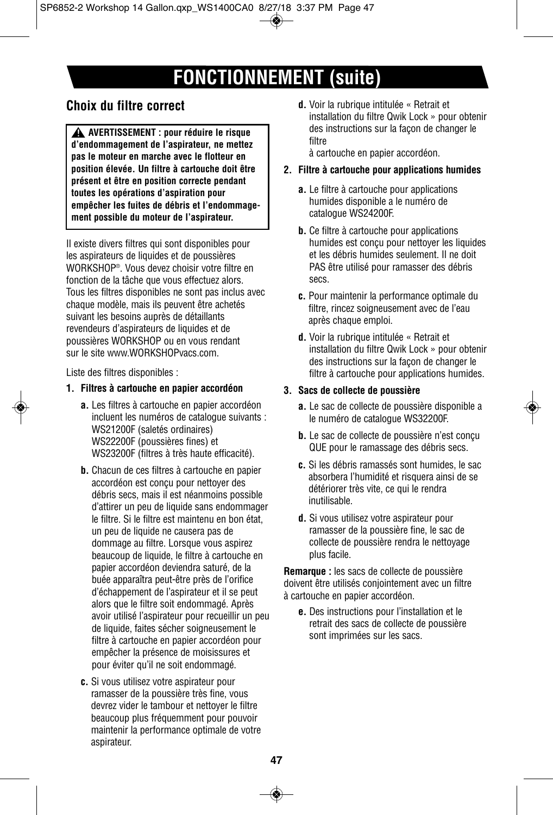# **FONCTIONNEMENT (suite)**

### **Choix du filtre correct**

**AVERTISSEMENT : pour réduire le risque ! d'endommagement de l'aspirateur, ne mettez pas le moteur en marche avec le flotteur en position élevée. Un filtre à cartouche doit être présent et être en position correcte pendant toutes les opérations d'aspiration pour empêcher les fuites de débris et l'endommagement possible du moteur de l'aspirateur.**

Il existe divers filtres qui sont disponibles pour les aspirateurs de liquides et de poussières WORKSHOP®. Vous devez choisir votre filtre en fonction de la tâche que vous effectuez alors. Tous les filtres disponibles ne sont pas inclus avec chaque modèle, mais ils peuvent être achetés suivant les besoins auprès de détaillants revendeurs d'aspirateurs de liquides et de poussières WORKSHOP ou en vous rendant sur le site www.WORKSHOPvacs.com.

Liste des filtres disponibles :

### **1. Filtres à cartouche en papier accordéon**

- **a.** Les filtres à cartouche en papier accordéon incluent les numéros de catalogue suivants : WS21200F (saletés ordinaires) WS22200F (poussières fines) et WS23200F (filtres à très haute efficacité).
- **b.** Chacun de ces filtres à cartouche en papier accordéon est conçu pour nettoyer des débris secs, mais il est néanmoins possible d'attirer un peu de liquide sans endommager le filtre. Si le filtre est maintenu en bon état, un peu de liquide ne causera pas de dommage au filtre. Lorsque vous aspirez beaucoup de liquide, le filtre à cartouche en papier accordéon deviendra saturé, de la buée apparaîtra peut-être près de l'orifice d'échappement de l'aspirateur et il se peut alors que le filtre soit endommagé. Après avoir utilisé l'aspirateur pour recueillir un peu de liquide, faites sécher soigneusement le filtre à cartouche en papier accordéon pour empêcher la présence de moisissures et pour éviter qu'il ne soit endommagé.
- **c.** Si vous utilisez votre aspirateur pour ramasser de la poussière très fine, vous devrez vider le tambour et nettoyer le filtre beaucoup plus fréquemment pour pouvoir maintenir la performance optimale de votre aspirateur.
- **d.** Voir la rubrique intitulée « Retrait et installation du filtre Qwik Lock » pour obtenir des instructions sur la façon de changer le filtre à cartouche en papier accordéon.
- **2. Filtre à cartouche pour applications humides**
	- **a.** Le filtre à cartouche pour applications humides disponible a le numéro de catalogue WS24200F.
	- **b.** Ce filtre à cartouche pour applications humides est conçu pour nettoyer les liquides et les débris humides seulement. Il ne doit PAS être utilisé pour ramasser des débris secs.
	- **c.** Pour maintenir la performance optimale du filtre, rincez soigneusement avec de l'eau après chaque emploi.
	- **d.** Voir la rubrique intitulée « Retrait et installation du filtre Qwik Lock » pour obtenir des instructions sur la façon de changer le filtre à cartouche pour applications humides.

#### **3. Sacs de collecte de poussière**

- **a.** Le sac de collecte de poussière disponible a le numéro de catalogue WS32200F.
- **b.** Le sac de collecte de poussière n'est concu QUE pour le ramassage des débris secs.
- **c.** Si les débris ramassés sont humides, le sac absorbera l'humidité et risquera ainsi de se détériorer très vite, ce qui le rendra inutilisable.
- **d.** Si vous utilisez votre aspirateur pour ramasser de la poussière fine, le sac de collecte de poussière rendra le nettoyage plus facile.

**Remarque :** les sacs de collecte de poussière doivent être utilisés conjointement avec un filtre à cartouche en papier accordéon.

**e.** Des instructions pour l'installation et le retrait des sacs de collecte de poussière sont imprimées sur les sacs.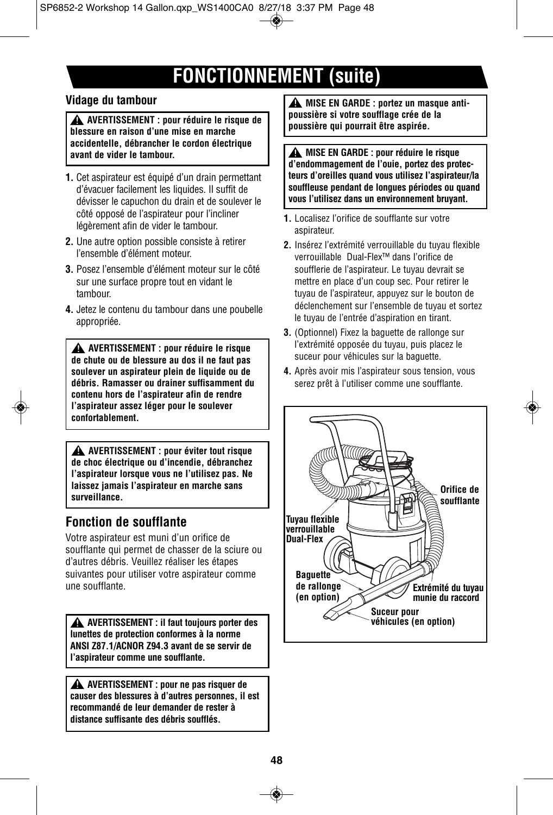### **FONCTIONNEMENT (suite)**

### **Vidage du tambour**

**AVERTISSEMENT : pour réduire le risque de ! blessure en raison d'une mise en marche accidentelle, débrancher le cordon électrique avant de vider le tambour.**

- **1.** Cet aspirateur est équipé d'un drain permettant d'évacuer facilement les liquides. Il suffit de dévisser le capuchon du drain et de soulever le côté opposé de l'aspirateur pour l'incliner légèrement afin de vider le tambour.
- **2.** Une autre option possible consiste à retirer l'ensemble d'élément moteur.
- **3.** Posez l'ensemble d'élément moteur sur le côté sur une surface propre tout en vidant le tambour.
- **4.** Jetez le contenu du tambour dans une poubelle appropriée.

**AVERTISSEMENT : pour réduire le risque ! de chute ou de blessure au dos il ne faut pas soulever un aspirateur plein de liquide ou de débris. Ramasser ou drainer suffisamment du contenu hors de l'aspirateur afin de rendre l'aspirateur assez léger pour le soulever confortablement.**

**AVERTISSEMENT : pour éviter tout risque ! de choc électrique ou d'incendie, débranchez l'aspirateur lorsque vous ne l'utilisez pas. Ne laissez jamais l'aspirateur en marche sans surveillance.**

### **Fonction de soufflante**

Votre aspirateur est muni d'un orifice de soufflante qui permet de chasser de la sciure ou d'autres débris. Veuillez réaliser les étapes suivantes pour utiliser votre aspirateur comme une soufflante.

**AVERTISSEMENT : il faut toujours porter des ! lunettes de protection conformes à la norme ANSI Z87.1/ACNOR Z94.3 avant de se servir de l'aspirateur comme une soufflante.**

**AVERTISSEMENT : pour ne pas risquer de ! causer des blessures à d'autres personnes, il est recommandé de leur demander de rester à distance suffisante des débris soufflés.**

**MISE EN GARDE : portez un masque anti-! poussière si votre soufflage crée de la poussière qui pourrait être aspirée.**

**MISE EN GARDE : pour réduire le risque ! d'endommagement de l'ouie, portez des protecteurs d'oreilles quand vous utilisez l'aspirateur/la souffleuse pendant de longues périodes ou quand vous l'utilisez dans un environnement bruyant.**

- **1.** Localisez l'orifice de soufflante sur votre aspirateur.
- **2.** Insérez l'extrémité verrouillable du tuyau flexible verrouillable Dual-Flex™ dans l'orifice de soufflerie de l'aspirateur. Le tuyau devrait se mettre en place d'un coup sec. Pour retirer le tuyau de l'aspirateur, appuyez sur le bouton de déclenchement sur l'ensemble de tuyau et sortez le tuyau de l'entrée d'aspiration en tirant.
- **3.** (Optionnel) Fixez la baguette de rallonge sur l'extrémité opposée du tuyau, puis placez le suceur pour véhicules sur la baguette.
- **4.** Après avoir mis l'aspirateur sous tension, vous serez prêt à l'utiliser comme une soufflante.

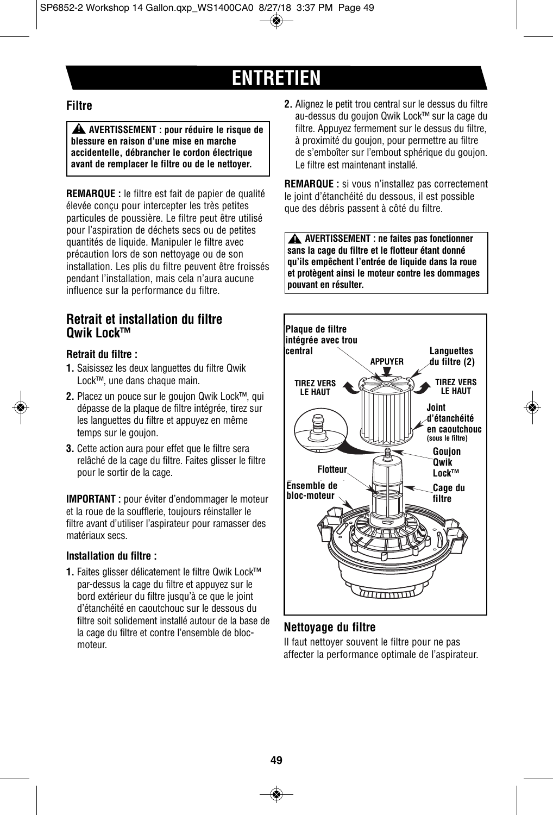### **ENTRETIEN**

### **Filtre**

**AVERTISSEMENT : pour réduire le risque de ! blessure en raison d'une mise en marche accidentelle, débrancher le cordon électrique avant de remplacer le filtre ou de le nettoyer.**

**REMARQUE :** le filtre est fait de papier de qualité élevée conçu pour intercepter les très petites particules de poussière. Le filtre peut être utilisé pour l'aspiration de déchets secs ou de petites quantités de liquide. Manipuler le filtre avec précaution lors de son nettoyage ou de son installation. Les plis du filtre peuvent être froissés pendant l'installation, mais cela n'aura aucune influence sur la performance du filtre.

### **Retrait et installation du filtre Qwik Lock™**

#### **Retrait du filtre :**

- **1.** Saisissez les deux languettes du filtre Qwik Lock™, une dans chaque main.
- **2.** Placez un pouce sur le goujon Qwik Lock™, qui dépasse de la plaque de filtre intégrée, tirez sur les languettes du filtre et appuyez en même temps sur le goujon.
- **3.** Cette action aura pour effet que le filtre sera relâché de la cage du filtre. Faites glisser le filtre pour le sortir de la cage.

**IMPORTANT :** pour éviter d'endommager le moteur et la roue de la soufflerie, toujours réinstaller le filtre avant d'utiliser l'aspirateur pour ramasser des matériaux secs.

#### **Installation du filtre :**

**1.** Faites glisser délicatement le filtre Qwik Lock™ par-dessus la cage du filtre et appuyez sur le bord extérieur du filtre jusqu'à ce que le joint d'étanchéité en caoutchouc sur le dessous du filtre soit solidement installé autour de la base de la cage du filtre et contre l'ensemble de blocmoteur.

**2.** Alignez le petit trou central sur le dessus du filtre au-dessus du goujon Qwik Lock™ sur la cage du filtre. Appuyez fermement sur le dessus du filtre, à proximité du goujon, pour permettre au filtre de s'emboîter sur l'embout sphérique du goujon. Le filtre est maintenant installé.

**REMARQUE :** si vous n'installez pas correctement le joint d'étanchéité du dessous, il est possible que des débris passent à côté du filtre.

**AVERTISSEMENT : ne faites pas fonctionner ! sans la cage du filtre et le flotteur étant donné qu'ils empêchent l'entrée de liquide dans la roue et protègent ainsi le moteur contre les dommages pouvant en résulter.**



#### **Nettoyage du filtre**

Il faut nettoyer souvent le filtre pour ne pas affecter la performance optimale de l'aspirateur.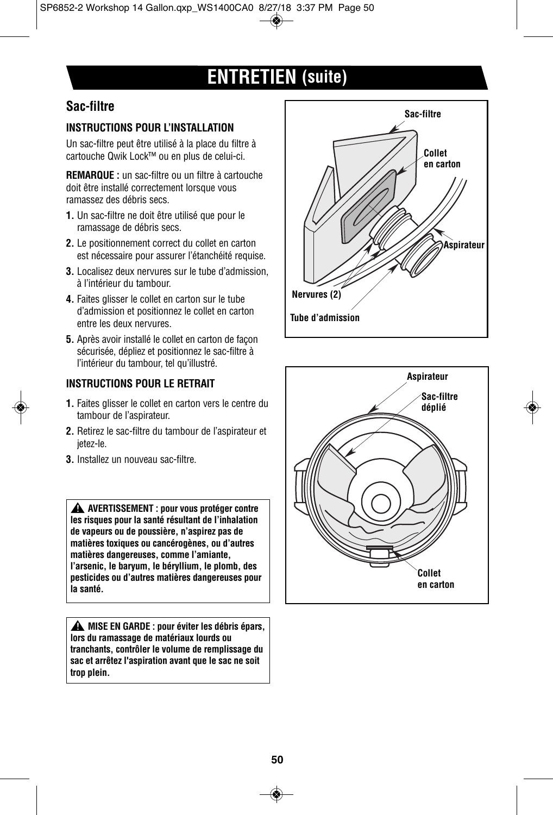### **ENTRETIEN (suite)**

### **Sac-filtre**

### **INSTRUCTIONS POUR L'INSTALLATION**

Un sac-filtre peut être utilisé à la place du filtre à cartouche Qwik Lock™ ou en plus de celui-ci.

**REMARQUE :** un sac-filtre ou un filtre à cartouche doit être installé correctement lorsque vous ramassez des débris secs.

- **1.** Un sac-filtre ne doit être utilisé que pour le ramassage de débris secs.
- **2.** Le positionnement correct du collet en carton est nécessaire pour assurer l'étanchéité requise.
- **3.** Localisez deux nervures sur le tube d'admission, à l'intérieur du tambour.
- **4.** Faites glisser le collet en carton sur le tube d'admission et positionnez le collet en carton entre les deux nervures.
- **5.** Après avoir installé le collet en carton de façon sécurisée, dépliez et positionnez le sac-filtre à l'intérieur du tambour, tel qu'illustré.

#### **INSTRUCTIONS POUR LE RETRAIT**

- **1.** Faites glisser le collet en carton vers le centre du tambour de l'aspirateur.
- **2.** Retirez le sac-filtre du tambour de l'aspirateur et jetez-le.
- **3.** Installez un nouveau sac-filtre.

**AVERTISSEMENT : pour vous protéger contre ! les risques pour la santé résultant de l'inhalation de vapeurs ou de poussière, n'aspirez pas de matières toxiques ou cancérogènes, ou d'autres matières dangereuses, comme l'amiante, l'arsenic, le baryum, le béryllium, le plomb, des pesticides ou d'autres matières dangereuses pour la santé.**

**MISE EN GARDE : pour éviter les débris épars, ! lors du ramassage de matériaux lourds ou tranchants, contrôler le volume de remplissage du sac et arrêtez l'aspiration avant que le sac ne soit trop plein.**



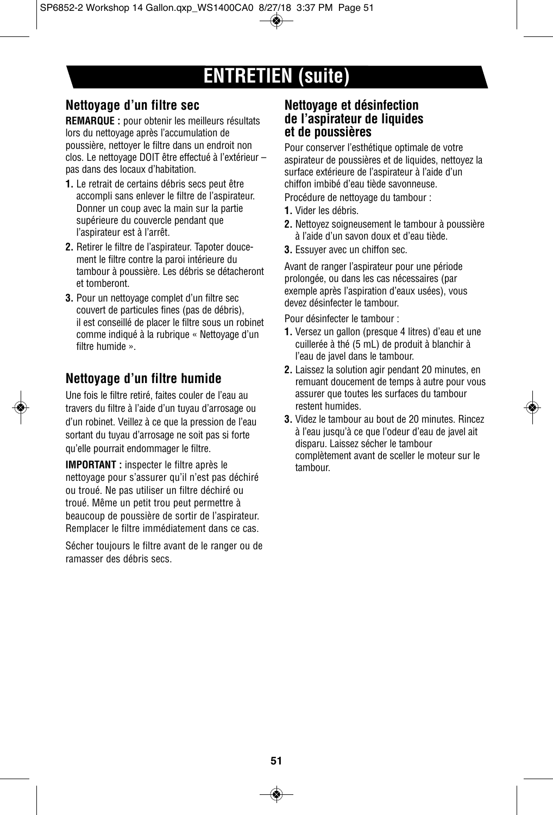### **ENTRETIEN (suite)**

### **Nettoyage d'un filtre sec**

**REMARQUE :** pour obtenir les meilleurs résultats lors du nettoyage après l'accumulation de poussière, nettoyer le filtre dans un endroit non clos. Le nettoyage DOIT être effectué à l'extérieur – pas dans des locaux d'habitation.

- **1.** Le retrait de certains débris secs peut être accompli sans enlever le filtre de l'aspirateur. Donner un coup avec la main sur la partie supérieure du couvercle pendant que l'aspirateur est à l'arrêt.
- **2.** Retirer le filtre de l'aspirateur. Tapoter doucement le filtre contre la paroi intérieure du tambour à poussière. Les débris se détacheront et tomberont.
- **3.** Pour un nettoyage complet d'un filtre sec couvert de particules fines (pas de débris), il est conseillé de placer le filtre sous un robinet comme indiqué à la rubrique « Nettoyage d'un filtre humide ».

### **Nettoyage d'un filtre humide**

Une fois le filtre retiré, faites couler de l'eau au travers du filtre à l'aide d'un tuyau d'arrosage ou d'un robinet. Veillez à ce que la pression de l'eau sortant du tuyau d'arrosage ne soit pas si forte qu'elle pourrait endommager le filtre.

**IMPORTANT :** inspecter le filtre après le nettoyage pour s'assurer qu'il n'est pas déchiré ou troué. Ne pas utiliser un filtre déchiré ou troué. Même un petit trou peut permettre à beaucoup de poussière de sortir de l'aspirateur. Remplacer le filtre immédiatement dans ce cas.

Sécher toujours le filtre avant de le ranger ou de ramasser des débris secs.

### **Nettoyage et désinfection de l'aspirateur de liquides et de poussières**

Pour conserver l'esthétique optimale de votre aspirateur de poussières et de liquides, nettoyez la surface extérieure de l'aspirateur à l'aide d'un chiffon imbibé d'eau tiède savonneuse.

Procédure de nettoyage du tambour :

- **1.** Vider les débris.
- **2.** Nettoyez soigneusement le tambour à poussière à l'aide d'un savon doux et d'eau tiède.
- **3.** Essuyer avec un chiffon sec.

Avant de ranger l'aspirateur pour une période prolongée, ou dans les cas nécessaires (par exemple après l'aspiration d'eaux usées), vous devez désinfecter le tambour.

Pour désinfecter le tambour :

- **1.** Versez un gallon (presque 4 litres) d'eau et une cuillerée à thé (5 mL) de produit à blanchir à l'eau de javel dans le tambour.
- **2.** Laissez la solution agir pendant 20 minutes, en remuant doucement de temps à autre pour vous assurer que toutes les surfaces du tambour restent humides.
- **3.** Videz le tambour au bout de 20 minutes. Rincez à l'eau jusqu'à ce que l'odeur d'eau de javel ait disparu. Laissez sécher le tambour complètement avant de sceller le moteur sur le tambour.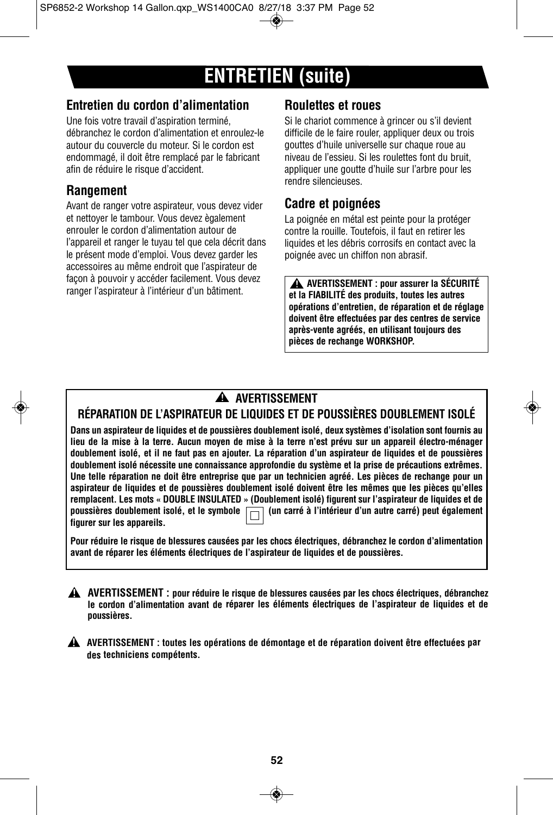### **ENTRETIEN (suite)**

### **Entretien du cordon d'alimentation**

Une fois votre travail d'aspiration terminé, débranchez le cordon d'alimentation et enroulez-le autour du couvercle du moteur. Si le cordon est endommagé, il doit être remplacé par le fabricant afin de réduire le risque d'accident.

### **Rangement**

Avant de ranger votre aspirateur, vous devez vider et nettoyer le tambour. Vous devez ègalement enrouler le cordon d'alimentation autour de l'appareil et ranger le tuyau tel que cela décrit dans le présent mode d'emploi. Vous devez garder les accessoires au même endroit que l'aspirateur de façon à pouvoir y accéder facilement. Vous devez ranger l'aspirateur à l'intérieur d'un bâtiment.

### **Roulettes et roues**

Si le chariot commence à grincer ou s'il devient difficile de le faire rouler, appliquer deux ou trois gouttes d'huile universelle sur chaque roue au niveau de l'essieu. Si les roulettes font du bruit, appliquer une goutte d'huile sur l'arbre pour les rendre silencieuses.

### **Cadre et poignées**

La poignée en métal est peinte pour la protéger contre la rouille. Toutefois, il faut en retirer les liquides et les débris corrosifs en contact avec la poignée avec un chiffon non abrasif.

**AVERTISSEMENT : pour assurer la SÉCURITÉ ! et la FIABILITÉ des produits, toutes les autres opérations d'entretien, de réparation et de réglage doivent être effectuées par des centres de service après-vente agréés, en utilisant toujours des pièces de rechange WORKSHOP.**

### **AVERTISSEMENT ! RÉPARATION DE L'ASPIRATEUR DE LIQUIDES ET DE POUSSIÈRES DOUBLEMENT ISOLÉ**

**Dans un aspirateur de liquides et de poussières doublement isolé, deux systèmes d'isolation sont fournis au** lieu de la mise à la terre. Aucun moyen de mise à la terre n'est prévu sur un appareil électro-ménager doublement isolé, et il ne faut pas en ajouter. La réparation d'un aspirateur de liquides et de poussières **doublement isolé nécessite une connaissance approfondie du système et la prise de précautions extrêmes.** Une telle réparation ne doit être entreprise que par un technicien agréé. Les pièces de rechange pour un **aspirateur de liquides et de poussières doublement isolé doivent être les mêmes que les pièces qu'elles remplacent. Les mots « DOUBLE INSULATED » (Doublement isolé) figurent sur l'aspirateur de liquides et de poussières doublement isolé, et le symbole (un carré à l'intérieur d'un autre carré) peut également figurer sur les appareils.**

**Pour réduire le risque de blessures causées par les chocs électriques, débranchez le cordon d'alimentation avant de réparer les éléments électriques de l'aspirateur de liquides et de poussières.**

**AVERTISSEMENT : pour réduire le risque de blessures causées par les chocs électriques, débranchez le cordon d'alimentation avant de réparer les éléments électriques de l'aspirateur de liquides et de poussières.**

**AVERTISSEMENT : toutes les opérations de démontage et de réparation doivent être effectuées par des techniciens compétents.**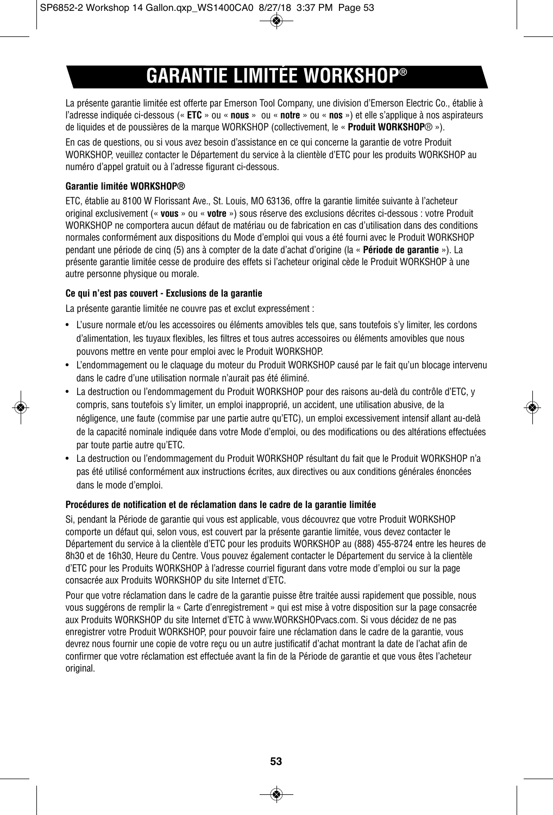# **GARANTIE LIMITÉE WORKSHOP®**

La présente garantie limitée est offerte par Emerson Tool Company, une division d'Emerson Electric Co., établie à l'adresse indiquée ci-dessous (« **ETC** » ou « **nous** » ou « **notre** » ou « **nos** ») et elle s'applique à nos aspirateurs de liquides et de poussières de la marque WORKSHOP (collectivement, le « **Produit WORKSHOP**® »).

En cas de questions, ou si vous avez besoin d'assistance en ce qui concerne la garantie de votre Produit WORKSHOP, veuillez contacter le Département du service à la clientèle d'ETC pour les produits WORKSHOP au numéro d'appel gratuit ou à l'adresse figurant ci-dessous.

#### **Garantie limitée WORKSHOP®**

ETC, établie au 8100 W Florissant Ave., St. Louis, MO 63136, offre la garantie limitée suivante à l'acheteur original exclusivement (« **vous** » ou « **votre** ») sous réserve des exclusions décrites ci-dessous : votre Produit WORKSHOP ne comportera aucun défaut de matériau ou de fabrication en cas d'utilisation dans des conditions normales conformément aux dispositions du Mode d'emploi qui vous a été fourni avec le Produit WORKSHOP pendant une période de cinq (5) ans à compter de la date d'achat d'origine (la « **Période de garantie** »). La présente garantie limitée cesse de produire des effets si l'acheteur original cède le Produit WORKSHOP à une autre personne physique ou morale.

#### **Ce qui n'est pas couvert - Exclusions de la garantie**

La présente garantie limitée ne couvre pas et exclut expressément :

- L'usure normale et/ou les accessoires ou éléments amovibles tels que, sans toutefois s'y limiter, les cordons d'alimentation, les tuyaux flexibles, les filtres et tous autres accessoires ou éléments amovibles que nous pouvons mettre en vente pour emploi avec le Produit WORKSHOP.
- L'endommagement ou le claquage du moteur du Produit WORKSHOP causé par le fait qu'un blocage intervenu dans le cadre d'une utilisation normale n'aurait pas été éliminé.
- La destruction ou l'endommagement du Produit WORKSHOP pour des raisons au-delà du contrôle d'ETC, y compris, sans toutefois s'y limiter, un emploi inapproprié, un accident, une utilisation abusive, de la négligence, une faute (commise par une partie autre qu'ETC), un emploi excessivement intensif allant au-delà de la capacité nominale indiquée dans votre Mode d'emploi, ou des modifications ou des altérations effectuées par toute partie autre qu'ETC.
- La destruction ou l'endommagement du Produit WORKSHOP résultant du fait que le Produit WORKSHOP n'a pas été utilisé conformément aux instructions écrites, aux directives ou aux conditions générales énoncées dans le mode d'emploi.

#### **Procédures de notification et de réclamation dans le cadre de la garantie limitée**

Si, pendant la Période de garantie qui vous est applicable, vous découvrez que votre Produit WORKSHOP comporte un défaut qui, selon vous, est couvert par la présente garantie limitée, vous devez contacter le Département du service à la clientèle d'ETC pour les produits WORKSHOP au (888) 455-8724 entre les heures de 8h30 et de 16h30, Heure du Centre. Vous pouvez également contacter le Département du service à la clientèle d'ETC pour les Produits WORKSHOP à l'adresse courriel figurant dans votre mode d'emploi ou sur la page consacrée aux Produits WORKSHOP du site Internet d'ETC.

Pour que votre réclamation dans le cadre de la garantie puisse être traitée aussi rapidement que possible, nous vous suggérons de remplir la « Carte d'enregistrement » qui est mise à votre disposition sur la page consacrée aux Produits WORKSHOP du site Internet d'ETC à www.WORKSHOPvacs.com. Si vous décidez de ne pas enregistrer votre Produit WORKSHOP, pour pouvoir faire une réclamation dans le cadre de la garantie, vous devrez nous fournir une copie de votre reçu ou un autre justificatif d'achat montrant la date de l'achat afin de confirmer que votre réclamation est effectuée avant la fin de la Période de garantie et que vous êtes l'acheteur original.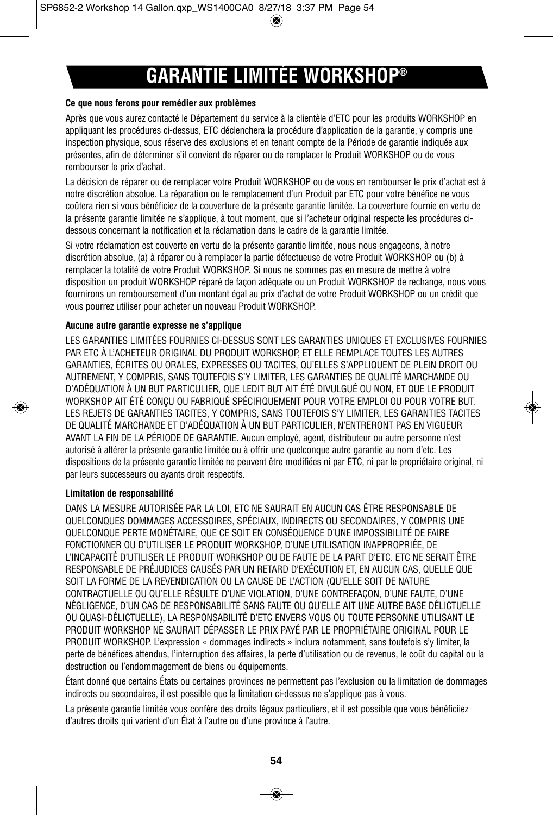### **GARANTIE LIMITÉE WORKSHOP®**

#### **Ce que nous ferons pour remédier aux problèmes**

Après que vous aurez contacté le Département du service à la clientèle d'ETC pour les produits WORKSHOP en appliquant les procédures ci-dessus, ETC déclenchera la procédure d'application de la garantie, y compris une inspection physique, sous réserve des exclusions et en tenant compte de la Période de garantie indiquée aux présentes, afin de déterminer s'il convient de réparer ou de remplacer le Produit WORKSHOP ou de vous rembourser le prix d'achat.

La décision de réparer ou de remplacer votre Produit WORKSHOP ou de vous en rembourser le prix d'achat est à notre discrétion absolue. La réparation ou le remplacement d'un Produit par ETC pour votre bénéfice ne vous coûtera rien si vous bénéficiez de la couverture de la présente garantie limitée. La couverture fournie en vertu de la présente garantie limitée ne s'applique, à tout moment, que si l'acheteur original respecte les procédures cidessous concernant la notification et la réclamation dans le cadre de la garantie limitée.

Si votre réclamation est couverte en vertu de la présente garantie limitée, nous nous engageons, à notre discrétion absolue, (a) à réparer ou à remplacer la partie défectueuse de votre Produit WORKSHOP ou (b) à remplacer la totalité de votre Produit WORKSHOP. Si nous ne sommes pas en mesure de mettre à votre disposition un produit WORKSHOP réparé de façon adéquate ou un Produit WORKSHOP de rechange, nous vous fournirons un remboursement d'un montant égal au prix d'achat de votre Produit WORKSHOP ou un crédit que vous pourrez utiliser pour acheter un nouveau Produit WORKSHOP.

#### **Aucune autre garantie expresse ne s'applique**

LES GARANTIES LIMITÉES FOURNIES CI-DESSUS SONT LES GARANTIES UNIQUES ET EXCLUSIVES FOURNIES PAR ETC À L'ACHETEUR ORIGINAL DU PRODUIT WORKSHOP, ET ELLE REMPLACE TOUTES LES AUTRES GARANTIES, ÉCRITES OU ORALES, EXPRESSES OU TACITES, QU'ELLES S'APPLIQUENT DE PLEIN DROIT OU AUTREMENT, Y COMPRIS, SANS TOUTEFOIS S'Y LIMITER, LES GARANTIES DE QUALITÉ MARCHANDE OU D'ADÉQUATION À UN BUT PARTICULIER, QUE LEDIT BUT AIT ÉTÉ DIVULGUÉ OU NON, ET QUE LE PRODUIT WORKSHOP AIT ÉTÉ CONÇU OU FABRIQUÉ SPÉCIFIQUEMENT POUR VOTRE EMPLOI OU POUR VOTRE BUT. LES REJETS DE GARANTIES TACITES, Y COMPRIS, SANS TOUTEFOIS S'Y LIMITER, LES GARANTIES TACITES DE QUALITÉ MARCHANDE ET D'ADÉQUATION À UN BUT PARTICULIER, N'ENTRERONT PAS EN VIGUEUR AVANT LA FIN DE LA PÉRIODE DE GARANTIE. Aucun employé, agent, distributeur ou autre personne n'est autorisé à altérer la présente garantie limitée ou à offrir une quelconque autre garantie au nom d'etc. Les dispositions de la présente garantie limitée ne peuvent être modifiées ni par ETC, ni par le propriétaire original, ni par leurs successeurs ou ayants droit respectifs.

#### **Limitation de responsabilité**

DANS LA MESURE AUTORISÉE PAR LA LOI, ETC NE SAURAIT EN AUCUN CAS ÊTRE RESPONSABLE DE QUELCONQUES DOMMAGES ACCESSOIRES, SPÉCIAUX, INDIRECTS OU SECONDAIRES, Y COMPRIS UNE QUELCONQUE PERTE MONÉTAIRE, QUE CE SOIT EN CONSÉQUENCE D'UNE IMPOSSIBILITÉ DE FAIRE FONCTIONNER OU D'UTILISER LE PRODUIT WORKSHOP, D'UNE UTILISATION INAPPROPRIÉE, DE L'INCAPACITÉ D'UTILISER LE PRODUIT WORKSHOP OU DE FAUTE DE LA PART D'ETC. ETC NE SERAIT ÊTRE RESPONSABLE DE PRÉJUDICES CAUSÉS PAR UN RETARD D'EXÉCUTION ET, EN AUCUN CAS, QUELLE QUE SOIT LA FORME DE LA REVENDICATION OU LA CAUSE DE L'ACTION (QU'ELLE SOIT DE NATURE CONTRACTUELLE OU QU'ELLE RÉSULTE D'UNE VIOLATION, D'UNE CONTREFAÇON, D'UNE FAUTE, D'UNE NÉGLIGENCE, D'UN CAS DE RESPONSABILITÉ SANS FAUTE OU QU'ELLE AIT UNE AUTRE BASE DÉLICTUELLE OU QUASI-DÉLICTUELLE), LA RESPONSABILITÉ D'ETC ENVERS VOUS OU TOUTE PERSONNE UTILISANT LE PRODUIT WORKSHOP NE SAURAIT DÉPASSER LE PRIX PAYÉ PAR LE PROPRIÉTAIRE ORIGINAL POUR LE PRODUIT WORKSHOP. L'expression « dommages indirects » inclura notamment, sans toutefois s'y limiter, la perte de bénéfices attendus, l'interruption des affaires, la perte d'utilisation ou de revenus, le coût du capital ou la destruction ou l'endommagement de biens ou équipements.

Étant donné que certains États ou certaines provinces ne permettent pas l'exclusion ou la limitation de dommages indirects ou secondaires, il est possible que la limitation ci-dessus ne s'applique pas à vous.

La présente garantie limitée vous confère des droits légaux particuliers, et il est possible que vous bénéficiiez d'autres droits qui varient d'un État à l'autre ou d'une province à l'autre.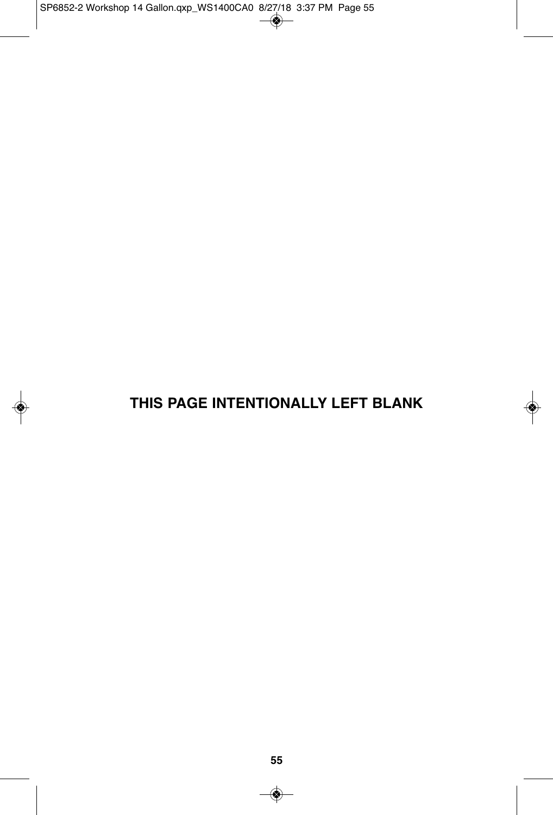### **ThIs PAGe INTeNTIoNAllY lefT blANK**

◈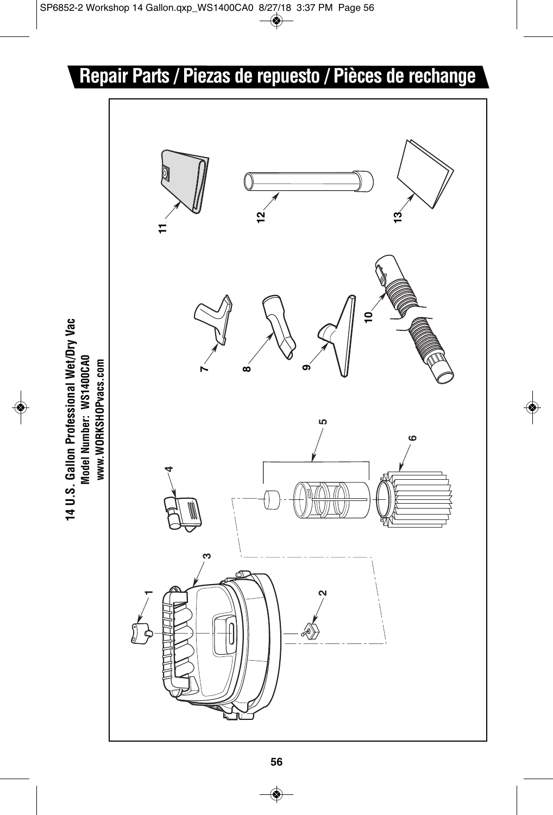**14 U.S. Gallon Professional Wet/Dry Vac**

14 U.S. Gallon Professional Wet/Dry Vac

# **Repair Parts / Piezas de repuesto / Pièces de rechange**



◈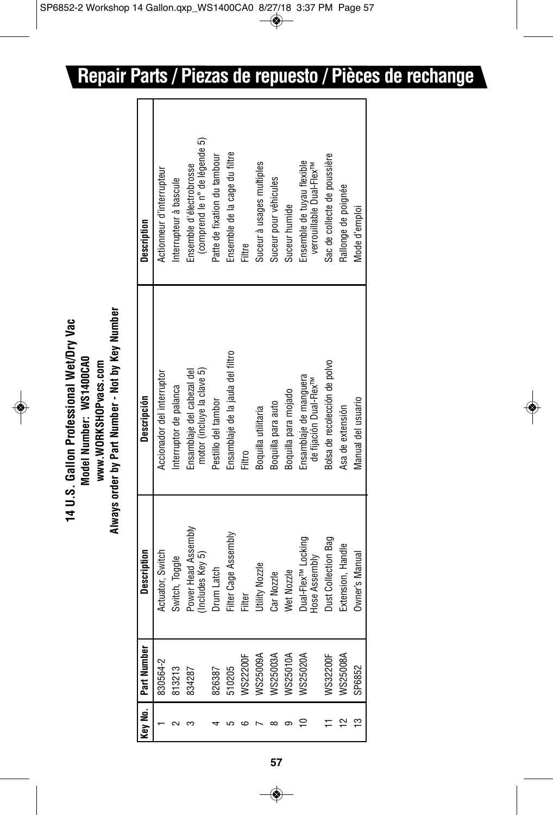# Always order by Part Number - Not by Key Number **Always order by Part Number - Not by Key Number** 14 U.S. Gallon Professional Wet/Dry Vac **14 U.S. Gallon Professional Wet/Dry Vac Model Number: WS1400CA0 w.WORKSHOPvacs.com w w**

| Description           | Actionneur d'interrupteur  | Interrupteur à bascule | (comprend le n° de légende 5)<br>Ensemble d'électrobrosse | Patte de fixation du tambour | Ensemble de la cage du filtre     | Filtre   | Suceur à usages multiples | Suceur pour véhicules | Suceur humide        | Ensemble de tuyau flexible<br>verrouillable Dual-Flex <sup>TM</sup> | Sac de collecte de poussière  | Rallonge de poignée | Mode d'emploi      |
|-----------------------|----------------------------|------------------------|-----------------------------------------------------------|------------------------------|-----------------------------------|----------|---------------------------|-----------------------|----------------------|---------------------------------------------------------------------|-------------------------------|---------------------|--------------------|
| Descripción           | Accionador del interruptor | Interruptor de palanca | Ensamblaje del cabezal del<br>motor (incluye la clave 5)  | Pestillo del tambor          | Ensamblaje de la jaula del filtro | Filtro   | Boquilla utilitaria       | Boquilla para auto    | Boquilla para mojado | Ensamblaje de manguera<br>de fijación Dual-Flex <sup>TM</sup>       | Bolsa de recolección de polvo | Asa de extensión    | Manual del usuario |
| Description           | Actuator, Switch           | Switch, Toggle         | Power Head Assembly<br>Includes Key 5)                    | Drum Latch                   | Filter Cage Assembly              | Filter   | Utility Nozzle            | Car Nozzle            | Wet Nozzle           | Dual-Flex <sup>TM</sup> Locking<br>Hose Assembly                    | Dust Collection Bag           | Extension, Handle   | Owner's Manual     |
| Key No.   Part Number | 830564-2                   | 813213                 | 334287                                                    | 826387                       | 10205                             | VS222001 | <b>NS25009A</b>           | /S25003A              | VS25010A             | /S25020/                                                            |                               | VS25008A            | SP6852             |
|                       |                            |                        |                                                           |                              |                                   |          |                           |                       |                      |                                                                     |                               |                     |                    |

◈

# **Repair Parts / Piezas de repuesto / Pièces de rechange**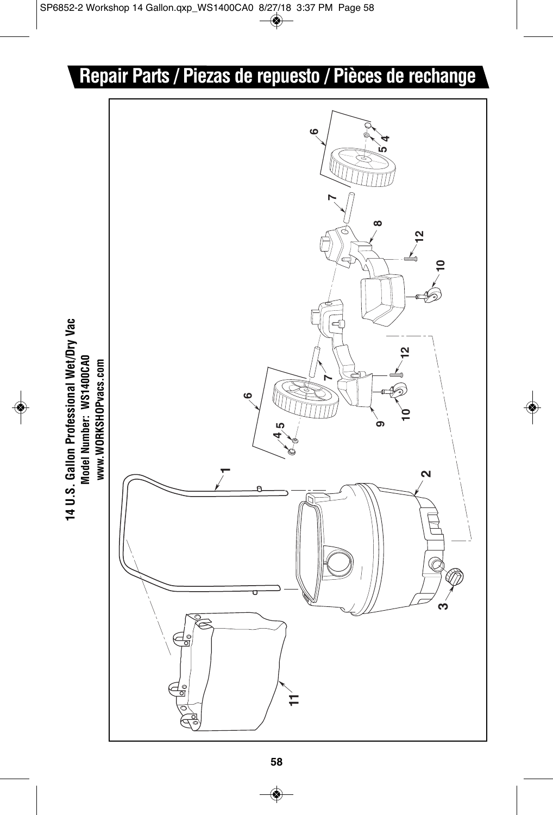# **Repair Parts / Piezas de repuesto / Pièces de rechange**



14 U.S. Gallon Professional Wet/Dry Vac **14 U.S. Gallon Professional Wet/Dry Vac** Model Number: WS1400CA0 **Model Number: WS1400CA0**

◈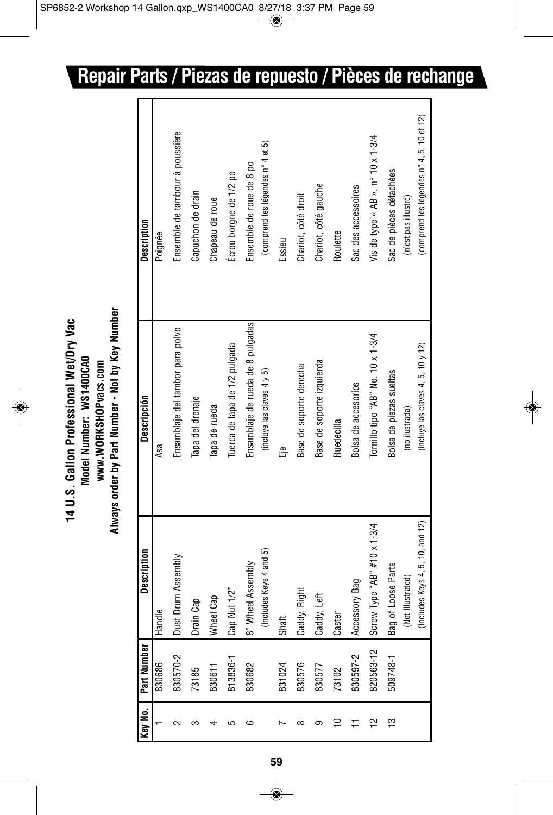# **Repair Parts / Piezas de repuesto / Pièces de rechange**

| Key No.     | Part Number  | Description                      | Descripción                             | Description                               |
|-------------|--------------|----------------------------------|-----------------------------------------|-------------------------------------------|
|             | 830686       | Handle                           | Asa                                     | Poignée                                   |
|             | 830570-2     | Dust Drum Assembly               | Ensamblaje del tambor para polvo        | Ensemble de tambour à poussière           |
|             | 73185        | Drain Cap                        | Tapa del drenaje                        | Capuchon de drain                         |
|             | 330611       | Wheel Cap                        | Tapa de rueda                           | Chapeau de roue                           |
|             | $113836 - 1$ | Cap Nut 1/2"                     | Tuerca de tapa de 1/2 pulgada           | Écrou borgne de 1/2 po                    |
| ဖ           | 830682       | 8" Wheel Assembly                | Ensamblaje de rueda de 8 pulgadas       | Ensemble de roue de 8 po                  |
|             |              | (Includes Keys 4 and 5)          | (incluye las claves $4 y 5$ )           | (comprend les légendes n° 4 et 5)         |
|             | 831024       | Shaft                            | Ëе                                      | Essieu                                    |
|             | 830576       | Caddy, Right                     | Base de soporte derecha                 | Chariot, côté droit                       |
|             | 830577       | Caddy, Left                      | Base de soporte izquierda               | Chariot, côté gauche                      |
|             | 73102        | Caster                           | Ruedecilla                              | Roulette                                  |
|             | 830597-2     | Accessory Bag                    | Bolsa de accesorios                     | Sac des accessoires                       |
| $\tilde{c}$ | 820563-12    | Screw Type "AB" #10 x 1-3/4      | Tornillo tipo "AB" No. 10 x 1-3/4       | Vis de type « AB », n° 10 x 1-3/4         |
| ొ           | 509748-1     | Bag of Loose Parts               | Bolsa de piezas sueltas                 | Sac de pièces détachées                   |
|             |              | (Not Illustrated)                | (no ilustrada)                          | (n'est pas illustré)                      |
|             |              | (Includes Keys 4, 5, 10, and 12) | (incluye las claves $4, 5, 10$ y $12$ ) | (comprend les légendes n° 4, 5, 10 et 12) |

Always order by Part Number - Not by Key Number **Always order by Part Number - Not by Key Number** 14 U.S. Gallon Professional Wet/Dry Vac **14 U.S. Gallon Professional Wet/Dry Vac Model Number: WS1400CA0 w.WORKSHOPvacs.com w w**

**59**

◈